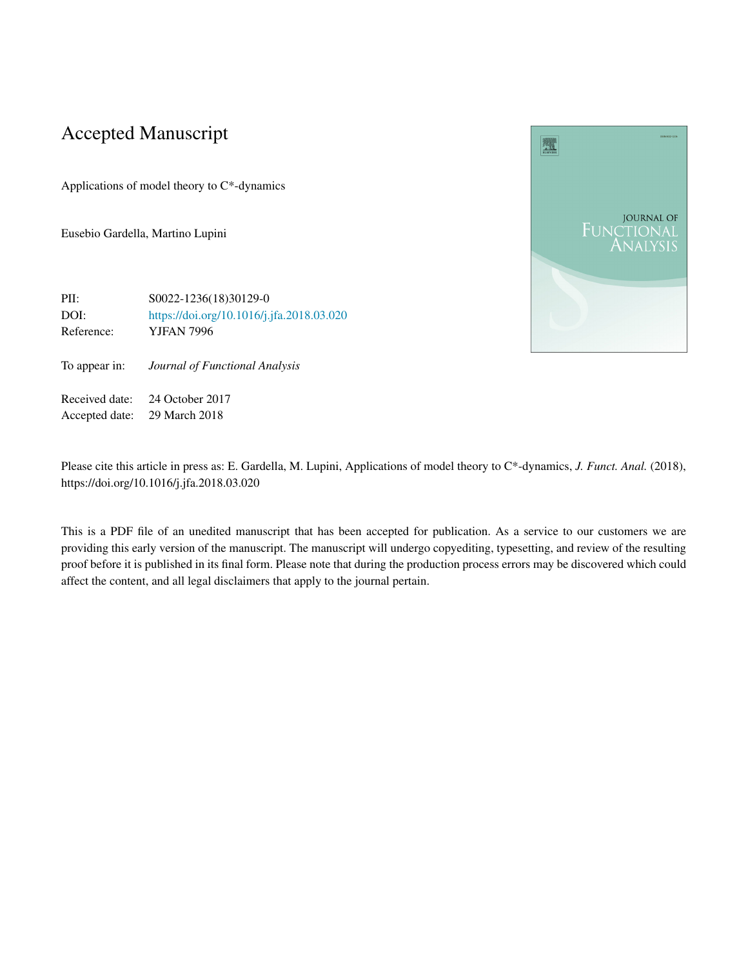# Accepted Manuscript

Applications of model theory to C\*-dynamics

Eusebio Gardella, Martino Lupini



To appear in: *Journal of Functional Analysis*

Received date: 24 October 2017 Accepted date: 29 March 2018

Please cite this article in press as: E. Gardella, M. Lupini, Applications of model theory to C\*-dynamics, *J. Funct. Anal.* (2018), https://doi.org/10.1016/j.jfa.2018.03.020

This is a PDF file of an unedited manuscript that has been accepted for publication. As a service to our customers we are providing this early version of the manuscript. The manuscript will undergo copyediting, typesetting, and review of the resulting proof before it is published in its final form. Please note that during the production process errors may be discovered which could affect the content, and all legal disclaimers that apply to the journal pertain.

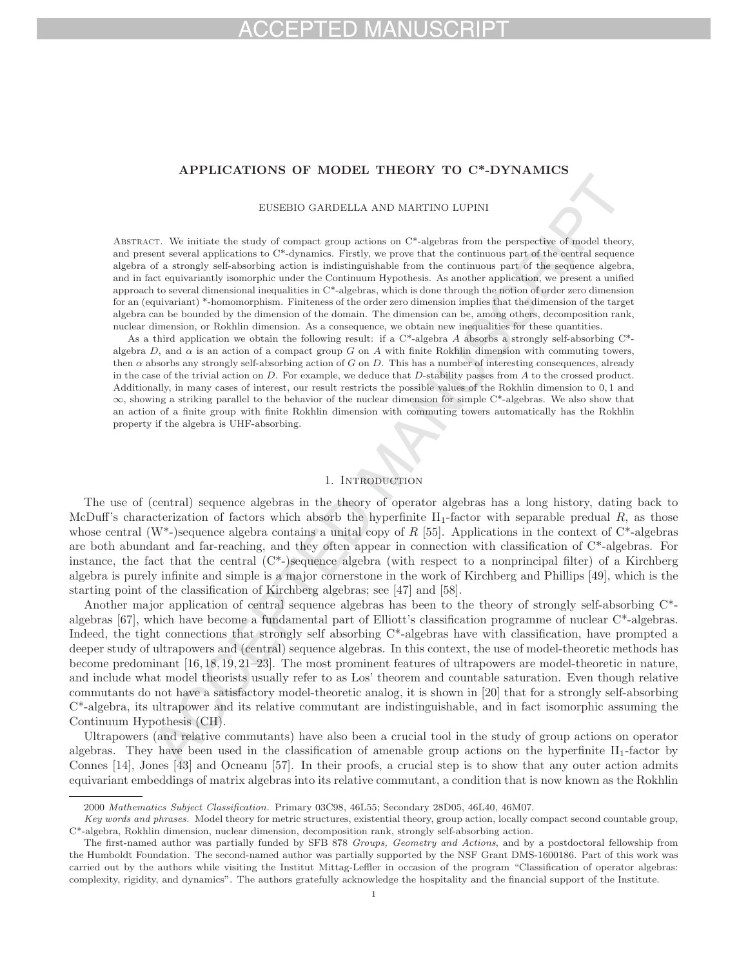# HD MA

## **APPLICATIONS OF MODEL THEORY TO C\*-DYNAMICS**

## EUSEBIO GARDELLA AND MARTINO LUPINI

Abstract. We initiate the study of compact group actions on C\*-algebras from the perspective of model theory, and present several applications to C\*-dynamics. Firstly, we prove that the continuous part of the central sequence algebra of a strongly self-absorbing action is indistinguishable from the continuous part of the sequence algebra, and in fact equivariantly isomorphic under the Continuum Hypothesis. As another application, we present a unified approach to several dimensional inequalities in C\*-algebras, which is done through the notion of order zero dimension for an (equivariant) \*-homomorphism. Finiteness of the order zero dimension implies that the dimension of the target algebra can be bounded by the dimension of the domain. The dimension can be, among others, decomposition rank, nuclear dimension, or Rokhlin dimension. As a consequence, we obtain new inequalities for these quantities.

As a third application we obtain the following result: if a  $C^*$ -algebra A absorbs a strongly self-absorbing  $C^*$ algebra  $D$ , and  $\alpha$  is an action of a compact group G on A with finite Rokhlin dimension with commuting towers, then  $\alpha$  absorbs any strongly self-absorbing action of G on D. This has a number of interesting consequences, already in the case of the trivial action on  $D$ . For example, we deduce that  $D$ -stability passes from  $A$  to the crossed product. Additionally, in many cases of interest, our result restricts the possible values of the Rokhlin dimension to 0, 1 and  $\infty$ , showing a striking parallel to the behavior of the nuclear dimension for simple C\*-algebras. We also show that an action of a finite group with finite Rokhlin dimension with commuting towers automatically has the Rokhlin property if the algebra is UHF-absorbing.

## 1. Introduction

The use of (central) sequence algebras in the theory of operator algebras has a long history, dating back to McDuff's characterization of factors which absorb the hyperfinite  $II_1$ -factor with separable predual R, as those whose central (W<sup>\*</sup>-)sequence algebra contains a unital copy of R [55]. Applications in the context of  $C^*$ -algebras are both abundant and far-reaching, and they often appear in connection with classification of C\*-algebras. For instance, the fact that the central (C\*-)sequence algebra (with respect to a nonprincipal filter) of a Kirchberg algebra is purely infinite and simple is a major cornerstone in the work of Kirchberg and Phillips [49], which is the starting point of the classification of Kirchberg algebras; see [47] and [58].

Another major application of central sequence algebras has been to the theory of strongly self-absorbing C\* algebras [67], which have become a fundamental part of Elliott's classification programme of nuclear C\*-algebras. Indeed, the tight connections that strongly self absorbing C\*-algebras have with classification, have prompted a deeper study of ultrapowers and (central) sequence algebras. In this context, the use of model-theoretic methods has become predominant [16, 18, 19, 21–23]. The most prominent features of ultrapowers are model-theoretic in nature, and include what model theorists usually refer to as Los' theorem and countable saturation. Even though relative commutants do not have a satisfactory model-theoretic analog, it is shown in [20] that for a strongly self-absorbing C\*-algebra, its ultrapower and its relative commutant are indistinguishable, and in fact isomorphic assuming the Continuum Hypothesis (CH).

Ultrapowers (and relative commutants) have also been a crucial tool in the study of group actions on operator algebras. They have been used in the classification of amenable group actions on the hyperfinite  $II_1$ -factor by Connes [14], Jones [43] and Ocneanu [57]. In their proofs, a crucial step is to show that any outer action admits equivariant embeddings of matrix algebras into its relative commutant, a condition that is now known as the Rokhlin

<sup>2000</sup> Mathematics Subject Classification. Primary 03C98, 46L55; Secondary 28D05, 46L40, 46M07.

Key words and phrases. Model theory for metric structures, existential theory, group action, locally compact second countable group, C\*-algebra, Rokhlin dimension, nuclear dimension, decomposition rank, strongly self-absorbing action.

The first-named author was partially funded by SFB 878 Groups, Geometry and Actions, and by a postdoctoral fellowship from the Humboldt Foundation. The second-named author was partially supported by the NSF Grant DMS-1600186. Part of this work was carried out by the authors while visiting the Institut Mittag-Leffler in occasion of the program "Classification of operator algebras: complexity, rigidity, and dynamics". The authors gratefully acknowledge the hospitality and the financial support of the Institute.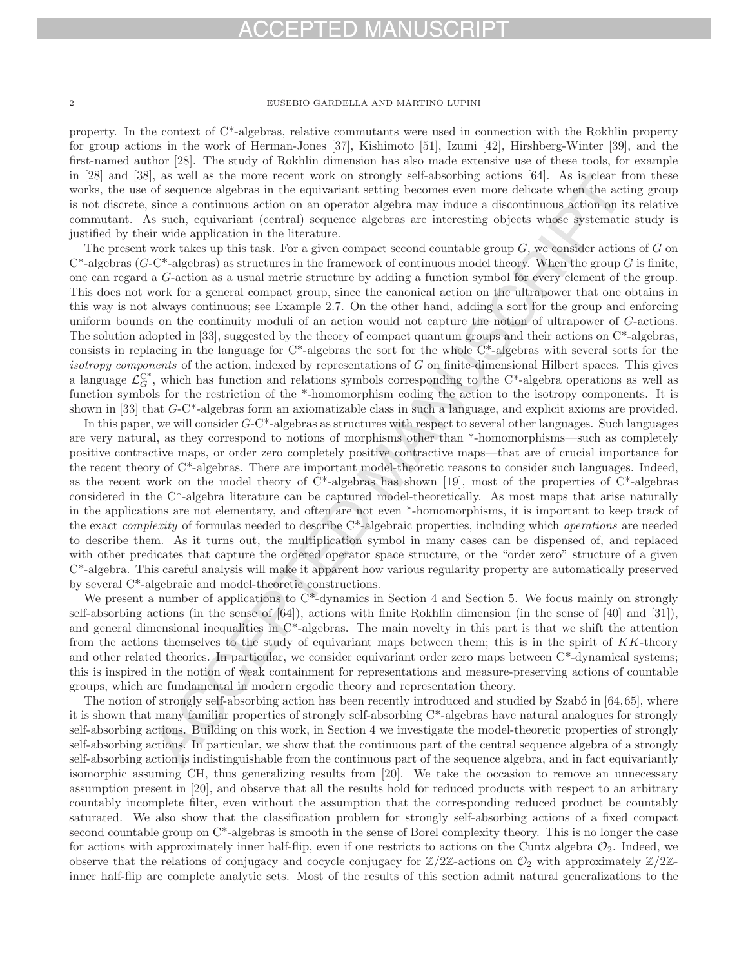# CEPTED MANUSCRI

## 2 EUSEBIO GARDELLA AND MARTINO LUPINI

property. In the context of  $C^*$ -algebras, relative commutants were used in connection with the Rokhlin property for group actions in the work of Herman-Jones [37], Kishimoto [51], Izumi [42], Hirshberg-Winter [39], and the first-named author [28]. The study of Rokhlin dimension has also made extensive use of these tools, for example in [28] and [38], as well as the more recent work on strongly self-absorbing actions [64]. As is clear from these works, the use of sequence algebras in the equivariant setting becomes even more delicate when the acting group is not discrete, since a continuous action on an operator algebra may induce a discontinuous action on its relative commutant. As such, equivariant (central) sequence algebras are interesting objects whose systematic study is justified by their wide application in the literature.

The present work takes up this task. For a given compact second countable group  $G$ , we consider actions of  $G$  on  $C^*$ -algebras ( $G-C^*$ -algebras) as structures in the framework of continuous model theory. When the group G is finite, one can regard a G-action as a usual metric structure by adding a function symbol for every element of the group. This does not work for a general compact group, since the canonical action on the ultrapower that one obtains in this way is not always continuous; see Example 2.7. On the other hand, adding a sort for the group and enforcing uniform bounds on the continuity moduli of an action would not capture the notion of ultrapower of G-actions. The solution adopted in [33], suggested by the theory of compact quantum groups and their actions on  $C^*$ -algebras, consists in replacing in the language for C\*-algebras the sort for the whole C\*-algebras with several sorts for the isotropy components of the action, indexed by representations of  $G$  on finite-dimensional Hilbert spaces. This gives a language  $\mathcal{L}_G^{C^*}$ , which has function and relations symbols corresponding to the C\*-algebra operations as well as function symbols for the restriction of the \*-homomorphism coding the action to the isotropy components. It is shown in [33] that G-C\*-algebras form an axiomatizable class in such a language, and explicit axioms are provided.

In this paper, we will consider  $G-C^*$ -algebras as structures with respect to several other languages. Such languages are very natural, as they correspond to notions of morphisms other than \*-homomorphisms—such as completely positive contractive maps, or order zero completely positive contractive maps—that are of crucial importance for the recent theory of C\*-algebras. There are important model-theoretic reasons to consider such languages. Indeed, as the recent work on the model theory of  $C^*$ -algebras has shown [19], most of the properties of  $C^*$ -algebras considered in the C\*-algebra literature can be captured model-theoretically. As most maps that arise naturally in the applications are not elementary, and often are not even \*-homomorphisms, it is important to keep track of the exact *complexity* of formulas needed to describe  $C^*$ -algebraic properties, including which *operations* are needed to describe them. As it turns out, the multiplication symbol in many cases can be dispensed of, and replaced with other predicates that capture the ordered operator space structure, or the "order zero" structure of a given C\*-algebra. This careful analysis will make it apparent how various regularity property are automatically preserved by several C\*-algebraic and model-theoretic constructions.

We present a number of applications to  $C^*$ -dynamics in Section 4 and Section 5. We focus mainly on strongly self-absorbing actions (in the sense of [64]), actions with finite Rokhlin dimension (in the sense of [40] and [31]), and general dimensional inequalities in  $C^*$ -algebras. The main novelty in this part is that we shift the attention from the actions themselves to the study of equivariant maps between them; this is in the spirit of KK-theory and other related theories. In particular, we consider equivariant order zero maps between C\*-dynamical systems; this is inspired in the notion of weak containment for representations and measure-preserving actions of countable groups, which are fundamental in modern ergodic theory and representation theory.

The notion of strongly self-absorbing action has been recently introduced and studied by Szabó in  $[64,65]$ , where it is shown that many familiar properties of strongly self-absorbing C\*-algebras have natural analogues for strongly self-absorbing actions. Building on this work, in Section 4 we investigate the model-theoretic properties of strongly self-absorbing actions. In particular, we show that the continuous part of the central sequence algebra of a strongly self-absorbing action is indistinguishable from the continuous part of the sequence algebra, and in fact equivariantly isomorphic assuming CH, thus generalizing results from [20]. We take the occasion to remove an unnecessary assumption present in [20], and observe that all the results hold for reduced products with respect to an arbitrary countably incomplete filter, even without the assumption that the corresponding reduced product be countably saturated. We also show that the classification problem for strongly self-absorbing actions of a fixed compact second countable group on C\*-algebras is smooth in the sense of Borel complexity theory. This is no longer the case for actions with approximately inner half-flip, even if one restricts to actions on the Cuntz algebra  $\mathcal{O}_2$ . Indeed, we observe that the relations of conjugacy and cocycle conjugacy for  $\mathbb{Z}/2\mathbb{Z}$ -actions on  $\mathcal{O}_2$  with approximately  $\mathbb{Z}/2\mathbb{Z}$ inner half-flip are complete analytic sets. Most of the results of this section admit natural generalizations to the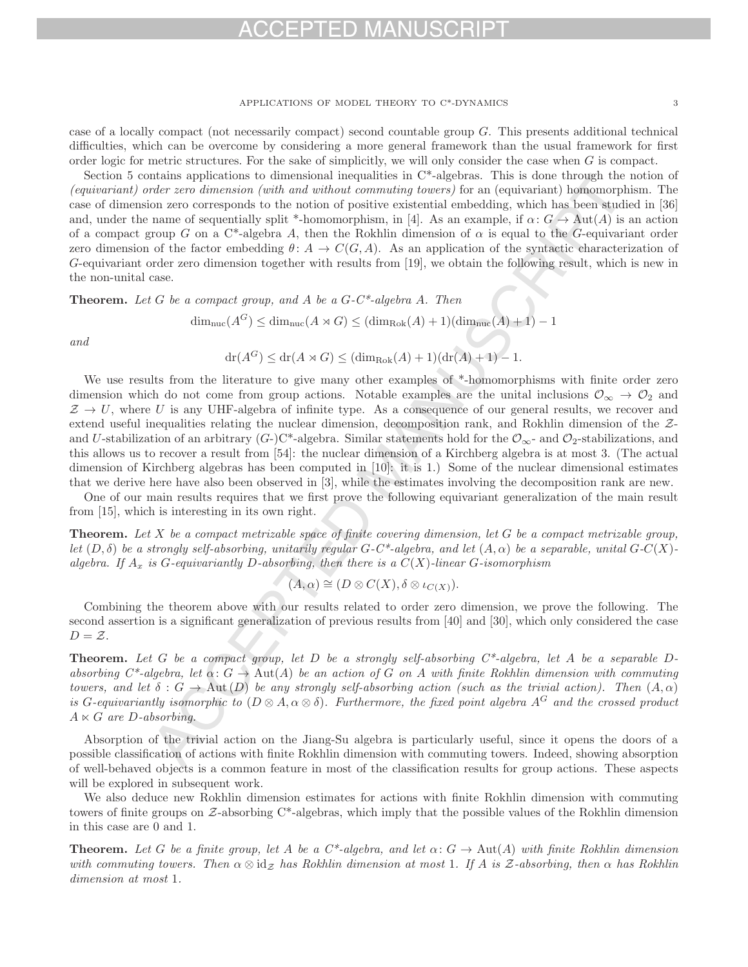## FPTED MA

### APPLICATIONS OF MODEL THEORY TO C\*-DYNAMICS 3

case of a locally compact (not necessarily compact) second countable group G. This presents additional technical difficulties, which can be overcome by considering a more general framework than the usual framework for first order logic for metric structures. For the sake of simplicitly, we will only consider the case when  $G$  is compact.

Section 5 contains applications to dimensional inequalities in C\*-algebras. This is done through the notion of (equivariant) order zero dimension (with and without commuting towers) for an (equivariant) homomorphism. The case of dimension zero corresponds to the notion of positive existential embedding, which has been studied in [36] and, under the name of sequentially split \*-homomorphism, in [4]. As an example, if  $\alpha: G \to \text{Aut}(A)$  is an action of a compact group G on a C\*-algebra A, then the Rokhlin dimension of  $\alpha$  is equal to the G-equivariant order zero dimension of the factor embedding  $\theta: A \to C(G, A)$ . As an application of the syntactic characterization of G-equivariant order zero dimension together with results from [19], we obtain the following result, which is new in the non-unital case.

**Theorem.** Let G be a compact group, and A be a  $G-C^*$ -algebra A. Then

 $\dim_{\text{nuc}}(A^G) \leq \dim_{\text{nuc}}(A \rtimes G) \leq (\dim_{\text{Rok}}(A) + 1)(\dim_{\text{nuc}}(A) + 1) - 1$ 

and

$$
dr(A^G) \le dr(A \rtimes G) \le (\dim_{\text{Rok}}(A) + 1)(dr(A) + 1) - 1.
$$

We use results from the literature to give many other examples of \*-homomorphisms with finite order zero dimension which do not come from group actions. Notable examples are the unital inclusions  $\mathcal{O}_{\infty} \to \mathcal{O}_2$  and  $Z \rightarrow U$ , where U is any UHF-algebra of infinite type. As a consequence of our general results, we recover and extend useful inequalities relating the nuclear dimension, decomposition rank, and Rokhlin dimension of the Zand U-stabilization of an arbitrary  $(G)$ -C\*-algebra. Similar statements hold for the  $\mathcal{O}_{\infty}$ - and  $\mathcal{O}_2$ -stabilizations, and this allows us to recover a result from [54]: the nuclear dimension of a Kirchberg algebra is at most 3. (The actual dimension of Kirchberg algebras has been computed in [10]: it is 1.) Some of the nuclear dimensional estimates that we derive here have also been observed in [3], while the estimates involving the decomposition rank are new.

One of our main results requires that we first prove the following equivariant generalization of the main result from [15], which is interesting in its own right.

**Theorem.** Let X be a compact metrizable space of finite covering dimension, let G be a compact metrizable group, let  $(D, \delta)$  be a strongly self-absorbing, unitarily regular  $G-C^*$ -algebra, and let  $(A, \alpha)$  be a separable, unital  $G-C(X)$ algebra. If  $A_x$  is G-equivariantly D-absorbing, then there is a  $C(X)$ -linear G-isomorphism

$$
(A,\alpha) \cong (D \otimes C(X), \delta \otimes \iota_{C(X)}).
$$

Combining the theorem above with our results related to order zero dimension, we prove the following. The second assertion is a significant generalization of previous results from [40] and [30], which only considered the case  $D = \mathcal{Z}$ .

**Theorem.** Let G be a compact group, let D be a strongly self-absorbing C\*-algebra, let A be a separable Dabsorbing  $C^*$ -algebra, let  $\alpha: G \to \text{Aut}(A)$  be an action of G on A with finite Rokhlin dimension with commuting towers, and let  $\delta: G \to \text{Aut}(D)$  be any strongly self-absorbing action (such as the trivial action). Then  $(A, \alpha)$ is G-equivariantly isomorphic to  $(D \otimes A, \alpha \otimes \delta)$ . Furthermore, the fixed point algebra  $A^G$  and the crossed product  $A \ltimes G$  are D-absorbing.

Absorption of the trivial action on the Jiang-Su algebra is particularly useful, since it opens the doors of a possible classification of actions with finite Rokhlin dimension with commuting towers. Indeed, showing absorption of well-behaved objects is a common feature in most of the classification results for group actions. These aspects will be explored in subsequent work.

We also deduce new Rokhlin dimension estimates for actions with finite Rokhlin dimension with commuting towers of finite groups on  $Z$ -absorbing  $C^*$ -algebras, which imply that the possible values of the Rokhlin dimension in this case are 0 and 1.

**Theorem.** Let G be a finite group, let A be a  $C^*$ -algebra, and let  $\alpha: G \to \text{Aut}(A)$  with finite Rokhlin dimension with commuting towers. Then  $\alpha \otimes id_{\mathcal{Z}}$  has Rokhlin dimension at most 1. If A is Z-absorbing, then  $\alpha$  has Rokhlin dimension at most 1.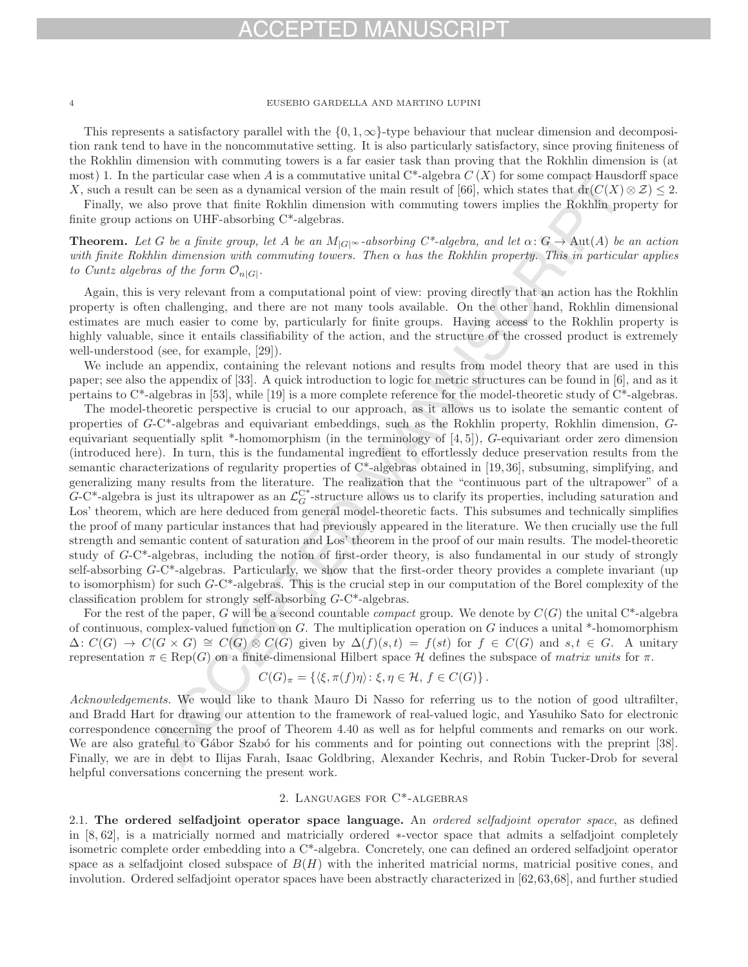# FPTED MAI

## 4 EUSEBIO GARDELLA AND MARTINO LUPINI

This represents a satisfactory parallel with the  $\{0, 1, \infty\}$ -type behaviour that nuclear dimension and decomposition rank tend to have in the noncommutative setting. It is also particularly satisfactory, since proving finiteness of the Rokhlin dimension with commuting towers is a far easier task than proving that the Rokhlin dimension is (at most) 1. In the particular case when A is a commutative unital  $C^*$ -algebra  $C(X)$  for some compact Hausdorff space X, such a result can be seen as a dynamical version of the main result of [66], which states that  $dr(C(X) \otimes Z) \leq 2$ .

Finally, we also prove that finite Rokhlin dimension with commuting towers implies the Rokhlin property for finite group actions on UHF-absorbing C\*-algebras.

**Theorem.** Let G be a finite group, let A be an  $M_{|G|^\infty}$ -absorbing  $C^*$ -algebra, and let  $\alpha: G \to \text{Aut}(A)$  be an action with finite Rokhlin dimension with commuting towers. Then  $\alpha$  has the Rokhlin property. This in particular applies to Cuntz algebras of the form  $\mathcal{O}_{n|G|}$ .

Again, this is very relevant from a computational point of view: proving directly that an action has the Rokhlin property is often challenging, and there are not many tools available. On the other hand, Rokhlin dimensional estimates are much easier to come by, particularly for finite groups. Having access to the Rokhlin property is highly valuable, since it entails classifiability of the action, and the structure of the crossed product is extremely well-understood (see, for example, [29]).

We include an appendix, containing the relevant notions and results from model theory that are used in this paper; see also the appendix of [33]. A quick introduction to logic for metric structures can be found in [6], and as it pertains to C\*-algebras in [53], while [19] is a more complete reference for the model-theoretic study of C\*-algebras.

The model-theoretic perspective is crucial to our approach, as it allows us to isolate the semantic content of properties of G-C\*-algebras and equivariant embeddings, such as the Rokhlin property, Rokhlin dimension, Gequivariant sequentially split \*-homomorphism (in the terminology of [4, 5]), G-equivariant order zero dimension (introduced here). In turn, this is the fundamental ingredient to effortlessly deduce preservation results from the semantic characterizations of regularity properties of C\*-algebras obtained in [19, 36], subsuming, simplifying, and generalizing many results from the literature. The realization that the "continuous part of the ultrapower" of a G-C<sup>\*</sup>-algebra is just its ultrapower as an  $\mathcal{L}_G^{C^*}$ -structure allows us to clarify its properties, including saturation and Los' theorem, which are here deduced from general model-theoretic facts. This subsumes and technically simplifies the proof of many particular instances that had previously appeared in the literature. We then crucially use the full strength and semantic content of saturation and Los' theorem in the proof of our main results. The model-theoretic study of G-C\*-algebras, including the notion of first-order theory, is also fundamental in our study of strongly self-absorbing G-C\*-algebras. Particularly, we show that the first-order theory provides a complete invariant (up to isomorphism) for such  $G-C^*$ -algebras. This is the crucial step in our computation of the Borel complexity of the classification problem for strongly self-absorbing G-C\*-algebras.

For the rest of the paper, G will be a second countable *compact* group. We denote by  $C(G)$  the unital C<sup>\*</sup>-algebra of continuous, complex-valued function on G. The multiplication operation on G induces a unital \*-homomorphism  $\Delta: C(G) \to C(G \times G) \cong C(G) \otimes C(G)$  given by  $\Delta(f)(s,t) = f(st)$  for  $f \in C(G)$  and  $s,t \in G$ . A unitary representation  $\pi \in \text{Rep}(G)$  on a finite-dimensional Hilbert space H defines the subspace of matrix units for  $\pi$ .

$$
C(G)_{\pi} = \{ \langle \xi, \pi(f)\eta \rangle \colon \xi, \eta \in \mathcal{H}, f \in C(G) \}.
$$

Acknowledgements. We would like to thank Mauro Di Nasso for referring us to the notion of good ultrafilter, and Bradd Hart for drawing our attention to the framework of real-valued logic, and Yasuhiko Sato for electronic correspondence concerning the proof of Theorem 4.40 as well as for helpful comments and remarks on our work. We are also grateful to Gábor Szabó for his comments and for pointing out connections with the preprint [38]. Finally, we are in debt to Ilijas Farah, Isaac Goldbring, Alexander Kechris, and Robin Tucker-Drob for several helpful conversations concerning the present work.

## 2. Languages for C\*-algebras

2.1. **The ordered selfadjoint operator space language.** An ordered selfadjoint operator space, as defined in [8, 62], is a matricially normed and matricially ordered ∗-vector space that admits a selfadjoint completely isometric complete order embedding into a C\*-algebra. Concretely, one can defined an ordered selfadjoint operator space as a selfadjoint closed subspace of  $B(H)$  with the inherited matricial norms, matricial positive cones, and involution. Ordered selfadjoint operator spaces have been abstractly characterized in [62,63,68], and further studied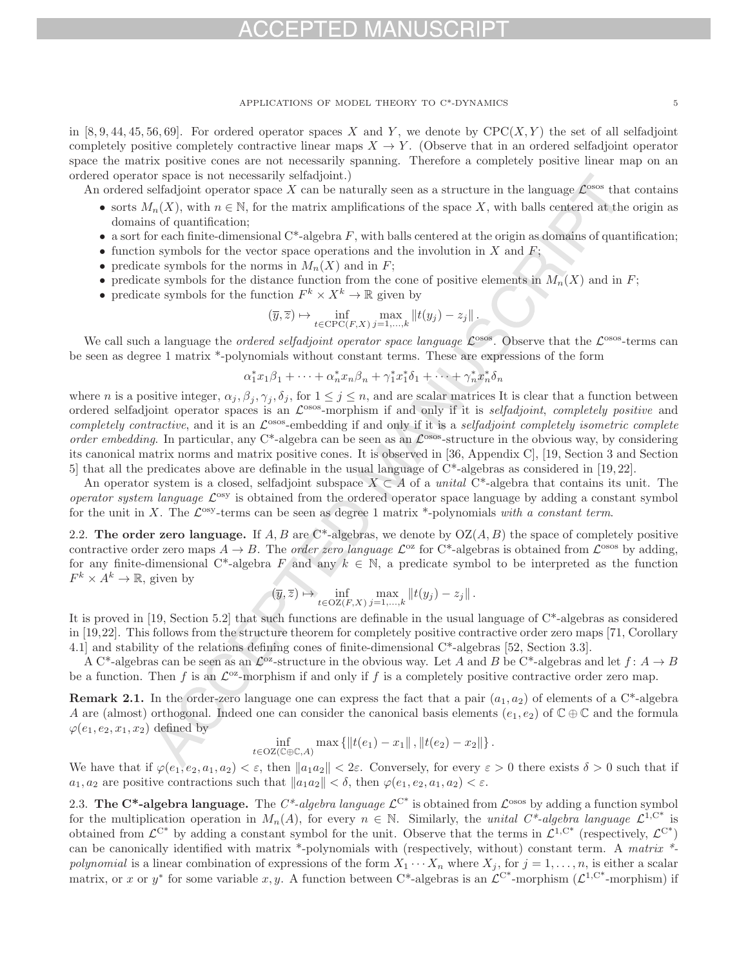in [8, 9, 44, 45, 56, 69]. For ordered operator spaces X and Y, we denote by  $CPC(X, Y)$  the set of all selfadjoint completely positive completely contractive linear maps  $X \to Y$ . (Observe that in an ordered selfadjoint operator space the matrix positive cones are not necessarily spanning. Therefore a completely positive linear map on an ordered operator space is not necessarily selfadjoint.)

An ordered selfadjoint operator space X can be naturally seen as a structure in the language  $\mathcal{L}^{\text{osos}}$  that contains

- sorts  $M_n(X)$ , with  $n \in \mathbb{N}$ , for the matrix amplifications of the space X, with balls centered at the origin as domains of quantification;
- a sort for each finite-dimensional  $C^*$ -algebra  $F$ , with balls centered at the origin as domains of quantification;
- function symbols for the vector space operations and the involution in X and  $F$ ;
- predicate symbols for the norms in  $M_n(X)$  and in F;
- predicate symbols for the distance function from the cone of positive elements in  $M_n(X)$  and in F;
- predicate symbols for the function  $F^k \times X^k \to \mathbb{R}$  given by

$$
(\overline{y},\overline{z}) \mapsto \inf_{t \in \mathrm{CPC}(F,X)} \max_{j=1,\ldots,k} ||t(y_j) - z_j||.
$$

We call such a language the *ordered selfadjoint operator space language*  $\mathcal{L}^{\text{osos}}$ . Observe that the  $\mathcal{L}^{\text{osos}}$ -terms can be seen as degree 1 matrix \*-polynomials without constant terms. These are expressions of the form

$$
\alpha_1^*x_1\beta_1 + \dots + \alpha_n^*x_n\beta_n + \gamma_1^*x_1^*\delta_1 + \dots + \gamma_n^*x_n^*\delta_n
$$

where n is a positive integer,  $\alpha_j$ ,  $\beta_j$ ,  $\gamma_j$ ,  $\delta_j$ , for  $1 \leq j \leq n$ , and are scalar matrices It is clear that a function between ordered selfadjoint operator spaces is an  $\mathcal{L}^{\text{osos}}$ -morphism if and only if it is selfadjoint, completely positive and completely contractive, and it is an  $\mathcal{L}^{\text{osos}}$ -embedding if and only if it is a selfadjoint completely isometric complete order embedding. In particular, any C<sup>\*</sup>-algebra can be seen as an  $\mathcal{L}^{\text{osos}}$ -structure in the obvious way, by considering its canonical matrix norms and matrix positive cones. It is observed in [36, Appendix C], [19, Section 3 and Section 5] that all the predicates above are definable in the usual language of C\*-algebras as considered in [19, 22].

An operator system is a closed, selfadjoint subspace  $X \subset A$  of a unital C\*-algebra that contains its unit. The operator system language  $\mathcal{L}^{\text{osy}}$  is obtained from the ordered operator space language by adding a constant symbol for the unit in X. The  $\mathcal{L}^{\text{osy}}$ -terms can be seen as degree 1 matrix \*-polynomials with a constant term.

2.2. **The order zero language.** If A, B are  $\mathbb{C}^*$ -algebras, we denote by  $OZ(A, B)$  the space of completely positive contractive order zero maps  $A \to B$ . The *order zero language*  $\mathcal{L}^{\infty}$  for C<sup>\*</sup>-algebras is obtained from  $\mathcal{L}^{\text{osos}}$  by adding, for any finite-dimensional C<sup>\*</sup>-algebra F and any  $k \in \mathbb{N}$ , a predicate symbol to be interpreted as the function  $F^k \times A^k \to \mathbb{R}$ , given by

$$
(\overline{y},\overline{z}) \mapsto \inf_{t \in OZ(F,X)} \max_{j=1,\ldots,k} ||t(y_j) - z_j||.
$$

It is proved in [19, Section 5.2] that such functions are definable in the usual language of C\*-algebras as considered in [19,22]. This follows from the structure theorem for completely positive contractive order zero maps [71, Corollary 4.1] and stability of the relations defining cones of finite-dimensional C\*-algebras [52, Section 3.3].

A C<sup>\*</sup>-algebras can be seen as an  $\mathcal{L}^{\circ 2}$ -structure in the obvious way. Let A and B be C<sup>\*</sup>-algebras and let  $f: A \to B$ be a function. Then f is an  $\mathcal{L}^{\circ\alpha}$ -morphism if and only if f is a completely positive contractive order zero map.

**Remark 2.1.** In the order-zero language one can express the fact that a pair  $(a_1, a_2)$  of elements of a C\*-algebra A are (almost) orthogonal. Indeed one can consider the canonical basis elements  $(e_1, e_2)$  of  $\mathbb{C} \oplus \mathbb{C}$  and the formula  $\varphi(e_1, e_2, x_1, x_2)$  defined by

$$
\inf_{t \in OZ(C \oplus \mathbb{C}, A)} \max \{ \|t(e_1) - x_1\|, \|t(e_2) - x_2\| \}.
$$

We have that if  $\varphi(e_1, e_2, a_1, a_2) < \varepsilon$ , then  $||a_1a_2|| < 2\varepsilon$ . Conversely, for every  $\varepsilon > 0$  there exists  $\delta > 0$  such that if  $a_1, a_2$  are positive contractions such that  $||a_1a_2|| < \delta$ , then  $\varphi(e_1, e_2, a_1, a_2) < \varepsilon$ .

2.3. **The C<sup>\*</sup>-algebra language.** The C<sup>\*</sup>-algebra language  $\mathcal{L}^{C^*}$  is obtained from  $\mathcal{L}^{\text{osos}}$  by adding a function symbol for the multiplication operation in  $M_n(A)$ , for every  $n \in \mathbb{N}$ . Similarly, the unital  $C^*$ -algebra language  $\mathcal{L}^{1,C^*}$  is obtained from  $\mathcal{L}^{C^*}$  by adding a constant symbol for the unit. Observe that the terms in  $\mathcal{L}^{1,C^*}$  (respectively,  $\mathcal{L}^{C^*}$ ) can be canonically identified with matrix \*-polynomials with (respectively, without) constant term. A matrix \*polynomial is a linear combination of expressions of the form  $X_1 \cdots X_n$  where  $X_j$ , for  $j = 1, \ldots, n$ , is either a scalar matrix, or x or y<sup>\*</sup> for some variable x, y. A function between C<sup>\*</sup>-algebras is an  $\mathcal{L}^{C^*}$ -morphism ( $\mathcal{L}^{1,C^*}$ -morphism) if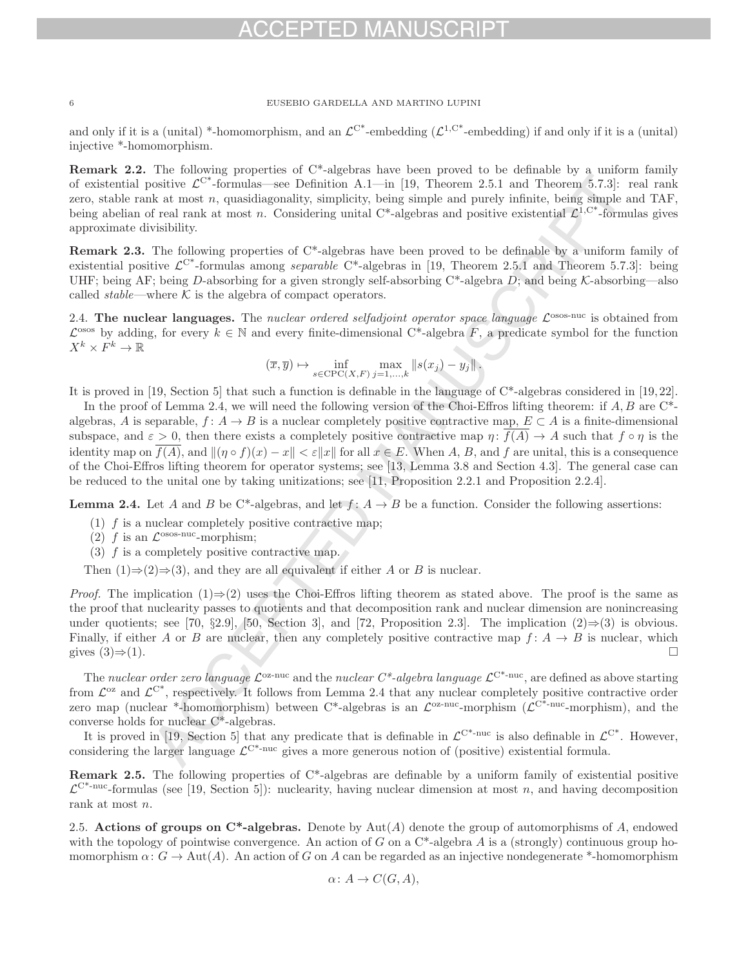and only if it is a (unital) \*-homomorphism, and an  $\mathcal{L}^{C^*}$ -embedding ( $\mathcal{L}^{1,C^*}$ -embedding) if and only if it is a (unital) injective \*-homomorphism.

**Remark 2.2.** The following properties of C<sup>\*</sup>-algebras have been proved to be definable by a uniform family of existential positive  $\mathcal{L}^{C^*}$ -formulas—see Definition A.1—in [19, Theorem 2.5.1 and Theorem 5.7.3]: real rank zero, stable rank at most n, quasidiagonality, simplicity, being simple and purely infinite, being simple and TAF, being abelian of real rank at most n. Considering unital  $C^*$ -algebras and positive existential  $\mathcal{L}^{1,C^*}$ -formulas gives approximate divisibility.

**Remark 2.3.** The following properties of C\*-algebras have been proved to be definable by a uniform family of existential positive  $\mathcal{L}^{C^*}$ -formulas among separable  $C^*$ -algebras in [19, Theorem 2.5.1 and Theorem 5.7.3]: being UHF; being AF; being D-absorbing for a given strongly self-absorbing  $C^*$ -algebra D; and being K-absorbing—also called *stable*—where  $K$  is the algebra of compact operators.

2.4. **The nuclear languages.** The nuclear ordered selfadjoint operator space language  $\mathcal{L}^{\text{osos-nuc}}$  is obtained from  $\mathcal{L}^{\text{osos}}$  by adding, for every  $k \in \mathbb{N}$  and every finite-dimensional C\*-algebra F, a predicate symbol for the function  $X^k \times F^k \to \mathbb{R}$ 

$$
(\overline{x}, \overline{y}) \mapsto \inf_{s \in \text{CPC}(X, F)} \max_{j=1,\dots,k} \|s(x_j) - y_j\|.
$$

It is proved in [19, Section 5] that such a function is definable in the language of  $C^*$ -algebras considered in [19, 22].

In the proof of Lemma 2.4, we will need the following version of the Choi-Effros lifting theorem: if  $A, B$  are  $C^*$ algebras, A is separable,  $f: A \to B$  is a nuclear completely positive contractive map,  $E \subset A$  is a finite-dimensional subspace, and  $\varepsilon > 0$ , then there exists a completely positive contractive map  $\eta: f(A) \to A$  such that  $f \circ \eta$  is the identity map on  $\overline{f(A)}$ , and  $\|(p \circ f)(x) - x\| < \varepsilon \|x\|$  for all  $x \in E$ . When A, B, and f are unital, this is a consequence of the Choi-Effros lifting theorem for operator systems; see [13, Lemma 3.8 and Section 4.3]. The general case can be reduced to the unital one by taking unitizations; see [11, Proposition 2.2.1 and Proposition 2.2.4].

**Lemma 2.4.** Let A and B be C\*-algebras, and let  $f: A \rightarrow B$  be a function. Consider the following assertions:

- (1)  $f$  is a nuclear completely positive contractive map;
- (2) f is an  $\mathcal{L}^{\text{osos-nuc}}$ -morphism;
- (3)  $f$  is a completely positive contractive map.
- Then  $(1) \Rightarrow (2) \Rightarrow (3)$ , and they are all equivalent if either A or B is nuclear.

*Proof.* The implication  $(1) \Rightarrow (2)$  uses the Choi-Effros lifting theorem as stated above. The proof is the same as the proof that nuclearity passes to quotients and that decomposition rank and nuclear dimension are nonincreasing under quotients; see [70, §2.9], [50, Section 3], and [72, Proposition 2.3]. The implication (2)⇒(3) is obvious. Finally, if either A or B are nuclear, then any completely positive contractive map  $f: A \to B$  is nuclear, which gives  $(3) \Rightarrow (1)$ . gives  $(3) \Rightarrow (1)$ .

The nuclear order zero language  $\mathcal{L}^{\text{oz-nuc}}$  and the nuclear  $C^*$ -algebra language  $\mathcal{L}^{\text{C*-nuc}}$ , are defined as above starting from  $\mathcal{L}^{\alpha}$  and  $\mathcal{L}^{\alpha^*}$ , respectively. It follows from Lemma 2.4 that any nuclear completely positive contractive order zero map (nuclear \*-homomorphism) between C\*-algebras is an  $\mathcal{L}^{\alpha}$ -nuc-morphism ( $\mathcal{L}^{\alpha}$ <sup>-nuc</sup>-morphism), and the converse holds for nuclear C\*-algebras.

It is proved in [19, Section 5] that any predicate that is definable in  $\mathcal{L}^{C^*}$ -nuc is also definable in  $\mathcal{L}^{C^*}$ . However, considering the larger language  $\mathcal{L}^{\mathbb{C}^*-\text{nuc}}$  gives a more generous notion of (positive) existential formula.

**Remark 2.5.** The following properties of C<sup>\*</sup>-algebras are definable by a uniform family of existential positive  $\mathcal{L}^{\mathbb{C}^*-\text{nuc}}$ -formulas (see [19, Section 5]): nuclearity, having nuclear dimension at most n, and having decomposition rank at most n.

2.5. **Actions of groups on C\*-algebras.** Denote by  $Aut(A)$  denote the group of automorphisms of A, endowed with the topology of pointwise convergence. An action of G on a  $C^*$ -algebra A is a (strongly) continuous group homomorphism  $\alpha: G \to \text{Aut}(A)$ . An action of G on A can be regarded as an injective nondegenerate \*-homomorphism

$$
\alpha\colon A\to C(G,A),
$$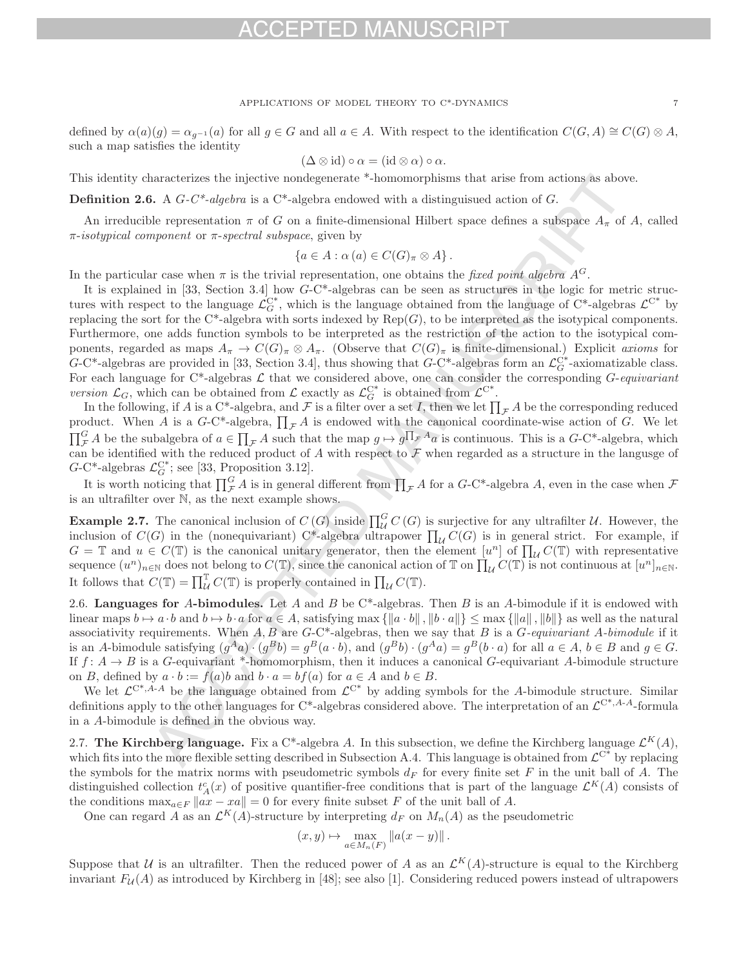defined by  $\alpha(a)(g) = \alpha_{g^{-1}}(a)$  for all  $g \in G$  and all  $a \in A$ . With respect to the identification  $C(G, A) \cong C(G) \otimes A$ , such a map satisfies the identity

$$
(\Delta \otimes id) \circ \alpha = (id \otimes \alpha) \circ \alpha.
$$

This identity characterizes the injective nondegenerate \*-homomorphisms that arise from actions as above.

**Definition 2.6.** A  $G-C^*$ -algebra is a  $C^*$ -algebra endowed with a distinguisued action of G.

An irreducible representation  $\pi$  of G on a finite-dimensional Hilbert space defines a subspace  $A_{\pi}$  of A, called  $π$ -isotypical component or  $π$ -spectral subspace, given by

$$
\{a\in A:\alpha(a)\in C(G)_{\pi}\otimes A\}.
$$

In the particular case when  $\pi$  is the trivial representation, one obtains the *fixed point algebra*  $A^G$ .

It is explained in [33, Section 3.4] how G-C\*-algebras can be seen as structures in the logic for metric structures with respect to the language  $\mathcal{L}_G^{C^*}$ , which is the language obtained from the language of  $C^*$ -algebras  $\mathcal{L}^{C^*}$  by replacing the sort for the C\*-algebra with sorts indexed by  $Rep(G)$ , to be interpreted as the isotypical components. Furthermore, one adds function symbols to be interpreted as the restriction of the action to the isotypical components, regarded as maps  $A_{\pi} \to C(G)_{\pi} \otimes A_{\pi}$ . (Observe that  $C(G)_{\pi}$  is finite-dimensional.) Explicit axioms for  $G$ -C<sup>\*</sup>-algebras are provided in [33, Section 3.4], thus showing that  $G$ -C<sup>\*</sup>-algebras form an  $\mathcal{L}_G^{C^*}$ -axiomatizable class. For each language for C\*-algebras  $\mathcal L$  that we considered above, one can consider the corresponding  $G$ -equivariant version  $\mathcal{L}_G$ , which can be obtained from  $\mathcal{L}$  exactly as  $\mathcal{L}_G^{C^*}$  is obtained from  $\mathcal{L}^{C^*}$ .

In the following, if A is a C\*-algebra, and F is a filter over a set I, then we let  $\prod_{\mathcal{F}} A$  be the corresponding reduced product. When A is a G-C\*-algebra,  $\prod_{\mathcal{F}} A$  is endowed with the canonical coordinate-wise action of G. We let  $\prod_{\mathcal{F}}^G A$  be the subalgebra of  $a \in \prod_{\mathcal{F}} A$  such that the map  $g \mapsto g \prod_{\mathcal{F}} A_a$  is continuous. This is a  $G$ -C\*-algebra, which can be identified with the reduced product of A with respect to  $\mathcal F$  when regarded as a structure in the langusge of  $G-C^*$ -algebras  $\mathcal{L}_G^{C^*}$ ; see [33, Proposition 3.12].

It is worth noticing that  $\prod_{\mathcal{F}} A$  is in general different from  $\prod_{\mathcal{F}} A$  for a  $G$ -C<sup>\*</sup>-algebra  $A$ , even in the case when  $\mathcal{F}$ is an ultrafilter over N, as the next example shows.

**Example 2.7.** The canonical inclusion of  $C(G)$  inside  $\prod_{\mathcal{U}}^G C(G)$  is surjective for any ultrafilter  $\mathcal{U}$ . However, the inclusion of  $C(G)$  in the (nonequivariant) C\*-algebra ultrapower  $\prod_{\mathcal{U}} C(G)$  is in general strict. For example, if  $G = \mathbb{T}$  and  $u \in C(\mathbb{T})$  is the canonical unitary generator, then the element  $[u^n]$  of  $\prod_{U} C(\mathbb{T})$  with representative sequence  $(u^n)_{n\in\mathbb{N}}$  does not belong to  $C(\mathbb{T})$ , since the canonical action of  $\mathbb{T}$  on  $\prod_{\mathcal{U}} C(\mathbb{T})$  is not continuous at  $[u^n]_{n\in\mathbb{N}}$ . It follows that  $C(\mathbb{T}) = \prod_{\mathcal{U}}^{\mathbb{T}} C(\mathbb{T})$  is properly contained in  $\prod_{\mathcal{U}} C(\mathbb{T})$ .

2.6. **Languages for** A**-bimodules.** Let A and B be C\*-algebras. Then B is an A-bimodule if it is endowed with linear maps  $b \mapsto a \cdot b$  and  $b \mapsto b \cdot a$  for  $a \in A$ , satisfying max  $\{\|a \cdot b\|, \|b \cdot a\|\} \leq \max\{|a\|, \|b\|\}$  as well as the natural associativity requirements. When  $A, B$  are  $G$ -C\*-algebras, then we say that  $B$  is a  $G$ -equivariant  $A$ -bimodule if it is an A-bimodule satisfying  $(g^A a) \cdot (g^B b) = g^B (a \cdot b)$ , and  $(g^B b) \cdot (g^A a) = g^B (b \cdot a)$  for all  $a \in A, b \in B$  and  $g \in G$ . If  $f: A \to B$  is a G-equivariant \*-homomorphism, then it induces a canonical G-equivariant A-bimodule structure on B, defined by  $a \cdot b := f(a)b$  and  $b \cdot a = bf(a)$  for  $a \in A$  and  $b \in B$ .

We let  $\mathcal{L}^{C^*,A-A}$  be the language obtained from  $\mathcal{L}^{C^*}$  by adding symbols for the A-bimodule structure. Similar definitions apply to the other languages for C\*-algebras considered above. The interpretation of an  $\mathcal{L}^{C^*,A-A}$ -formula in a A-bimodule is defined in the obvious way.

2.7. **The Kirchberg language.** Fix a C\*-algebra A. In this subsection, we define the Kirchberg language  $\mathcal{L}^K(A)$ , which fits into the more flexible setting described in Subsection A.4. This language is obtained from  $\mathcal{L}^{C^*}$  by replacing the symbols for the matrix norms with pseudometric symbols  $d_F$  for every finite set F in the unit ball of A. The distinguished collection  $t_A^c(x)$  of positive quantifier-free conditions that is part of the language  $\mathcal{L}^K(A)$  consists of the conditions  $\max_{a \in F} ||ax - xa|| = 0$  for every finite subset F of the unit ball of A.

One can regard A as an  $\mathcal{L}^K(A)$ -structure by interpreting  $d_F$  on  $M_n(A)$  as the pseudometric

$$
(x,y)\mapsto \max_{a\in M_n(F)}\|a(x-y)\|.
$$

Suppose that U is an ultrafilter. Then the reduced power of A as an  $\mathcal{L}^K(A)$ -structure is equal to the Kirchberg invariant  $F_{\mathcal{U}}(A)$  as introduced by Kirchberg in [48]; see also [1]. Considering reduced powers instead of ultrapowers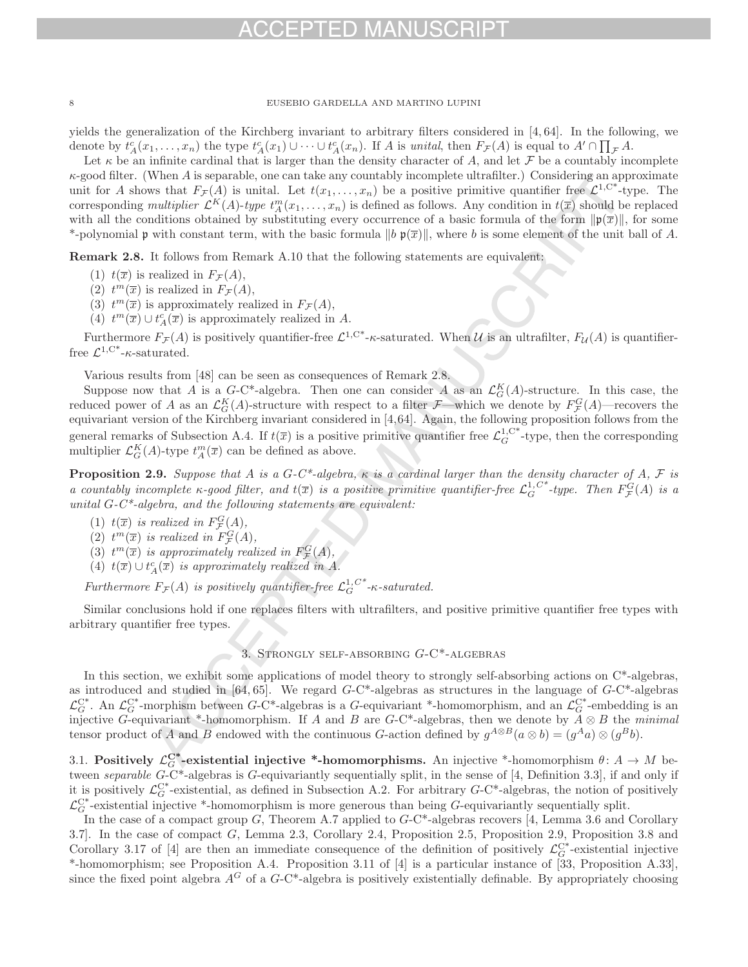yields the generalization of the Kirchberg invariant to arbitrary filters considered in [4, 64]. In the following, we denote by  $t_A^c(x_1,...,x_n)$  the type  $t_A^c(x_1) \cup \cdots \cup t_A^c(x_n)$ . If A is unital, then  $F_{\mathcal{F}}(A)$  is equal to  $A' \cap \prod_{\mathcal{F}} A$ .

Let  $\kappa$  be an infinite cardinal that is larger than the density character of A, and let F be a countably incomplete  $\kappa$ -good filter. (When A is separable, one can take any countably incomplete ultrafilter.) Considering an approximate unit for A shows that  $F_{\mathcal{F}}(A)$  is unital. Let  $t(x_1,\ldots,x_n)$  be a positive primitive quantifier free  $\mathcal{L}^{1,C^*}$ -type. The corresponding multiplier  $\mathcal{L}^K(A)$ -type  $t_A^m(x_1,\ldots,x_n)$  is defined as follows. Any condition in  $t(\overline{x})$  should be replaced with all the conditions obtained by substituting every occurrence of a basic formula of the form  $\|\mathfrak{p}(\overline{x})\|$ , for some \*-polynomial p with constant term, with the basic formula  $||b \mathfrak{p}(\overline{x})||$ , where b is some element of the unit ball of A.

**Remark 2.8.** It follows from Remark A.10 that the following statements are equivalent:

- (1)  $t(\overline{x})$  is realized in  $F_{\mathcal{F}}(A)$ ,
- (2)  $t^m(\overline{x})$  is realized in  $F_{\mathcal{F}}(A)$ ,
- (3)  $t^m(\overline{x})$  is approximately realized in  $F_{\mathcal{F}}(A)$ ,
- (4)  $t^m(\overline{x}) \cup t^c_A(\overline{x})$  is approximately realized in A.

Furthermore  $F_{\mathcal{F}}(A)$  is positively quantifier-free  $\mathcal{L}^{1,C^*}$ - $\kappa$ -saturated. When U is an ultrafilter,  $F_{\mathcal{U}}(A)$  is quantifierfree  $\mathcal{L}^{1,\mathrm{C}^*}$ - $\kappa$ -saturated.

Various results from [48] can be seen as consequences of Remark 2.8.

Suppose now that A is a  $G$ -C<sup>\*</sup>-algebra. Then one can consider A as an  $\mathcal{L}_G^K(A)$ -structure. In this case, the reduced power of A as an  $\mathcal{L}_G^K(A)$ -structure with respect to a filter  $\mathcal{F}$ —which we denote by  $F_{\mathcal{F}}^G(A)$ —recovers the equivariant version of the Kirchberg invariant considered in [4,64]. Again, the following pr general remarks of Subsection A.4. If  $t(\overline{x})$  is a positive primitive quantifier free  $\mathcal{L}_G^{1,\mathbb{C}^*}$ -type, then the corresponding multiplier  $\mathcal{L}_G^K(A)$ -type  $t_A^m(\overline{x})$  can be defined as above.

**Proposition 2.9.** Suppose that A is a G-C\*-algebra,  $\kappa$  is a cardinal larger than the density character of A, F is a countably incomplete  $\kappa$ -good filter, and  $t(\overline{x})$  is a positive primitive quantifier-free  $\mathcal{L}_G^{1,C^*}$ -type. Then  $F_{\mathcal{F}}^G(A)$  is a unital  $G-C^*$ -algebra, and the following statements are equivalent:

- (1)  $t(\overline{x})$  is realized in  $F_{\mathcal{F}}^G(A)$ ,
- 
- (2)  $t^m(\overline{x})$  is realized in  $F^G_{\mathcal{F}}(A)$ ,<br>
(3)  $t^m(\overline{x})$  is approximately realized in  $F^G_{\mathcal{F}}(A)$ ,
- (4)  $t(\overline{x}) \cup t_A^c(\overline{x})$  is approximately realized in A.

Furthermore  $F_{\mathcal{F}}(A)$  is positively quantifier-free  $\mathcal{L}_G^{1,C^*}$ - $\kappa$ -saturated.

Similar conclusions hold if one replaces filters with ultrafilters, and positive primitive quantifier free types with arbitrary quantifier free types.

## 3. Strongly self-absorbing G-C\*-algebras

In this section, we exhibit some applications of model theory to strongly self-absorbing actions on C\*-algebras, as introduced and studied in  $[64, 65]$ . We regard  $G-C^*$ -algebras as structures in the language of  $G-C^*$ -algebras  $\mathcal{L}_G^{C^*}$ . An  $\mathcal{L}_G^{C^*}$ -morphism between G-C\*-algebras is a G-equivariant \*-homomorphism, and an  $\mathcal{L}_G^{C^*}$ -embedding is an injective G-equivariant \*-homomorphism. If A and B are G-C\*-algebras, then we denote by  $\overline{A} \otimes B$  the minimal tensor product of A and B endowed with the continuous G-action defined by  $g^{A\otimes B}(a\otimes b)=(g^{A}a)\otimes (g^{B}b)$ .

3.1. **Positively**  $\mathcal{L}_G^{\mathbb{C}^*}$ -existential injective \*-homomorphisms. An injective \*-homomorphism  $\theta: A \to M$  between separable G-C\*-algebras is G-equivariantly sequentially split, in the sense of [4, Definition 3.3], if and only if it is positively  $\mathcal{L}_G^{C^*}$ -existential, as defined in Subsection A.2. For arbitrary  $G$ -C<sup>\*</sup>-algebras, the notion of positively  $\mathcal{L}_{G}^{\mathbb{C}^*}$ -existential injective \*-homomorphism is more generous than being G-equivariantly sequentially split.

In the case of a compact group  $G$ , Theorem A.7 applied to  $G$ -C<sup>\*</sup>-algebras recovers [4, Lemma 3.6 and Corollary 3.7]. In the case of compact G, Lemma 2.3, Corollary 2.4, Proposition 2.5, Proposition 2.9, Proposition 3.8 and Corollary 3.17 of [4] are then an immediate consequence of the definition of positively  $\mathcal{L}_G^{C^*}$ -existential injective \*-homomorphism; see Proposition A.4. Proposition 3.11 of [4] is a particular instance of [33, Proposition A.33], since the fixed point algebra  $A^G$  of a  $G$ -C<sup>\*</sup>-algebra is positively existentially definable. By appropriately choosing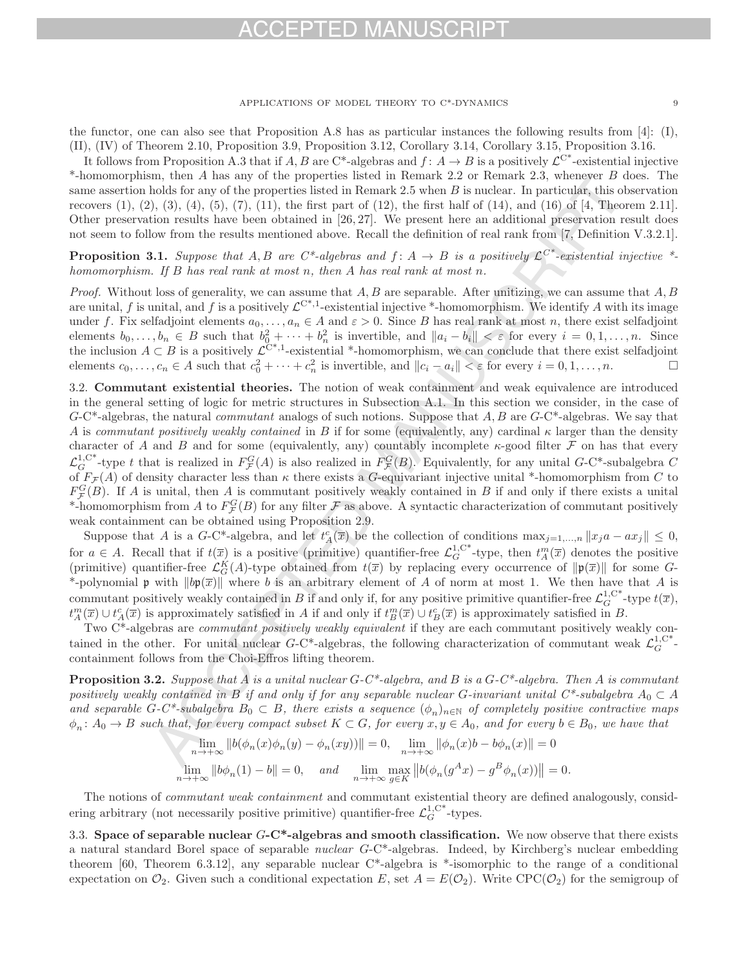## $-1$ )

### APPLICATIONS OF MODEL THEORY TO C\*-DYNAMICS 9

the functor, one can also see that Proposition A.8 has as particular instances the following results from [4]: (I), (II), (IV) of Theorem 2.10, Proposition 3.9, Proposition 3.12, Corollary 3.14, Corollary 3.15, Proposition 3.16.

It follows from Proposition A.3 that if A, B are C\*-algebras and  $f: A \to B$  is a positively  $\mathcal{L}^{C^*}$ -existential injective \*-homomorphism, then A has any of the properties listed in Remark 2.2 or Remark 2.3, whenever  $B$  does. The same assertion holds for any of the properties listed in Remark 2.5 when  $B$  is nuclear. In particular, this observation recovers  $(1), (2), (3), (4), (5), (7), (11),$  the first part of  $(12),$  the first half of  $(14),$  and  $(16)$  of  $[4,$  Theorem 2.11]. Other preservation results have been obtained in [26, 27]. We present here an additional preservation result does not seem to follow from the results mentioned above. Recall the definition of real rank from [7, Definition V.3.2.1].

**Proposition 3.1.** Suppose that A, B are C\*-algebras and  $f: A \rightarrow B$  is a positively  $\mathcal{L}^{C^*}$ -existential injective \*homomorphism. If B has real rank at most n, then A has real rank at most n.

Proof. Without loss of generality, we can assume that  $A, B$  are separable. After unitizing, we can assume that  $A, B$ are unital, f is unital, and f is a positively  $\mathcal{L}^{C^*,1}$ -existential injective \*-homomorphism. We identify A with its image under f. Fix selfadjoint elements  $a_0, \ldots, a_n \in A$  and  $\varepsilon > 0$ . Since B has real rank at most n, there exist selfadjoint elements  $b_0, \ldots, b_n \in B$  such that  $b_0^2 + \cdots + b_n^2$  is invertible, and  $||a_i - b_i|| < \varepsilon$  for every  $i = 0, 1, \ldots, n$ . Since the inclusion  $A \subset B$  is a positively  $\mathcal{L}^{C^{*,1}}$ -existential \*-homomorphism, we can conclude that there exist selfadjoint elements  $c_0, \ldots, c_n \in A$  such that  $c_0^2 + \cdots + c_n^2$  is invertible, and  $||c_i - a_i|| < \varepsilon$  for every  $i = 0, 1, \ldots, n$ .  $\Box$ 

3.2. **Commutant existential theories.** The notion of weak containment and weak equivalence are introduced in the general setting of logic for metric structures in Subsection A.1. In this section we consider, in the case of  $G$ -C<sup>\*</sup>-algebras, the natural *commutant* analogs of such notions. Suppose that  $A, B$  are  $G$ -C<sup>\*</sup>-algebras. We say that A is commutant positively weakly contained in B if for some (equivalently, any) cardinal  $\kappa$  larger than the density character of A and B and for some (equivalently, any) countably incomplete  $\kappa$ -good filter F on has that every  $\mathcal{L}_G^{1,\mathbb{C}^*}$ -type t that is realized in  $F_{\mathcal{F}}^G(A)$  is also realized in  $F_{\mathcal{F}}^G(B)$ . Equivalently, for any unital G-C\*-subalgebra C of  $F_{\mathcal{F}}(A)$  of density character less than  $\kappa$  there exists a G-equivariant injective unital \*-homomorphism from C to  $F_{\mathcal{F}}^G(B)$ . If A is unital, then A is commutant positively weakly contained in B if and only if there exists a unital \*-homomorphism from A to  $F_{\mathcal{F}}^G(B)$  for any filter  $\mathcal F$  as above. A syntactic characterization of commutant positively weak containment can be obtained using Proposition 2.9.

Suppose that A is a G-C<sup>\*</sup>-algebra, and let  $t_A^c(\overline{x})$  be the collection of conditions  $\max_{j=1,\dots,n} ||x_j a - a x_j|| \leq 0$ , for  $a \in A$ . Recall that if  $t(\overline{x})$  is a positive (primitive) quantifier-free  $\mathcal{L}_G^{1,\mathbb{C}^*}$ -type, then  $t_A^m(\overline{x})$  denotes the positive (primitive) quantifier-free  $\mathcal{L}_G^K(A)$ -type obtained from  $t(\overline{x})$  by replacing every occurrence of  $\|\mathfrak{p}(\overline{x})\|$  for some G-\*-polynomial  $\mathfrak p$  with  $\|\mathfrak{bp}(\overline{x})\|$  where b is an arbitrary element of A of norm at most 1. We then have that A is commutant positively weakly contained in B if and only if, for any positive primitive quantifier-free  $\mathcal{L}_G^{1,\mathbb{C}^*}$ -type  $t(\overline{x})$ ,  $t_A^m(\overline{x}) \cup t_A^c(\overline{x})$  is approximately satisfied in A if and only if  $t_B^m(\overline{x}) \cup t_B^c(\overline{x})$  is approximately satisfied in B.

Two C\*-algebras are commutant positively weakly equivalent if they are each commutant positively weakly contained in the other. For unital nuclear  $G-C^*$ -algebras, the following characterization of commutant weak  $\mathcal{L}_G^{1,C^*}$ containment follows from the Choi-Effros lifting theorem.

**Proposition 3.2.** Suppose that A is a unital nuclear  $G-C^*$ -algebra, and B is a  $G-C^*$ -algebra. Then A is commutant positively weakly contained in B if and only if for any separable nuclear G-invariant unital  $C^*$ -subalgebra  $A_0 \subset A$ and separable G-C\*-subalgebra  $B_0 \subset B$ , there exists a sequence  $(\phi_n)_{n\in\mathbb{N}}$  of completely positive contractive maps  $\phi_n: A_0 \to B$  such that, for every compact subset  $K \subset G$ , for every  $x, y \in A_0$ , and for every  $b \in B_0$ , we have that

$$
\lim_{n \to +\infty} \|b(\phi_n(x)\phi_n(y) - \phi_n(xy))\| = 0, \quad \lim_{n \to +\infty} \|\phi_n(x)b - b\phi_n(x)\| = 0
$$
  

$$
\lim_{n \to +\infty} \|b\phi_n(1) - b\| = 0, \quad and \quad \lim_{n \to +\infty} \max_{g \in K} \|b(\phi_n(g^Ax) - g^B\phi_n(x))\| = 0.
$$

The notions of commutant weak containment and commutant existential theory are defined analogously, considering arbitrary (not necessarily positive primitive) quantifier-free  $\mathcal{L}_G^{1,C^*}$ -types.

3.3. **Space of separable nuclear** G**-C\*-algebras and smooth classification.** We now observe that there exists a natural standard Borel space of separable *nuclear* G-C<sup>\*</sup>-algebras. Indeed, by Kirchberg's nuclear embedding theorem [60, Theorem 6.3.12], any separable nuclear C\*-algebra is \*-isomorphic to the range of a conditional expectation on  $\mathcal{O}_2$ . Given such a conditional expectation E, set  $A = E(\mathcal{O}_2)$ . Write CPC( $\mathcal{O}_2$ ) for the semigroup of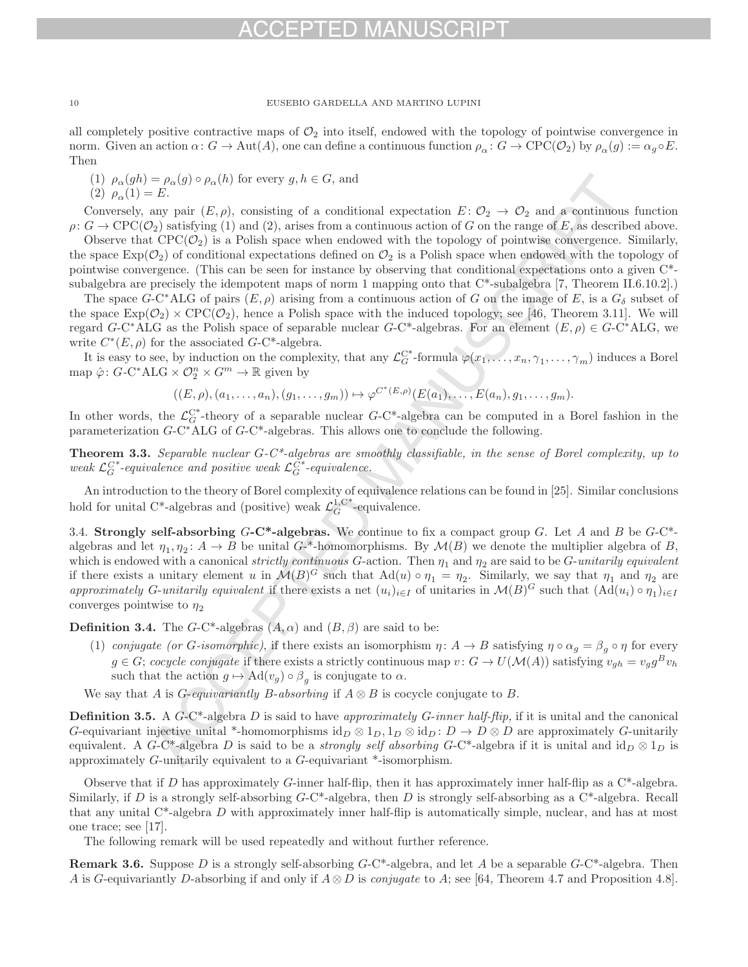## $-1$ )

10 EUSEBIO GARDELLA AND MARTINO LUPINI

all completely positive contractive maps of  $\mathcal{O}_2$  into itself, endowed with the topology of pointwise convergence in norm. Given an action  $\alpha: G \to \text{Aut}(A)$ , one can define a continuous function  $\rho_{\alpha}: G \to \text{CPC}(\mathcal{O}_2)$  by  $\rho_{\alpha}(g) := \alpha_g \circ E$ . Then

(1)  $\rho_{\alpha}(gh) = \rho_{\alpha}(g) \circ \rho_{\alpha}(h)$  for every  $g, h \in G$ , and (2)  $\rho_{\alpha}(1) = E.$ 

Conversely, any pair  $(E, \rho)$ , consisting of a conditional expectation  $E: \mathcal{O}_2 \to \mathcal{O}_2$  and a continuous function  $\rho: G \to \text{CPC}(\mathcal{O}_2)$  satisfying (1) and (2), arises from a continuous action of G on the range of E, as described above.

Observe that  $CPC(\mathcal{O}_2)$  is a Polish space when endowed with the topology of pointwise convergence. Similarly, the space  $\text{Exp}(\mathcal{O}_2)$  of conditional expectations defined on  $\mathcal{O}_2$  is a Polish space when endowed with the topology of pointwise convergence. (This can be seen for instance by observing that conditional expectations onto a given C\* subalgebra are precisely the idempotent maps of norm 1 mapping onto that C\*-subalgebra [7, Theorem II.6.10.2].)

The space  $G-C^*ALG$  of pairs  $(E, \rho)$  arising from a continuous action of G on the image of E, is a  $G_{\delta}$  subset of the space  $\text{Exp}(\mathcal{O}_2) \times \text{CPC}(\mathcal{O}_2)$ , hence a Polish space with the induced topology; see [46, Theorem 3.11]. We will regard  $G-C^*ALG$  as the Polish space of separable nuclear  $G-C^*$ -algebras. For an element  $(E, \rho) \in G-C^*ALG$ , we write  $C^*(E, \rho)$  for the associated  $G$ -C<sup>\*</sup>-algebra.

It is easy to see, by induction on the complexity, that any  $\mathcal{L}_G^{C^*}$ -formula  $\varphi(x_1,\ldots,x_n,\gamma_1,\ldots,\gamma_m)$  induces a Borel map  $\hat{\varphi}$ :  $G$ -C\*ALG ×  $\mathcal{O}_2^n \times G^m \to \mathbb{R}$  given by

$$
((E,\rho),(a_1,\ldots,a_n),(g_1,\ldots,g_m))\mapsto \varphi^{C^*(E,\rho)}(E(a_1),\ldots,E(a_n),g_1,\ldots,g_m).
$$

In other words, the  $\mathcal{L}_G^{C^*}$ -theory of a separable nuclear  $G-C^*$ -algebra can be computed in a Borel fashion in the parameterization G-C∗ALG of G-C\*-algebras. This allows one to conclude the following.

**Theorem 3.3.** Separable nuclear G-C\*-algebras are smoothly classifiable, in the sense of Borel complexity, up to weak  $\mathcal{L}_G^{C^*}$ -equivalence and positive weak  $\mathcal{L}_G^{C^*}$ -equivalence.

An introduction to the theory of Borel complexity of equivalence relations can be found in [25]. Similar conclusions hold for unital C<sup>\*</sup>-algebras and (positive) weak  $\mathcal{L}_G^{1,\mathbf{C}^*}$ -equivalence.

3.4. **Strongly self-absorbing** G**-C\*-algebras.** We continue to fix a compact group G. Let A and B be G-C\* algebras and let  $\eta_1, \eta_2 \colon A \to B$  be unital G-\*-homomorphisms. By  $\mathcal{M}(B)$  we denote the multiplier algebra of B, which is endowed with a canonical strictly continuous G-action. Then  $\eta_1$  and  $\eta_2$  are said to be G-unitarily equivalent if there exists a unitary element u in  $\mathcal{M}(B)^G$  such that  $\text{Ad}(u) \circ \eta_1 = \eta_2$ . Similarly, we say that  $\eta_1$  and  $\eta_2$  are approximately G-unitarily equivalent if there exists a net  $(u_i)_{i\in I}$  of unitaries in  $\mathcal{M}(B)^G$  such that  $(\text{Ad}(u_i) \circ \eta_1)_{i\in I}$ converges pointwise to  $\eta_2$ 

**Definition 3.4.** The  $G-C^*$ -algebras  $(A, \alpha)$  and  $(B, \beta)$  are said to be:

- (1) conjugate (or G-isomorphic), if there exists an isomorphism  $\eta: A \to B$  satisfying  $\eta \circ \alpha_g = \beta_g \circ \eta$  for every  $g \in G$ ; cocycle conjugate if there exists a strictly continuous map  $v : G \to U(\mathcal{M}(A))$  satisfying  $v_{gh} = v_g g^B v_h$ such that the action  $g \mapsto \mathrm{Ad}(v_g) \circ \beta_g$  is conjugate to  $\alpha$ .
- We say that A is G-equivariantly B-absorbing if  $A \otimes B$  is cocycle conjugate to B.

**Definition 3.5.** A G-C\*-algebra D is said to have approximately G-inner half-flip, if it is unital and the canonical G-equivariant injective unital \*-homomorphisms  $id_D \otimes 1_D$ ,  $1_D \otimes id_D$ :  $D \to D \otimes D$  are approximately G-unitarily equivalent. A G-C\*-algebra D is said to be a *strongly self absorbing* G-C\*-algebra if it is unital and  $id_D \otimes 1_D$  is approximately G-unitarily equivalent to a G-equivariant \*-isomorphism.

Observe that if D has approximately G-inner half-flip, then it has approximately inner half-flip as a  $C^*$ -algebra. Similarly, if D is a strongly self-absorbing  $G$ -C<sup>\*</sup>-algebra, then D is strongly self-absorbing as a C<sup>\*</sup>-algebra. Recall that any unital  $C^*$ -algebra D with approximately inner half-flip is automatically simple, nuclear, and has at most one trace; see [17].

The following remark will be used repeatedly and without further reference.

**Remark 3.6.** Suppose D is a strongly self-absorbing G-C\*-algebra, and let A be a separable G-C\*-algebra. Then A is G-equivariantly D-absorbing if and only if  $A \otimes D$  is *conjugate* to A; see [64, Theorem 4.7 and Proposition 4.8].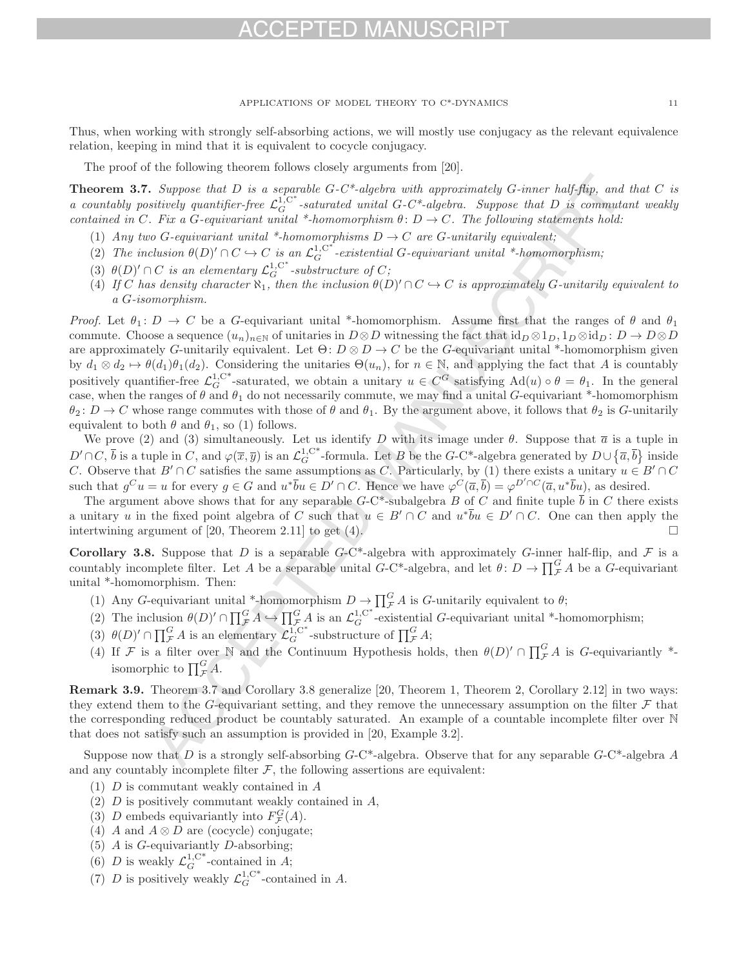Thus, when working with strongly self-absorbing actions, we will mostly use conjugacy as the relevant equivalence relation, keeping in mind that it is equivalent to cocycle conjugacy.

The proof of the following theorem follows closely arguments from [20].

**Theorem 3.7.** Suppose that D is a separable  $G-C^*$ -algebra with approximately  $G$ -inner half-flip, and that C is a countably positively quantifier-free  $\mathcal{L}_G^{1,C^*}$ -saturated unital G-C<sup>\*</sup>-algebra. Suppose that D is commutant weakly contained in C. Fix a G-equivariant unital \*-homomorphism  $\theta: D \to C$ . The following statements hold:

- (1) Any two G-equivariant unital \*-homomorphisms  $D \to C$  are G-unitarily equivalent;
- (2) The inclusion  $\theta(D)' \cap C \hookrightarrow C$  is an  $\mathcal{L}_G^{1,C^*}$ -existential G-equivariant unital \*-homomorphism;
- (3)  $\theta(D)' \cap C$  is an elementary  $\mathcal{L}_G^{1,\mathrm{C}^*}$ -substructure of  $C$ ;
- (4) If C has density character  $\aleph_1$ , then the inclusion  $\theta(D)' \cap C \hookrightarrow C$  is approximately G-unitarily equivalent to a G-isomorphism.

*Proof.* Let  $\theta_1: D \to C$  be a G-equivariant unital \*-homomorphism. Assume first that the ranges of  $\theta$  and  $\theta_1$ commute. Choose a sequence  $(u_n)_{n\in\mathbb{N}}$  of unitaries in  $D\otimes D$  witnessing the fact that  $id_D\otimes 1_D$ ,  $1_D\otimes id_D$ :  $D\to D\otimes D$ are approximately G-unitarily equivalent. Let  $\Theta: D \otimes D \to C$  be the G-equivariant unital \*-homomorphism given by  $d_1 \otimes d_2 \mapsto \theta(d_1)\theta_1(d_2)$ . Considering the unitaries  $\Theta(u_n)$ , for  $n \in \mathbb{N}$ , and applying the fact that A is countably positively quantifier-free  $\mathcal{L}_G^{1,\mathrm{C}^*}$ -saturated, we obtain a unitary  $u \in C^G$  satisfying  $\mathrm{Ad}(u) \circ \theta = \theta_1$ . In the general case, when the ranges of  $\theta$  and  $\theta_1$  do not necessarily commute, we may find a unital G-equivariant \*-homomorphism  $\theta_2: D \to C$  whose range commutes with those of  $\theta$  and  $\theta_1$ . By the argument above, it follows that  $\theta_2$  is G-unitarily equivalent to both  $\theta$  and  $\theta_1$ , so (1) follows.

We prove (2) and (3) simultaneously. Let us identify D with its image under  $\theta$ . Suppose that  $\bar{a}$  is a tuple in  $D' \cap C$ ,  $\overline{b}$  is a tuple in C, and  $\varphi(\overline{x}, \overline{y})$  is an  $\mathcal{L}_G^{1, C^*}$ -formula. Let B be the G-C\*-algebra generated by  $D \cup \{\overline{a}, \overline{b}\}$  inside C. Observe that  $B' \cap C$  satisfies the same assumptions as C. Particularly, by (1) there exists a unitary  $u \in B' \cap C$ such that  $g^C u = u$  for every  $g \in G$  and  $u^* \overline{b} u \in D' \cap C$ . Hence we have  $\varphi^C(\overline{a}, \overline{b}) = \varphi^{D' \cap C}(\overline{a}, u^* \overline{b} u)$ , as desired.

The argument above shows that for any separable  $G$ -C\*-subalgebra B of C and finite tuple  $\overline{b}$  in C there exists a unitary u in the fixed point algebra of C such that  $u \in B' \cap C$  and  $u^*\overline{b}u \in D' \cap C$ . One can then apply the intertwining argument of [20] Theorem 2.11] to get (4) intertwining argument of  $[20,$  Theorem 2.11 $]$  to get  $(4)$ .

**Corollary 3.8.** Suppose that D is a separable  $G$ -C<sup>\*</sup>-algebra with approximately G-inner half-flip, and F is a countably incomplete filter. Let A be a separable unital  $G-C^*$ -algebra, and let  $\theta: D \to \prod_{\mathcal{F}}^G A$  be a  $G$ -equivariant unital \*-homomorphism. Then:

- (1) Any G-equivariant unital \*-homomorphism  $D \to \prod_{\mathcal{F}}^G A$  is G-unitarily equivalent to  $\theta$ ;
- (2) The inclusion  $\theta(D)' \cap \prod_{\mathcal{F}}^G A \hookrightarrow \prod_{\mathcal{F}}^G A$  is an  $\mathcal{L}_G^{1,\mathbb{C}^*}$ -existential G-equivariant unital \*-homomorphism;
- (3)  $\theta(D)' \cap \prod_{\mathcal{F}}^G A$  is an elementary  $\mathcal{L}_G^{1,C^*}$ -substructure of  $\prod_{\mathcal{F}}^G A$ ;
- (4) If F is a filter over N and the Continuum Hypothesis holds, then  $\theta(D)' \cap \prod_{\mathcal{F}}^G A$  is G-equivariantly \*isomorphic to  $\prod_{\mathcal{F}}^G A$ .

**Remark 3.9.** Theorem 3.7 and Corollary 3.8 generalize [20, Theorem 1, Theorem 2, Corollary 2.12] in two ways: they extend them to the G-equivariant setting, and they remove the unnecessary assumption on the filter  $\mathcal F$  that the corresponding reduced product be countably saturated. An example of a countable incomplete filter over N that does not satisfy such an assumption is provided in [20, Example 3.2].

Suppose now that D is a strongly self-absorbing  $G-C^*$ -algebra. Observe that for any separable  $G-C^*$ -algebra A and any countably incomplete filter  $\mathcal{F}$ , the following assertions are equivalent:

- (1) D is commutant weakly contained in A
- $(2)$  D is positively commutant weakly contained in A,
- (3) D embeds equivariantly into  $F_{\mathcal{F}}^G(A)$ .
- (4) A and  $A \otimes D$  are (cocycle) conjugate;
- (5)  $A$  is  $G$ -equivariantly  $D$ -absorbing;
- (6) D is weakly  $\mathcal{L}_G^{1,\mathbf{C}^*}$ -contained in A;
- (7) D is positively weakly  $\mathcal{L}_G^{1,\mathbb{C}^*}$ -contained in A.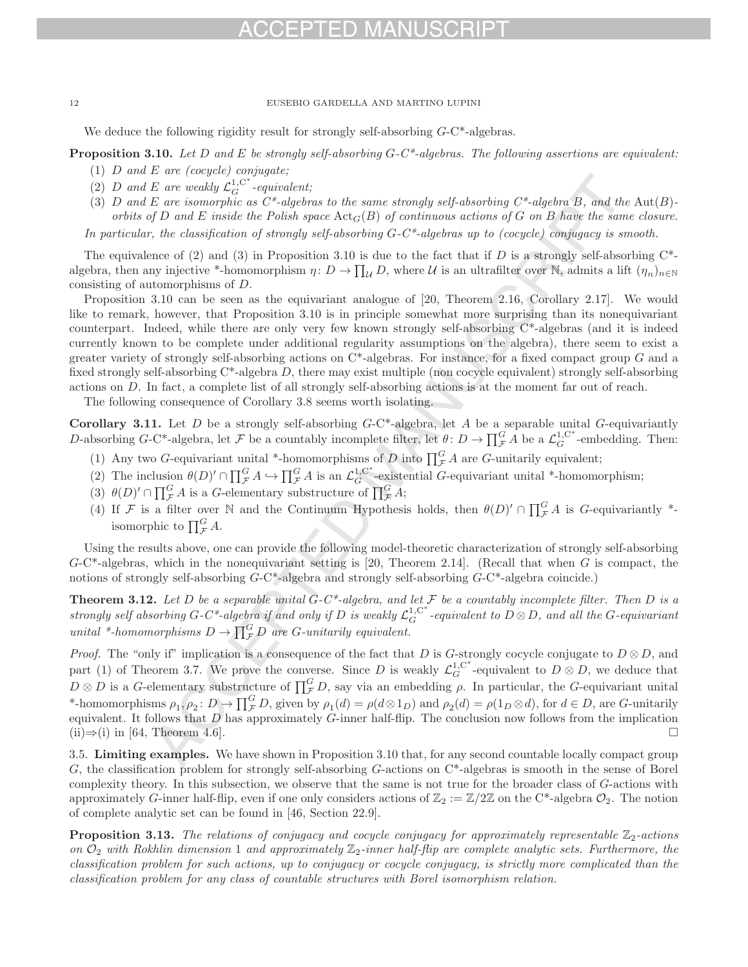# $-1)$

## 12 EUSEBIO GARDELLA AND MARTINO LUPINI

We deduce the following rigidity result for strongly self-absorbing  $G-C^*$ -algebras.

**Proposition 3.10.** Let D and E be strongly self-absorbing G-C\*-algebras. The following assertions are equivalent:

- (1)  $D$  and  $E$  are (cocycle) conjugate;
- (2) D and E are weakly  $\mathcal{L}_G^{1,\mathrm{C}^*}$ -equivalent;
- (3) D and E are isomorphic as  $C^*$ -algebras to the same strongly self-absorbing  $C^*$ -algebra B, and the Aut(B)orbits of D and E inside the Polish space  $Act_G(B)$  of continuous actions of G on B have the same closure. In particular, the classification of strongly self-absorbing  $G-C^*$ -algebras up to (cocycle) conjugacy is smooth.

The equivalence of (2) and (3) in Proposition 3.10 is due to the fact that if D is a strongly self-absorbing  $C^*$ algebra, then any injective \*-homomorphism  $\eta: D \to \prod_{\mathcal{U}} D$ , where  $\mathcal{U}$  is an ultrafilter over N, admits a lift  $(\eta_n)_{n\in\mathbb{N}}$ consisting of automorphisms of D.

Proposition 3.10 can be seen as the equivariant analogue of [20, Theorem 2.16, Corollary 2.17]. We would like to remark, however, that Proposition 3.10 is in principle somewhat more surprising than its nonequivariant counterpart. Indeed, while there are only very few known strongly self-absorbing C\*-algebras (and it is indeed currently known to be complete under additional regularity assumptions on the algebra), there seem to exist a greater variety of strongly self-absorbing actions on  $C^*$ -algebras. For instance, for a fixed compact group G and a fixed strongly self-absorbing  $C^*$ -algebra D, there may exist multiple (non cocycle equivalent) strongly self-absorbing actions on D. In fact, a complete list of all strongly self-absorbing actions is at the moment far out of reach.

The following consequence of Corollary 3.8 seems worth isolating.

**Corollary 3.11.** Let D be a strongly self-absorbing  $G$ -C\*-algebra, let A be a separable unital  $G$ -equivariantly D-absorbing G-C<sup>\*</sup>-algebra, let F be a countably incomplete filter, let  $\theta: D \to \prod_{\mathcal{F}}^G A$  be a  $\mathcal{L}_G^{1,C^*}$ -embedding. Then:

- (1) Any two G-equivariant unital \*-homomorphisms of D into  $\prod_{\mathcal{F}}^G A$  are G-unitarily equivalent;
- (2) The inclusion  $\theta(D) \cap \prod_{\mathcal{F}}^G A \hookrightarrow \prod_{\mathcal{F}}^G A$  is an  $\mathcal{L}_G^{1,\mathbb{C}^*}$ -existential G-equivariant unital \*-homomorphism;
- (3)  $\theta(D)' \cap \prod_{\mathcal{F}}^G A$  is a G-elementary substructure of  $\prod_{\mathcal{F}}^G A$ ;
- (4) If F is a filter over N and the Continuum Hypothesis holds, then  $\theta(D)' \cap \prod_{\mathcal{F}}^G A$  is G-equivariantly \*isomorphic to  $\prod_{\mathcal{F}}^G A$ .

Using the results above, one can provide the following model-theoretic characterization of strongly self-absorbing  $G-C^*$ -algebras, which in the nonequivariant setting is [20, Theorem 2.14]. (Recall that when G is compact, the notions of strongly self-absorbing G-C\*-algebra and strongly self-absorbing G-C\*-algebra coincide.)

**Theorem 3.12.** Let D be a separable unital  $G-C^*$ -algebra, and let F be a countably incomplete filter. Then D is a strongly self absorbing G-C\*-algebra if and only if D is weakly  $\mathcal{L}_G^{1, C^*}$ -equivalent to  $D\otimes D,$  and all the G-equivariant unital \*-homomorphisms  $D \to \prod_{\mathcal{F}}^G D$  are G-unitarily equivalent.

*Proof.* The "only if" implication is a consequence of the fact that D is G-strongly cocycle conjugate to  $D \otimes D$ , and part (1) of Theorem 3.7. We prove the converse. Since D is weakly  $\mathcal{L}_G^{1,\mathbb{C}^*}$ -equivalent to  $D \otimes D$ , we deduce that  $D \otimes D$  is a G-elementary substructure of  $\prod_{\mathcal{F}}^G D$ , say via an embedding  $\rho$ . In particular, the G-equivariant unital \*-homomorphisms  $\rho_1, \rho_2 \colon D \to \prod_{\mathcal{F}}^G D$ , given by  $\rho_1(d) = \rho(d \otimes 1_D)$  and  $\rho_2(d) = \rho(1_D \otimes d)$ , for  $d \in D$ , are G-unitarily equivalent. It follows that  $D$  has approximately  $G$ -inner half-flip. The conclusion now follows from the implication (ii)⇒(i) in [64, Theorem 4.6].

3.5. **Limiting examples.** We have shown in Proposition 3.10 that, for any second countable locally compact group G, the classification problem for strongly self-absorbing G-actions on C\*-algebras is smooth in the sense of Borel complexity theory. In this subsection, we observe that the same is not true for the broader class of G-actions with approximately G-inner half-flip, even if one only considers actions of  $\mathbb{Z}_2 := \mathbb{Z}/2\mathbb{Z}$  on the C\*-algebra  $\mathcal{O}_2$ . The notion of complete analytic set can be found in [46, Section 22.9].

**Proposition 3.13.** The relations of conjugacy and cocycle conjugacy for approximately representable  $\mathbb{Z}_2$ -actions on  $\mathcal{O}_2$  with Rokhlin dimension 1 and approximately  $\mathbb{Z}_2$ -inner half-flip are complete analytic sets. Furthermore, the classification problem for such actions, up to conjugacy or cocycle conjugacy, is strictly more complicated than the classification problem for any class of countable structures with Borel isomorphism relation.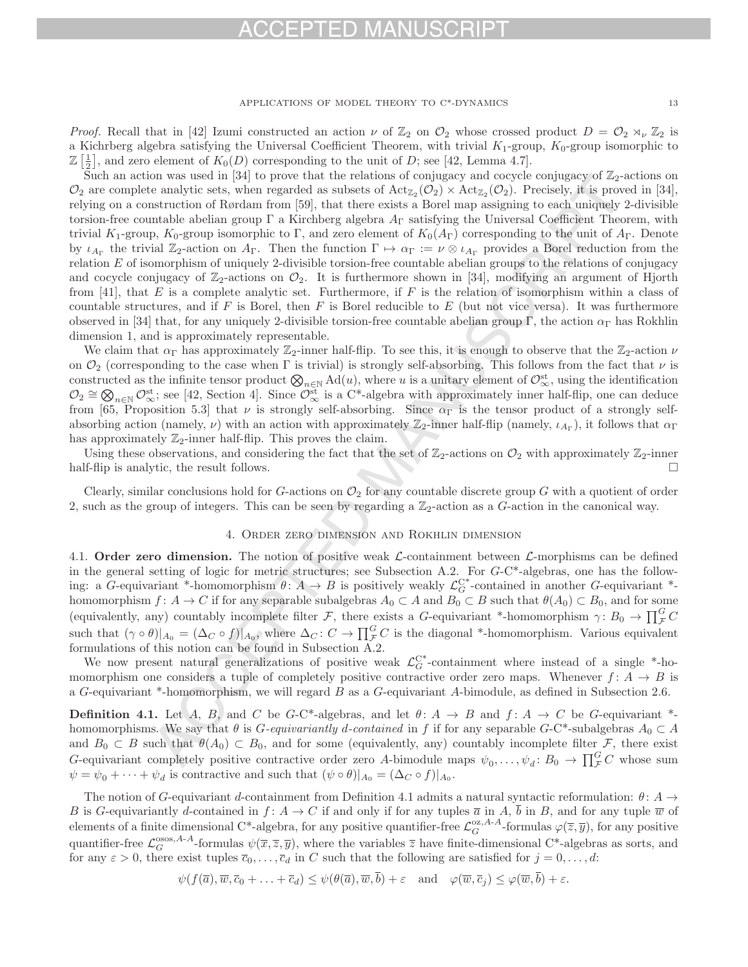## -D MA

APPLICATIONS OF MODEL THEORY TO C\*-DYNAMICS 13

*Proof.* Recall that in [42] Izumi constructed an action  $\nu$  of  $\mathbb{Z}_2$  on  $\mathcal{O}_2$  whose crossed product  $D = \mathcal{O}_2 \rtimes_{\nu} \mathbb{Z}_2$  is a Kichrberg algebra satisfying the Universal Coefficient Theorem, with trivial  $K_1$ -group,  $K_0$ -group isomorphic to  $\mathbb{Z} \left[ \frac{1}{2} \right]$ , and zero element of  $K_0(D)$  corresponding to the unit of D; see [42, Lemma 4.7].

Such an action was used in [34] to prove that the relations of conjugacy and cocycle conjugacy of  $\mathbb{Z}_2$ -actions on  $\mathcal{O}_2$  are complete analytic sets, when regarded as subsets of  $\text{Act}_{\mathbb{Z}_2}(\mathcal{O}_2) \times \text{Act}_{\mathbb{Z}_2}(\mathcal{O}_2)$ . Precisely, it is proved in [34], relying on a construction of Rørdam from [59], that there exists a Borel map assigning to each uniquely 2-divisible torsion-free countable abelian group  $\Gamma$  a Kirchberg algebra  $A_{\Gamma}$  satisfying the Universal Coefficient Theorem, with trivial K<sub>1</sub>-group, K<sub>0</sub>-group isomorphic to Γ, and zero element of K<sub>0</sub>(A<sub>Γ</sub>) corresponding to the unit of A<sub>Γ</sub>. Denote by  $\iota_{A_{\Gamma}}$  the trivial  $\mathbb{Z}_2$ -action on  $A_{\Gamma}$ . Then the function  $\Gamma \mapsto \alpha_{\Gamma} := \nu \otimes \iota_{A_{\Gamma}}$  provides a Borel reduction from the relation E of isomorphism of uniquely 2-divisible torsion-free countable abelian groups to the relations of conjugacy and cocycle conjugacy of  $\mathbb{Z}_2$ -actions on  $\mathcal{O}_2$ . It is furthermore shown in [34], modifying an argument of Hjorth from [41], that E is a complete analytic set. Furthermore, if F is the relation of isomorphism within a class of countable structures, and if  $F$  is Borel, then  $F$  is Borel reducible to  $E$  (but not vice versa). It was furthermore observed in [34] that, for any uniquely 2-divisible torsion-free countable abelian group Γ, the action  $\alpha_{\Gamma}$  has Rokhlin dimension 1, and is approximately representable.

We claim that  $\alpha_{\Gamma}$  has approximately  $\mathbb{Z}_2$ -inner half-flip. To see this, it is enough to observe that the  $\mathbb{Z}_2$ -action  $\nu$ on  $\mathcal{O}_2$  (corresponding to the case when Γ is trivial) is strongly self-absorbing. This follows from the fact that  $\nu$  is constructed as the infinite tensor product  $\mathcal{D}_{\infty}$  Ad(u), where u is a unitary element of  $\mathcal{D}_{\infty}^{\text{st}}$ , using the identification  $\mathcal{O}_2 \cong \bigotimes_{n\in\mathbb{N}} \mathcal{O}_{\infty}^{st}$ ; see [42, Section 4]. Since  $\mathcal{O}_{\infty}^{st}$  is a C\*-algebra with approximately inner half-flip, one can deduce from [65, Proposition 5.3] that  $\nu$  is strongly self-absorbing. Since  $\alpha_{\Gamma}$  is the tensor product of a strongly selfabsorbing action (namely,  $\nu$ ) with an action with approximately  $\mathbb{Z}_2$ -inner half-flip (namely,  $\iota_{A_{\Gamma}}$ ), it follows that  $\alpha_{\Gamma}$ has approximately  $\mathbb{Z}_2$ -inner half-flip. This proves the claim.

Using these observations, and considering the fact that the set of  $\mathbb{Z}_2$ -actions on  $\mathcal{O}_2$  with approximately  $\mathbb{Z}_2$ -inner If-flip is analytic, the result follows. half-flip is analytic, the result follows.

Clearly, similar conclusions hold for G-actions on  $\mathcal{O}_2$  for any countable discrete group G with a quotient of order 2, such as the group of integers. This can be seen by regarding a  $\mathbb{Z}_2$ -action as a G-action in the canonical way.

### 4. Order zero dimension and Rokhlin dimension

4.1. **Order zero dimension.** The notion of positive weak *L*-containment between *L*-morphisms can be defined in the general setting of logic for metric structures; see Subsection A.2. For G-C\*-algebras, one has the following: a G-equivariant \*-homomorphism  $\theta: A \to B$  is positively weakly  $\mathcal{L}_G^{C*}$ -contained in another G-equivariant \*homomorphism  $f: A \to C$  if for any separable subalgebras  $A_0 \subset A$  and  $B_0 \subset B$  such that  $\theta(A_0) \subset B_0$ , and for some (equivalently, any) countably incomplete filter F, there exists a G-equivariant \*-homomorphism  $\gamma: B_0 \to \prod_{\mathcal{F}}^G C$ such that  $({\gamma \circ \theta})|_{A_0} = ({\Delta_C \circ f})|_{A_0}$ , where  ${\Delta_C : C \to \prod_F^G C}$  is the diagonal \*-homomorphism. Various equivalent formulations of this notion can be found in Subsection A.2.

We now present natural generalizations of positive weak  $\mathcal{L}_G^{\mathbb{C}^*}$ -containment where instead of a single \*-homomorphism one considers a tuple of completely positive contractive order zero maps. Whenever  $f: A \rightarrow B$  is a G-equivariant \*-homomorphism, we will regard B as a G-equivariant A-bimodule, as defined in Subsection 2.6.

**Definition 4.1.** Let A, B, and C be G-C\*-algebras, and let  $\theta: A \rightarrow B$  and  $f: A \rightarrow C$  be G-equivariant \*homomorphisms. We say that  $\theta$  is G-equivariantly d-contained in f if for any separable G-C\*-subalgebras  $A_0 \subset A$ and  $B_0 \subset B$  such that  $\theta(A_0) \subset B_0$ , and for some (equivalently, any) countably incomplete filter F, there exist G-equivariant completely positive contractive order zero A-bimodule maps  $\psi_0, \ldots, \psi_d \colon B_0 \to \prod_{\mathcal{F}}^G C$  whose sum  $\psi = \psi_0 + \cdots + \psi_d$  is contractive and such that  $(\psi \circ \theta)|_{A_0} = (\Delta_C \circ f)|_{A_0}$ .

The notion of G-equivariant d-containment from Definition 4.1 admits a natural syntactic reformulation:  $\theta$ :  $A \rightarrow$ B is G-equivariantly d-contained in  $f: A \to C$  if and only if for any tuples  $\overline{a}$  in  $A, \overline{b}$  in  $B$ , and for any tuple  $\overline{w}$  of elements of a finite dimensional C<sup>\*</sup>-algebra, for any positive quantifier-free  $\mathcal{L}_G^{\alpha z,A-A}$ -formulas  $\varphi(\overline{z},\overline{y})$ , for any positive quantifier-free  $\mathcal{L}_G^{\text{osos},A-A}$ -formulas  $\psi(\overline{x},\overline{z},\overline{y})$ , where the variables  $\overline{z}$  have finite-dimensional C\*-algebras as sorts, and for any  $\varepsilon > 0$ , there exist tuples  $\overline{c}_0, \ldots, \overline{c}_d$  in C such that the following are satisfied for  $j = 0, \ldots, d$ :

 $\psi(f(\overline{a}), \overline{w}, \overline{c}_0 + \ldots + \overline{c}_d) \leq \psi(\theta(\overline{a}), \overline{w}, \overline{b}) + \varepsilon$  and  $\varphi(\overline{w}, \overline{c}_i) \leq \varphi(\overline{w}, \overline{b}) + \varepsilon$ .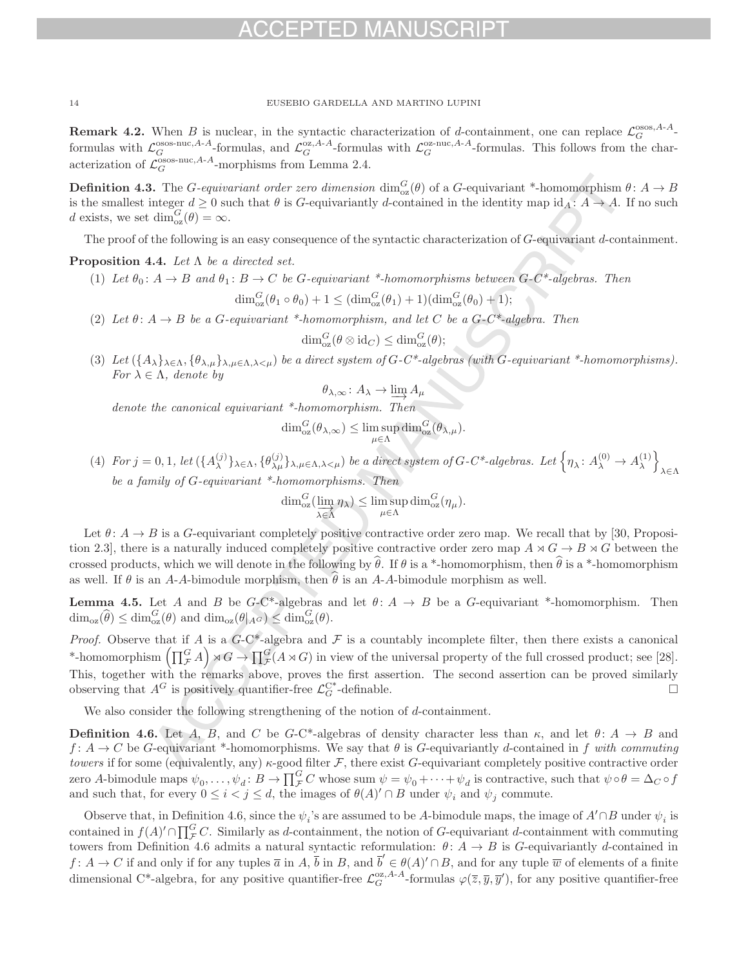**Remark 4.2.** When B is nuclear, in the syntactic characterization of d-containment, one can replace  $\mathcal{L}_G^{\text{osos},A-A}$ . formulas with  $\mathcal{L}_G^{\text{osos-nuc},A-A}$ -formulas, and  $\mathcal{L}_G^{\text{oz},A-A}$ -formulas with  $\mathcal{L}_G^{\text{oz-nuc},A-A}$ -formulas. This follows from the characterization of  $\mathcal{L}_G^{\text{osos-nuc},A-A}$ -morphisms from Lemma 2.4.

**Definition 4.3.** The *G*-equivariant order zero dimension  $\dim_{oz}^G(\theta)$  of a *G*-equivariant \*-homomorphism  $\theta: A \to B$ is the smallest integer  $d \geq 0$  such that  $\theta$  is G-equivariantly d-contained in the identity map  $id_A: A \to A$ . If no such d exists, we set  $\dim_{\text{oz}}^G(\theta) = \infty$ .

The proof of the following is an easy consequence of the syntactic characterization of G-equivariant d-containment.

## **Proposition 4.4.** Let Λ be a directed set.

- (1) Let  $\theta_0: A \to B$  and  $\theta_1: B \to C$  be G-equivariant \*-homomorphisms between G-C\*-algebras. Then  $\dim_{\text{oz}}^G(\theta_1 \circ \theta_0) + 1 \leq (\dim_{\text{oz}}^G(\theta_1) + 1)(\dim_{\text{oz}}^G(\theta_0) + 1);$
- (2) Let  $\theta: A \to B$  be a G-equivariant \*-homomorphism, and let C be a G-C\*-algebra. Then

$$
\dim_{\text{oz}}^G(\theta \otimes \text{id}_C) \le \dim_{\text{oz}}^G(\theta);
$$

(3) Let  $({A_{\lambda}}_{\lambda\in\Lambda}, {\theta_{\lambda,\mu}}_{\lambda,\mu\in\Lambda,\lambda<\mu})$  be a direct system of G-C\*-algebras (with G-equivariant \*-homomorphisms). For  $\lambda \in \Lambda$ , denote by

$$
\theta_{\lambda,\infty} \colon A_{\lambda} \to \varinjlim A_{\mu}
$$

denote the canonical equivariant \*-homomorphism. Then

$$
\dim_{\text{oz}}^G(\theta_{\lambda,\infty}) \leq \limsup_{\mu \in \Lambda} \dim_{\text{oz}}^G(\theta_{\lambda,\mu}).
$$

(4) For  $j = 0, 1$ , let  $({A_{\lambda}^{(j)}}_{\lambda \in \Lambda}, {\{\theta_{\lambda \mu}^{(j)}}}_{\lambda, \mu \in \Lambda, \lambda < \mu})$  be a direct system of G-C\*-algebras. Let  $\{\eta_{\lambda}: A_{\lambda}^{(0)} \to A_{\lambda}^{(1)}\}$  $\overline{1}$ λ∈Λ be a family of G-equivariant \*-homomorphisms. Then

$$
\dim_{\text{oz}}^G(\varinjlim_{\lambda \in \Lambda} \eta_{\lambda}) \le \limsup_{\mu \in \Lambda} \dim_{\text{oz}}^G(\eta_{\mu}).
$$

Let  $\theta: A \to B$  is a G-equivariant completely positive contractive order zero map. We recall that by [30, Proposition 2.3, there is a naturally induced completely positive contractive order zero map  $A \rtimes G \to B \rtimes G$  between the crossed products, which we will denote in the following by  $\theta$ . If  $\theta$  is a \*-homomorphism, then  $\theta$  is a \*-homomorphism as well. If  $\theta$  is an A-A-bimodule morphism, then  $\hat{\theta}$  is an A-A-bimodule morphism as well.

**Lemma 4.5.** Let A and B be  $G-C^*$ -algebras and let  $\theta: A \to B$  be a G-equivariant \*-homomorphism. Then  $\dim_{\text{oz}}(\widehat{\theta}) \leq \dim_{\text{oz}}^G(\theta)$  and  $\dim_{\text{oz}}(\theta|_{A^G}) \leq \dim_{\text{oz}}^G(\theta)$ .

*Proof.* Observe that if A is a  $G-C^*$ -algebra and F is a countably incomplete filter, then there exists a canonical \*-homomorphism  $\left(\prod_{\mathcal{F}}^G A\right) \rtimes G \to \prod_{\mathcal{F}}^G (A \rtimes G)$  in view of the universal property of the full crossed product; see [28]. This, together with the remarks above, proves the first assertion. The second assertion can be proved similarly observing that  $A^G$  is positively quantifier-free  $\mathcal{L}_G^{C^*}$ -definable.

We also consider the following strengthening of the notion of d-containment.

**Definition 4.6.** Let A, B, and C be G-C\*-algebras of density character less than  $\kappa$ , and let  $\theta: A \to B$  and f:  $A \rightarrow C$  be G-equivariant \*-homomorphisms. We say that  $\theta$  is G-equivariantly d-contained in f with commuting towers if for some (equivalently, any)  $\kappa$ -good filter F, there exist G-equivariant completely positive contractive order zero A-bimodule maps  $\psi_0, \ldots, \psi_d \colon B \to \prod_{\mathcal{F}}^G C$  whose sum  $\psi = \psi_0 + \cdots + \psi_d$  is contractive, such that  $\psi \circ \theta = \Delta_C \circ f$ and such that, for every  $0 \leq i < j \leq d$ , the images of  $\theta(A)' \cap B$  under  $\psi_i$  and  $\psi_j$  commute.

Observe that, in Definition 4.6, since the  $\psi_i$ 's are assumed to be A-bimodule maps, the image of  $A' \cap B$  under  $\psi_i$  is contained in  $f(A)' \cap \prod_{\mathcal{F}}^G C$ . Similarly as d-containment, the notion of G-equivariant d-containment with commuting towers from Definition 4.6 admits a natural syntactic reformulation:  $\theta: A \to B$  is G-equivariantly d-contained in  $f: A \to C$  if and only if for any tuples  $\overline{a}$  in  $A, \overline{b}$  in  $B$ , and  $\overline{b}' \in \theta(A)' \cap B$ , and for any tuple  $\overline{w}$  of elements of a finite dimensional C<sup>\*</sup>-algebra, for any positive quantifier-free  $\mathcal{L}_G^{\alpha, A-A}$ -formulas  $\varphi(\overline{z}, \overline{y}, \overline{y}')$ , for any positive quantifier-free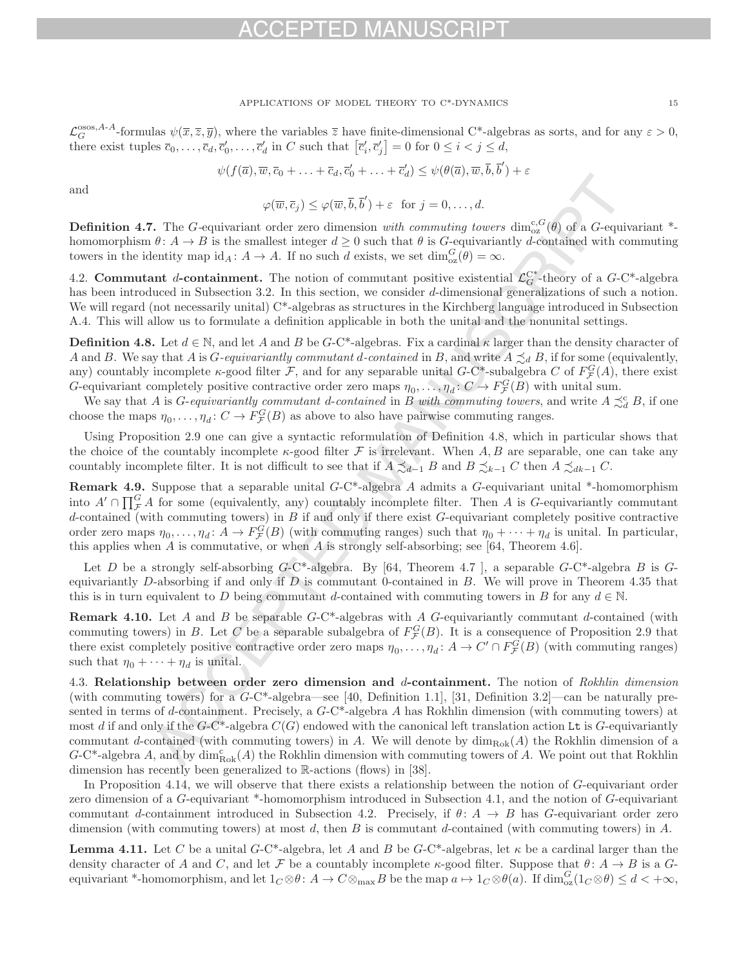## $-1$

### APPLICATIONS OF MODEL THEORY TO C\*-DYNAMICS 15

 $\mathcal{L}_G^{\text{osos},A-A}$ -formulas  $\psi(\overline{x},\overline{z},\overline{y})$ , where the variables  $\overline{z}$  have finite-dimensional C\*-algebras as sorts, and for any  $\varepsilon > 0$ , there exist tuples  $\overline{c}_0, \ldots, \overline{c}_d, \overline{c}'_0, \ldots, \overline{c}'_d$  in C such that  $[\overline{c}'_i, \overline{c}'_j] = 0$  for  $0 \le i < j \le d$ ,

$$
\psi(f(\overline{a}), \overline{w}, \overline{c}_0 + \ldots + \overline{c}_d, \overline{c}'_0 + \ldots + \overline{c}'_d) \leq \psi(\theta(\overline{a}), \overline{w}, \overline{b}, \overline{b}') + \varepsilon
$$

and

$$
\varphi(\overline{w},\overline{c}_j) \leq \varphi(\overline{w},\overline{b},\overline{b}') + \varepsilon \text{ for } j = 0,\ldots,d.
$$

**Definition 4.7.** The G-equivariant order zero dimension with commuting towers  $\dim_{\text{OZ}}^{c,G}(\theta)$  of a G-equivariant \*homomorphism  $\theta: A \to B$  is the smallest integer  $d \geq 0$  such that  $\theta$  is G-equivariantly d-contained with commuting towers in the identity map  $id_A: A \to A$ . If no such d exists, we set  $dim_{\text{oz}}^G(\theta) = \infty$ .

4.2. **Commutant** d-containment. The notion of commutant positive existential  $\mathcal{L}_G^{C^*}$ -theory of a  $G$ -C<sup>\*</sup>-algebra has been introduced in Subsection 3.2. In this section, we consider d-dimensional generalizations of such a notion. We will regard (not necessarily unital) C<sup>\*</sup>-algebras as structures in the Kirchberg language introduced in Subsection A.4. This will allow us to formulate a definition applicable in both the unital and the nonunital settings.

**Definition 4.8.** Let  $d \in \mathbb{N}$ , and let A and B be G-C\*-algebras. Fix a cardinal  $\kappa$  larger than the density character of A and B. We say that A is G-equivariantly commutant d-contained in B, and write  $A \precsim_d B$ , if for some (equivalently, any) countably incomplete  $\kappa$ -good filter  $\mathcal{F}$ , and for any separable unital  $G$ -C\*-subalgebra C of  $F_{\mathcal{F}}^G(A)$ , there exist G-equivariant completely positive contractive order zero maps  $\eta_0, \ldots, \eta_d \colon C \to F_{\mathcal{F}}^G(B)$  with unital sum.

We say that A is *G*-equivariantly commutant d-contained in B with commuting towers, and write  $A \precsim_d^c B$ , if one choose the maps  $\eta_0, \ldots, \eta_d \colon C \to F^G_{\mathcal{F}}(B)$  as above to also have pairwise commuting ranges.

Using Proposition 2.9 one can give a syntactic reformulation of Definition 4.8, which in particular shows that the choice of the countably incomplete  $\kappa$ -good filter F is irrelevant. When A, B are separable, one can take any countably incomplete filter. It is not difficult to see that if  $A \precsim_{d-1} B$  and  $B \precsim_{k-1} C$  then  $A \precsim_{dk-1} C$ .

**Remark 4.9.** Suppose that a separable unital G-C\*-algebra A admits a G-equivariant unital \*-homomorphism into  $A' \cap \prod_{\mathcal{F}}^G A$  for some (equivalently, any) countably incomplete filter. Then A is G-equivariantly commutant d-contained (with commuting towers) in  $B$  if and only if there exist  $G$ -equivariant completely positive contractive order zero maps  $\eta_0, \ldots, \eta_d \colon A \to F^G_{\mathcal{F}}(B)$  (with commuting ranges) such that  $\eta_0 + \cdots + \eta_d$  is unital. In particular, this applies when  $A$  is commutative, or when  $A$  is strongly self-absorbing; see [64, Theorem 4.6].

Let D be a strongly self-absorbing  $G$ -C\*-algebra. By [64, Theorem 4.7 ], a separable  $G$ -C\*-algebra B is  $G$ equivariantly D-absorbing if and only if  $D$  is commutant 0-contained in  $B$ . We will prove in Theorem 4.35 that this is in turn equivalent to D being commutant d-contained with commuting towers in B for any  $d \in \mathbb{N}$ .

**Remark 4.10.** Let A and B be separable G-C<sup>\*</sup>-algebras with A G-equivariantly commutant d-contained (with commuting towers) in B. Let C be a separable subalgebra of  $F_{\mathcal{F}}^G(B)$ . It is a consequence of Proposition 2.9 that there exist completely positive contractive order zero maps  $\eta_0, \ldots, \eta_d \colon A \to C' \cap F_{\mathcal{F}}^G(B)$  (with commuting ranges) such that  $\eta_0 + \cdots + \eta_d$  is unital.

4.3. **Relationship between order zero dimension and** d**-containment.** The notion of Rokhlin dimension (with commuting towers) for a  $G$ -C\*-algebra—see [40, Definition 1.1], [31, Definition 3.2]—can be naturally presented in terms of d-containment. Precisely, a  $G$ -C<sup>\*</sup>-algebra A has Rokhlin dimension (with commuting towers) at most d if and only if the  $G$ -C\*-algebra  $C(G)$  endowed with the canonical left translation action Lt is G-equivariantly commutant d-contained (with commuting towers) in A. We will denote by  $\dim_{\text{Rok}}(A)$  the Rokhlin dimension of a G-C<sup>\*</sup>-algebra A, and by  $\dim_{\text{Rok}}^c(A)$  the Rokhlin dimension with commuting towers of A. We point out that Rokhlin dimension has recently been generalized to R-actions (flows) in [38].

In Proposition 4.14, we will observe that there exists a relationship between the notion of G-equivariant order zero dimension of a G-equivariant \*-homomorphism introduced in Subsection 4.1, and the notion of G-equivariant commutant d-containment introduced in Subsection 4.2. Precisely, if  $\theta: A \to B$  has G-equivariant order zero dimension (with commuting towers) at most d, then B is commutant d-contained (with commuting towers) in  $A$ .

**Lemma 4.11.** Let C be a unital G-C\*-algebra, let A and B be  $G$ -C\*-algebras, let  $\kappa$  be a cardinal larger than the density character of A and C, and let F be a countably incomplete  $\kappa$ -good filter. Suppose that  $\theta: A \to B$  is a Gequivariant \*-homomorphism, and let  $1_C \otimes \theta \colon A \to C \otimes_{\max} B$  be the map  $a \mapsto 1_C \otimes \theta(a)$ . If  $\dim_{\text{oz}}^G(1_C \otimes \theta) \leq d < +\infty$ ,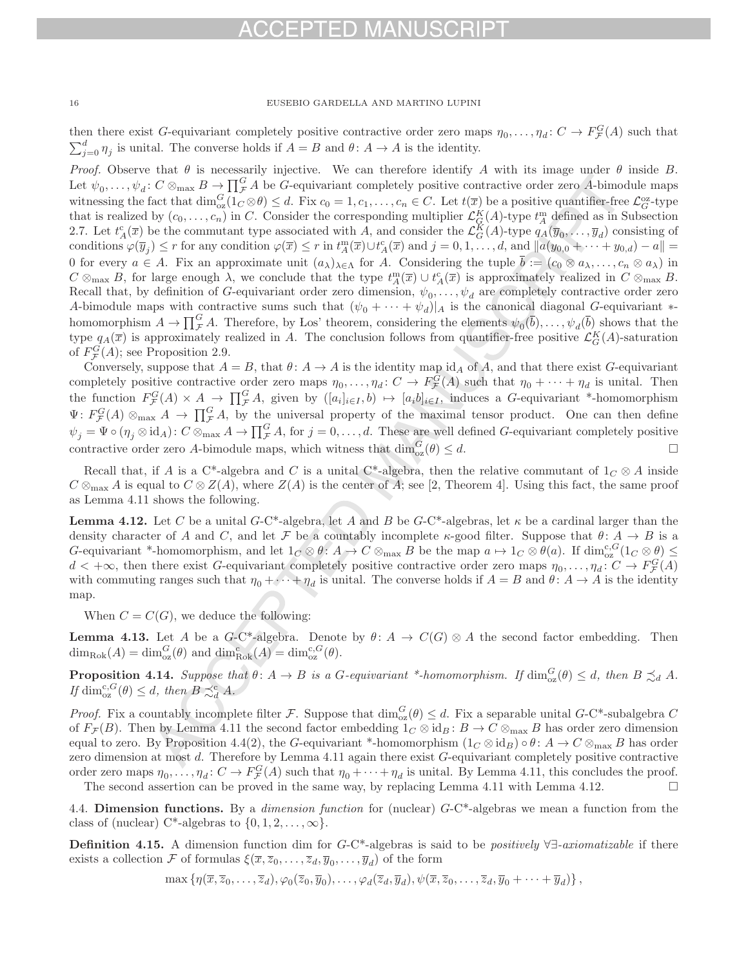then there exist G-equivariant completely positive contractive order zero maps  $\eta_0, \ldots, \eta_d \colon C \to F^G_{\mathcal{F}}(A)$  such that  $\sum_{j=0}^{d} \eta_j$  is unital. The converse holds if  $A = B$  and  $\theta: A \to A$  is the identity.

Proof. Observe that  $\theta$  is necessarily injective. We can therefore identify A with its image under  $\theta$  inside B. Let  $\psi_0,\ldots,\psi_d\colon C\otimes_{\text{max}} B\to \prod_{\mathcal{F}} G A$  be G-equivariant completely positive contractive order zero A-bimodule maps witnessing the fact that  $\dim_{oz}^G(1_C \otimes \theta) \leq d$ . Fix  $c_0 = 1, c_1, \ldots, c_n \in C$ . Let  $t(\overline{x})$  be a positive quantifier-free  $\mathcal{L}_G^{oz}$ -type that is realized by  $(c_0,\ldots,c_n)$  in C. Consider the corresponding multiplier  $\mathcal{L}_{G}^K(A)$ -type  $t_A^m$  defined as in Subsection 2.7. Let  $t_A^c(\overline{x})$  be the commutant type associated with A, and consider the  $\mathcal{L}_G^K(A)$ -type  $q_A(\overline{y}_0,\ldots,\overline{y}_d)$  consisting of conditions  $\varphi(\overline{y}_j) \leq r$  for any condition  $\varphi(\overline{x}) \leq r$  in  $t_A^m(\overline{x}) \cup t_A^c(\overline{x})$  and  $j = 0, 1, ..., d$ , and  $||a(y_{0,0} + \cdots + y_{0,d}) - a|| =$ 0 for every  $a \in A$ . Fix an approximate unit  $(a_\lambda)_{\lambda \in \Lambda}$  for A. Considering the tuple  $\overline{b} := (c_0 \otimes a_\lambda, \ldots, c_n \otimes a_\lambda)$  in  $C \otimes_{\text{max}} B$ , for large enough  $\lambda$ , we conclude that the type  $t_A^m(\overline{x}) \cup t_A^c(\overline{x})$  is approximately realized in  $C \otimes_{\text{max}} B$ . Recall that, by definition of G-equivariant order zero dimension,  $\psi_0,\ldots,\psi_d$  are completely contractive order zero A-bimodule maps with contractive sums such that  $(\psi_0 + \cdots + \psi_d)|_A$  is the canonical diagonal G-equivariant  $*$ homomorphism  $A \to \prod_{\mathcal{F}}^G A$ . Therefore, by Los' theorem, considering the elements  $\psi_0(\bar{b}), \ldots, \psi_d(\bar{b})$  shows that the type  $q_A(\overline{x})$  is approximately realized in A. The conclusion follows from quantifier-free positive  $\mathcal{L}_G^K(A)$ -saturation of  $F_{\mathcal{F}}^G(A)$ ; see Proposition 2.9.

Conversely, suppose that  $A = B$ , that  $\theta: A \to A$  is the identity map id<sub>A</sub> of A, and that there exist G-equivariant completely positive contractive order zero maps  $\eta_0, \ldots, \eta_d \colon C \to F^G_{\mathcal{F}}(A)$  such that  $\eta_0 + \cdots + \eta_d$  is unital. Then the function  $F_{\mathcal{F}}^G(A) \times A \to \prod_{\mathcal{F}}^G A$ , given by  $([a_i]_{i\in I}, b) \mapsto [a_i b]_{i\in I}$ , induces a G-equivariant \*-homomorphism  $\Psi: F_{\mathcal{F}}^G(A) \otimes_{\text{max}} A \to \prod_{\mathcal{F}}^G A$ , by the universal property of the maximal tensor product. One can then define  $\psi_j = \Psi \circ (\eta_j \otimes \mathrm{id}_A) : C \otimes_{\text{max}} A \to \prod_{\mathcal{F}}^G A$ , for  $j = 0, \ldots, d$ . These are well defined G-equivariant completely positive contractive order zero A-bimodule maps, which witness that  $\dim_{oz}^G(\theta) \leq d$ .

Recall that, if A is a C<sup>\*</sup>-algebra and C is a unital C<sup>\*</sup>-algebra, then the relative commutant of  $1_C \otimes A$  inside  $C \otimes_{\text{max}} A$  is equal to  $C \otimes Z(A)$ , where  $Z(A)$  is the center of A; see [2, Theorem 4]. Using this fact, the same proof as Lemma 4.11 shows the following.

**Lemma 4.12.** Let C be a unital G-C\*-algebra, let A and B be  $G$ -C\*-algebras, let  $\kappa$  be a cardinal larger than the density character of A and C, and let F be a countably incomplete  $\kappa$ -good filter. Suppose that  $\theta: A \to B$  is a G-equivariant \*-homomorphism, and let  $1_C \otimes \theta$ :  $A \to C \otimes_{\text{max}} B$  be the map  $a \mapsto 1_C \otimes \theta(a)$ . If  $\dim_{\text{OZ}}^{c, G}(1_C \otimes \theta) \leq$  $d < +\infty$ , then there exist G-equivariant completely positive contractive order zero maps  $\eta_0, \ldots, \eta_d : C \to F^G_{\mathcal{F}}(A)$ with commuting ranges such that  $\eta_0 + \cdots + \eta_d$  is unital. The converse holds if  $A = B$  and  $\theta: A \to A$  is the identity map.

When  $C = C(G)$ , we deduce the following:

**Lemma 4.13.** Let A be a G-C\*-algebra. Denote by  $\theta: A \to C(G) \otimes A$  the second factor embedding. Then  $\dim_{\text{Rok}}(A) = \dim_{\text{oz}}^G(\theta)$  and  $\dim_{\text{Rok}}^c(A) = \dim_{\text{oz}}^{c,G}(\theta)$ .

**Proposition 4.14.** Suppose that  $\theta: A \to B$  is a G-equivariant \*-homomorphism. If  $\dim_{oz}^G(\theta) \leq d$ , then  $B \precsim_d A$ . If  $\dim_{\text{oz}}^{\text{c},G}(\theta) \leq d$ , then  $B \precsim_d^{\text{c}} A$ .

*Proof.* Fix a countably incomplete filter F. Suppose that  $\dim_{\text{oz}}^G(\theta) \leq d$ . Fix a separable unital G-C\*-subalgebra C of  $F_{\mathcal{F}}(B)$ . Then by Lemma 4.11 the second factor embedding  $1_C \otimes id_B : B \to C \otimes_{\text{max}} B$  has order zero dimension equal to zero. By Proposition 4.4(2), the G-equivariant \*-homomorphism  $(1_C \otimes id_B) \circ \theta : A \to C \otimes_{\text{max}} B$  has order zero dimension at most d. Therefore by Lemma 4.11 again there exist G-equivariant completely positive contractive order zero maps  $\eta_0, \ldots, \eta_d \colon C \to F^G_{\mathcal{F}}(A)$  such that  $\eta_0 + \cdots + \eta_d$  is unital. By Lemma 4.11, this concludes the proof.

The second assertion can be proved in the same way, by replacing Lemma 4.11 with Lemma 4.12.  $\Box$ 

4.4. **Dimension functions.** By a dimension function for (nuclear) G-C\*-algebras we mean a function from the class of (nuclear) C<sup>\*</sup>-algebras to  $\{0, 1, 2, \ldots, \infty\}$ .

**Definition 4.15.** A dimension function dim for G-C\*-algebras is said to be positively ∀∃-axiomatizable if there exists a collection F of formulas  $\xi(\overline{x}, \overline{z}_0, \ldots, \overline{z}_d, \overline{y}_0, \ldots, \overline{y}_d)$  of the form

 $\max \left\{ \eta(\overline{x}, \overline{z}_0,\ldots,\overline{z}_d), \varphi_0(\overline{z}_0, \overline{y}_0),\ldots,\varphi_d(\overline{z}_d, \overline{y}_d), \psi(\overline{x}, \overline{z}_0,\ldots,\overline{z}_d, \overline{y}_0 + \cdots + \overline{y}_d) \right\},$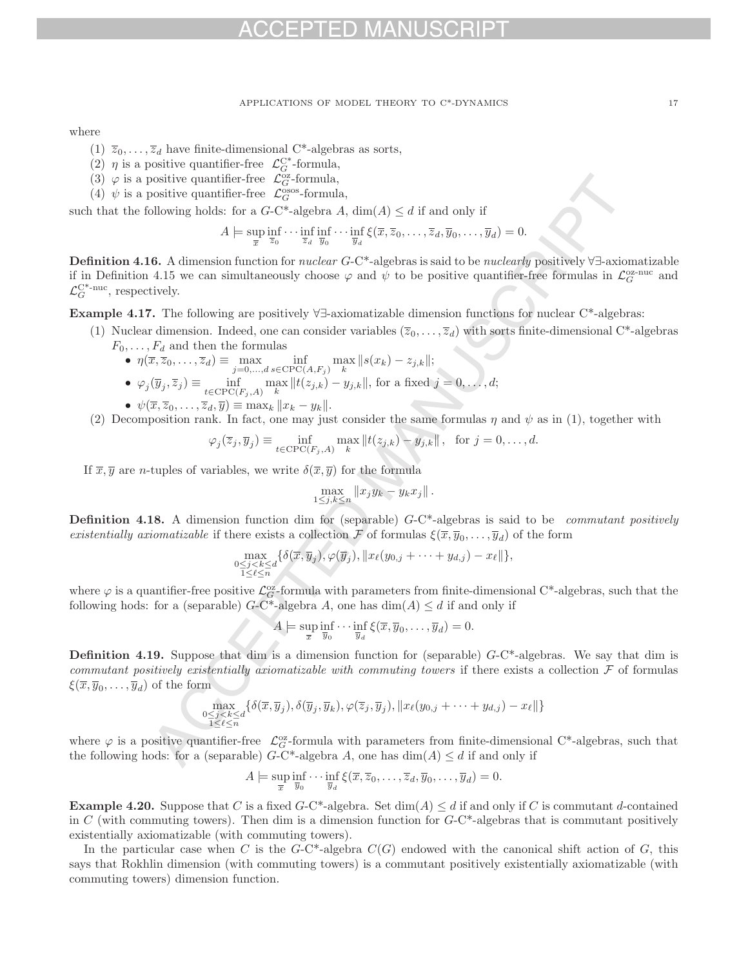where

- (1)  $\overline{z}_0, \ldots, \overline{z}_d$  have finite-dimensional C<sup>\*</sup>-algebras as sorts,
- (2)  $\eta$  is a positive quantifier-free  $\mathcal{L}_G^{C^*}$ -formula,
- (3)  $\varphi$  is a positive quantifier-free  $\mathcal{L}_G^{\text{oz}}$ -formula,
- (4)  $\psi$  is a positive quantifier-free  $\mathcal{L}_G^{\text{osos}}$ -formula,

such that the following holds: for a  $G-C^*$ -algebra A,  $\dim(A) \leq d$  if and only if

$$
A \models \sup_{\overline{x}} \inf_{\overline{z}_0} \cdots \inf_{\overline{z}_d} \inf_{\overline{y}_0} \cdots \inf_{\overline{y}_d} \xi(\overline{x}, \overline{z}_0, \dots, \overline{z}_d, \overline{y}_0, \dots, \overline{y}_d) = 0.
$$

**Definition 4.16.** A dimension function for *nuclear G*-C<sup>\*</sup>-algebras is said to be *nuclearly* positively ∀∃-axiomatizable if in Definition 4.15 we can simultaneously choose  $\varphi$  and  $\psi$  to be positive quantifier-free formulas in  $\mathcal{L}_G^{\text{oz-nuc}}$  and  $\mathcal{L}_G^{\mathrm{C}^*-\mathrm{nuc}},$  respectively.

**Example 4.17.** The following are positively ∀∃-axiomatizable dimension functions for nuclear C\*-algebras:

- (1) Nuclear dimension. Indeed, one can consider variables  $(\overline{z}_0,\ldots,\overline{z}_d)$  with sorts finite-dimensional C\*-algebras  $F_0, \ldots, F_d$  and then the formulas
	- $\eta(\overline{x}, \overline{z}_0, \dots, \overline{z}_d) \equiv \max_{j=0, \dots, d} \inf_{s \in \text{CPC}(A, F_j)} \max_{k} ||s(x_k) z_{j,k}||;$
	- $\varphi_j(\overline{y}_j, \overline{z}_j) \equiv \inf_{t \in \text{CPC}(F_j, A)} \max_k ||t(z_{j,k}) y_{j,k}||$ , for a fixed  $j = 0, \ldots, d;$
	- $\psi(\overline{x}, \overline{z}_0, \ldots, \overline{z}_d, \overline{y}) \equiv \max_k ||x_k y_k||.$
- (2) Decomposition rank. In fact, one may just consider the same formulas  $\eta$  and  $\psi$  as in (1), together with

$$
\varphi_j(\overline{z}_j, \overline{y}_j) \equiv \inf_{t \in \text{CPC}(F_j, A)} \max_k ||t(z_{j,k}) - y_{j,k}||, \text{ for } j = 0, \dots, d.
$$

If  $\overline{x}, \overline{y}$  are *n*-tuples of variables, we write  $\delta(\overline{x}, \overline{y})$  for the formula

$$
\max_{1\leq j,k\leq n} \|x_j y_k - y_k x_j\|.
$$

**Definition 4.18.** A dimension function dim for (separable) G-C\*-algebras is said to be *commutant positively* existentially axiomatizable if there exists a collection F of formulas  $\xi(\overline{x}, \overline{y}_0, \ldots, \overline{y}_d)$  of the form

$$
\max_{\substack{0\leq j < k \leq d\\1\leq \ell \leq n}} \{\delta(\overline{x}, \overline{y}_j), \varphi(\overline{y}_j), \|x_\ell(y_{0,j} + \cdots + y_{d,j}) - x_\ell\|\},
$$

where  $\varphi$  is a quantifier-free positive  $\mathcal{L}_G^{\infty}$ -formula with parameters from finite-dimensional C\*-algebras, such that the following hods: for a (separable)  $G-C^*$ -algebra A, one has  $\dim(A) \leq d$  if and only if

$$
A \models \sup_{\overline{x}} \inf_{\overline{y}_0} \cdots \inf_{\overline{y}_d} \xi(\overline{x}, \overline{y}_0, \ldots, \overline{y}_d) = 0.
$$

**Definition 4.19.** Suppose that dim is a dimension function for (separable)  $G-C^*$ -algebras. We say that dim is commutant positively existentially axiomatizable with commuting towers if there exists a collection  $\mathcal F$  of formulas  $\xi(\overline{x}, \overline{y}_0, \ldots, \overline{y}_d)$  of the form

$$
\max_{\substack{0 \le j < k \le d \\ 1 \le \ell \le n}} \{ \delta(\overline{x}, \overline{y}_j), \delta(\overline{y}_j, \overline{y}_k), \varphi(\overline{z}_j, \overline{y}_j), \|x_\ell(y_{0,j} + \dots + y_{d,j}) - x_\ell\| \}
$$

where  $\varphi$  is a positive quantifier-free  $\mathcal{L}_{G}^{\alpha}$ -formula with parameters from finite-dimensional C\*-algebras, such that the following hods: for a (separable)  $G$ -C<sup>\*</sup>-algebra A, one has  $\dim(A) \leq d$  if and only if

$$
A \models \sup_{\overline{x}} \inf_{\overline{y}_0} \cdots \inf_{\overline{y}_d} \xi(\overline{x}, \overline{z}_0, \dots, \overline{z}_d, \overline{y}_0, \dots, \overline{y}_d) = 0.
$$

**Example 4.20.** Suppose that C is a fixed  $G-C^*$ -algebra. Set  $\dim(A) \leq d$  if and only if C is commutant d-contained in C (with commuting towers). Then dim is a dimension function for  $G-C^*$ -algebras that is commutant positively existentially axiomatizable (with commuting towers).

In the particular case when C is the G-C\*-algebra  $C(G)$  endowed with the canonical shift action of G, this says that Rokhlin dimension (with commuting towers) is a commutant positively existentially axiomatizable (with commuting towers) dimension function.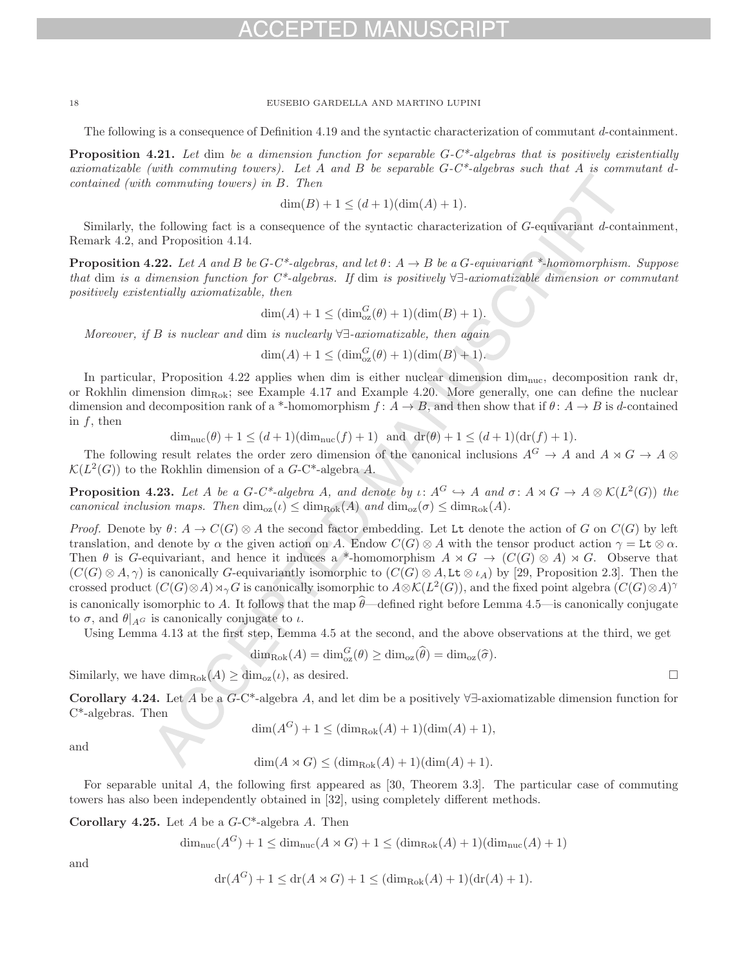The following is a consequence of Definition 4.19 and the syntactic characterization of commutant d-containment.

**Proposition 4.21.** Let dim be a dimension function for separable  $G-C^*$ -algebras that is positively existentially axiomatizable (with commuting towers). Let A and B be separable  $G-C^*$ -algebras such that A is commutant dcontained (with commuting towers) in B. Then

$$
\dim(B) + 1 \le (d+1)(\dim(A) + 1).
$$

Similarly, the following fact is a consequence of the syntactic characterization of G-equivariant d-containment, Remark 4.2, and Proposition 4.14.

**Proposition 4.22.** Let A and B be  $G-C^*$ -algebras, and let  $\theta: A \rightarrow B$  be a  $G$ -equivariant \*-homomorphism. Suppose that dim is a dimension function for  $C^*$ -algebras. If dim is positively  $\forall \exists$ -axiomatizable dimension or commutant positively existentially axiomatizable, then

$$
\dim(A) + 1 \leq (\dim_{\text{oz}}^G(\theta) + 1)(\dim(B) + 1).
$$

Moreover, if B is nuclear and dim is nuclearly  $\forall \exists$ -axiomatizable, then again

$$
\dim(A) + 1 \leq (\dim_{\text{oz}}^G(\theta) + 1)(\dim(B) + 1).
$$

In particular, Proposition 4.22 applies when dim is either nuclear dimension dim<sub>nuc</sub>, decomposition rank dr, or Rokhlin dimension dim<sub>Rok</sub>; see Example 4.17 and Example 4.20. More generally, one can define the nuclear dimension and decomposition rank of a \*-homomorphism  $f: A \to B$ , and then show that if  $\theta: A \to B$  is d-contained in  $f$ , then

 $\dim_{\text{nuc}}(\theta) + 1 \leq (d+1)(\dim_{\text{nuc}}(f) + 1)$  and  $\text{dr}(\theta) + 1 \leq (d+1)(\text{dr}(f) + 1)$ .

The following result relates the order zero dimension of the canonical inclusions  $A^G \to A$  and  $A \rtimes G \to A \otimes$  $\mathcal{K}(L^2(G))$  to the Rokhlin dimension of a  $G$ -C<sup>\*</sup>-algebra A.

**Proposition 4.23.** Let A be a  $G-C^*$ -algebra A, and denote by  $\iota: A^G \hookrightarrow A$  and  $\sigma: A \rtimes G \to A \otimes \mathcal{K}(L^2(G))$  the canonical inclusion maps. Then  $\dim_{\text{log}}(\iota) \leq \dim_{\text{Bok}}(A)$  and  $\dim_{\text{log}}(\sigma) \leq \dim_{\text{Bok}}(A)$ .

Proof. Denote by  $\theta: A \to C(G) \otimes A$  the second factor embedding. Let Lt denote the action of G on  $C(G)$  by left translation, and denote by  $\alpha$  the given action on A. Endow  $C(G) \otimes A$  with the tensor product action  $\gamma = Lt \otimes \alpha$ . Then  $\theta$  is G-equivariant, and hence it induces a \*-homomorphism  $A \rtimes G \to (C(G) \otimes A) \rtimes G$ . Observe that  $(C(G) \otimes A, \gamma)$  is canonically G-equivariantly isomorphic to  $(C(G) \otimes A, L \tau \otimes \iota_A)$  by [29, Proposition 2.3]. Then the crossed product  $(C(G) \otimes A) \rtimes_{\gamma} G$  is canonically isomorphic to  $A \otimes \mathcal{K}(L^2(G))$ , and the fixed point algebra  $(C(G) \otimes A)$ <sup>γ</sup> is canonically isomorphic to A. It follows that the map  $\hat{\theta}$ —defined right before Lemma 4.5—is canonically conjugate to  $\sigma$ , and  $\theta|_{A}G$  is canonically conjugate to  $\iota$ .

Using Lemma 4.13 at the first step, Lemma 4.5 at the second, and the above observations at the third, we get

$$
\dim_{\text{Rok}}(A) = \dim_{\text{oz}}^G(\theta) \ge \dim_{\text{oz}}(\widehat{\theta}) = \dim_{\text{oz}}(\widehat{\sigma}).
$$

Similarly, we have  $\dim_{\text{Rok}}(A) \geq \dim_{\text{oz}}(\iota)$ , as desired.

**Corollary 4.24.** Let A be a G-C\*-algebra A, and let dim be a positively ∀∃-axiomatizable dimension function for C\*-algebras. Then

$$
\dim(A^G) + 1 \leq (\dim_{\text{Rok}}(A) + 1)(\dim(A) + 1),
$$

and

$$
\dim(A \rtimes G) \leq (\dim_{\text{Rok}}(A) + 1)(\dim(A) + 1).
$$

For separable unital A, the following first appeared as [30, Theorem 3.3]. The particular case of commuting towers has also been independently obtained in [32], using completely different methods.

**Corollary 4.25.** Let A be a G-C\*-algebra A. Then

$$
\dim_{\text{nuc}}(A^G) + 1 \le \dim_{\text{nuc}}(A \rtimes G) + 1 \le (\dim_{\text{Rok}}(A) + 1)(\dim_{\text{nuc}}(A) + 1)
$$

and

$$
dr(A^G) + 1 \le dr(A \rtimes G) + 1 \le (\dim_{\text{Rok}}(A) + 1)(dr(A) + 1).
$$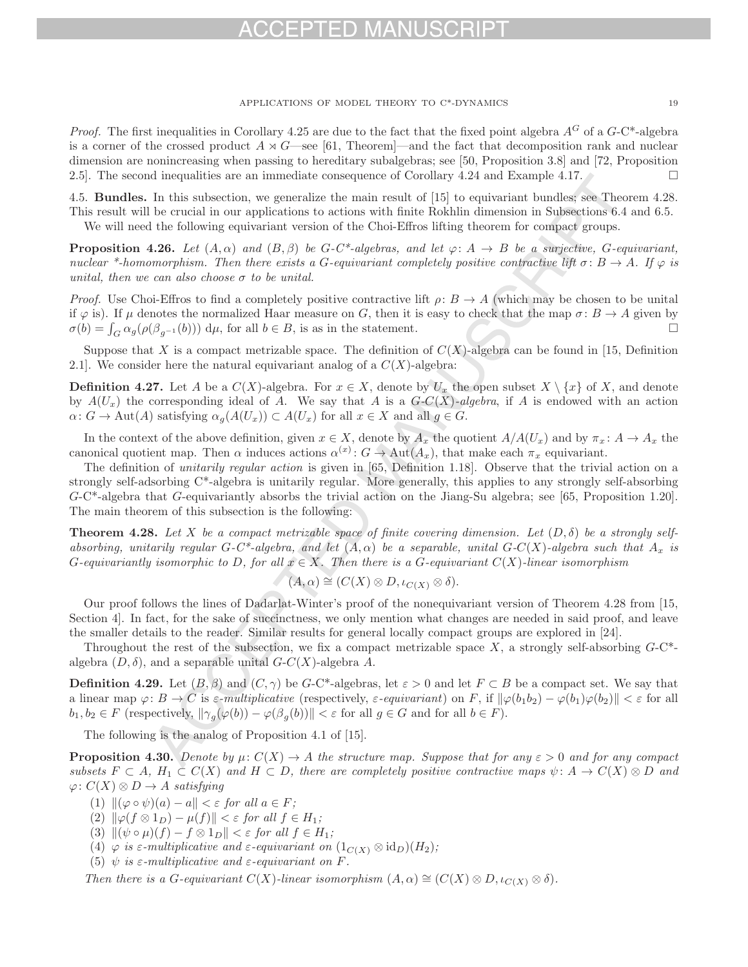## ЕРТЕŊ МА

### APPLICATIONS OF MODEL THEORY TO C\*-DYNAMICS 19

*Proof.* The first inequalities in Corollary 4.25 are due to the fact that the fixed point algebra  $A^G$  of a  $G$ -C\*-algebra is a corner of the crossed product  $A \rtimes G$ —see [61, Theorem]—and the fact that decomposition rank and nuclear dimension are nonincreasing when passing to hereditary subalgebras; see [50, Proposition 3.8] and [72, Proposition 2.5]. The second inequalities are an immediate consequence of Corollary 4.24 and Example 4.17.

4.5. **Bundles.** In this subsection, we generalize the main result of [15] to equivariant bundles; see Theorem 4.28. This result will be crucial in our applications to actions with finite Rokhlin dimension in Subsections 6.4 and 6.5. We will need the following equivariant version of the Choi-Effros lifting theorem for compact groups.

**Proposition 4.26.** Let  $(A, \alpha)$  and  $(B, \beta)$  be G-C\*-algebras, and let  $\varphi: A \to B$  be a surjective, G-equivariant, nuclear \*-homomorphism. Then there exists a G-equivariant completely positive contractive lift  $\sigma: B \to A$ . If  $\varphi$  is unital, then we can also choose  $\sigma$  to be unital.

*Proof.* Use Choi-Effros to find a completely positive contractive lift  $\rho: B \to A$  (which may be chosen to be unital if  $\varphi$  is). If  $\mu$  denotes the normalized Haar measure on G, then it is easy to check that the map  $\sigma: B \to A$  given by  $\sigma(b) = \int_{\sigma} \alpha_{\sigma}(a(\beta_{-1}(b))) d\mu$  for all  $b \in B$ , is as in the statement.  $\sigma(b) = \int_G \alpha_g(\rho(\beta_{g^{-1}}(b))) d\mu$ , for all  $b \in B$ , is as in the statement.

Suppose that X is a compact metrizable space. The definition of  $C(X)$ -algebra can be found in [15, Definition 2.1]. We consider here the natural equivariant analog of a  $C(X)$ -algebra:

**Definition 4.27.** Let A be a  $C(X)$ -algebra. For  $x \in X$ , denote by  $U_x$  the open subset  $X \setminus \{x\}$  of X, and denote by  $A(U_x)$  the corresponding ideal of A. We say that A is a  $G-C(X)$ -algebra, if A is endowed with an action  $\alpha\colon G\to \text{Aut}(A)$  satisfying  $\alpha_g(A(U_x))\subset A(U_x)$  for all  $x\in X$  and all  $g\in G$ .

In the context of the above definition, given  $x \in X$ , denote by  $A_x$  the quotient  $A/A(U_x)$  and by  $\pi_x \colon A \to A_x$  the canonical quotient map. Then  $\alpha$  induces actions  $\alpha^{(x)}$ :  $G \to \text{Aut}(A_x)$ , that make each  $\pi_x$  equivariant.

The definition of unitarily regular action is given in [65, Definition 1.18]. Observe that the trivial action on a strongly self-adsorbing C\*-algebra is unitarily regular. More generally, this applies to any strongly self-absorbing G-C\*-algebra that G-equivariantly absorbs the trivial action on the Jiang-Su algebra; see [65, Proposition 1.20]. The main theorem of this subsection is the following:

**Theorem 4.28.** Let X be a compact metrizable space of finite covering dimension. Let  $(D, \delta)$  be a strongly selfabsorbing, unitarily regular  $G-C^*$ -algebra, and let  $(A, \alpha)$  be a separable, unital  $G-C(X)$ -algebra such that  $A_x$  is G-equivariantly isomorphic to D, for all  $x \in X$ . Then there is a G-equivariant  $C(X)$ -linear isomorphism

$$
(A,\alpha)\cong (C(X)\otimes D,\iota_{C(X)}\otimes \delta).
$$

Our proof follows the lines of Dadarlat-Winter's proof of the nonequivariant version of Theorem 4.28 from [15, Section 4]. In fact, for the sake of succinctness, we only mention what changes are needed in said proof, and leave the smaller details to the reader. Similar results for general locally compact groups are explored in [24].

Throughout the rest of the subsection, we fix a compact metrizable space X, a strongly self-absorbing  $G$ -C<sup>\*</sup>algebra  $(D, \delta)$ , and a separable unital  $G-C(X)$ -algebra A.

**Definition 4.29.** Let  $(B, \beta)$  and  $(C, \gamma)$  be G-C\*-algebras, let  $\varepsilon > 0$  and let  $F \subset B$  be a compact set. We say that a linear map  $\varphi: B \to C$  is  $\varepsilon$ -multiplicative (respectively,  $\varepsilon$ -equivariant) on F, if  $\|\varphi(b_1b_2) - \varphi(b_1)\varphi(b_2)\| < \varepsilon$  for all  $b_1, b_2 \in F$  (respectively,  $\|\gamma_a(\varphi(b)) - \varphi(\beta_a(b))\| < \varepsilon$  for all  $g \in G$  and for all  $b \in F$ ).

The following is the analog of Proposition 4.1 of [15].

**Proposition 4.30.** Denote by  $\mu: C(X) \to A$  the structure map. Suppose that for any  $\varepsilon > 0$  and for any compact subsets  $F \subset A$ ,  $H_1 \subset C(X)$  and  $H \subset D$ , there are completely positive contractive maps  $\psi: A \to C(X) \otimes D$  and  $\varphi: C(X) \otimes D \to A$  satisfying

- (1)  $\|(\varphi \circ \psi)(a) a\| < \varepsilon$  for all  $a \in F$ ;
- (2)  $\|\varphi(f \otimes 1_D) \mu(f)\| < \varepsilon$  for all  $f \in H_1$ ;
- (3)  $\|(\psi \circ \mu)(f) f \otimes 1_D\| < \varepsilon$  for all  $f \in H_1$ ;
- (4)  $\varphi$  is  $\varepsilon$ -multiplicative and  $\varepsilon$ -equivariant on  $(1_{C(X)} \otimes id_D)(H_2)$ ;
- (5)  $\psi$  is  $\varepsilon$ -multiplicative and  $\varepsilon$ -equivariant on F.

Then there is a G-equivariant  $C(X)$ -linear isomorphism  $(A, \alpha) \cong (C(X) \otimes D, \iota_{C(X)} \otimes \delta)$ .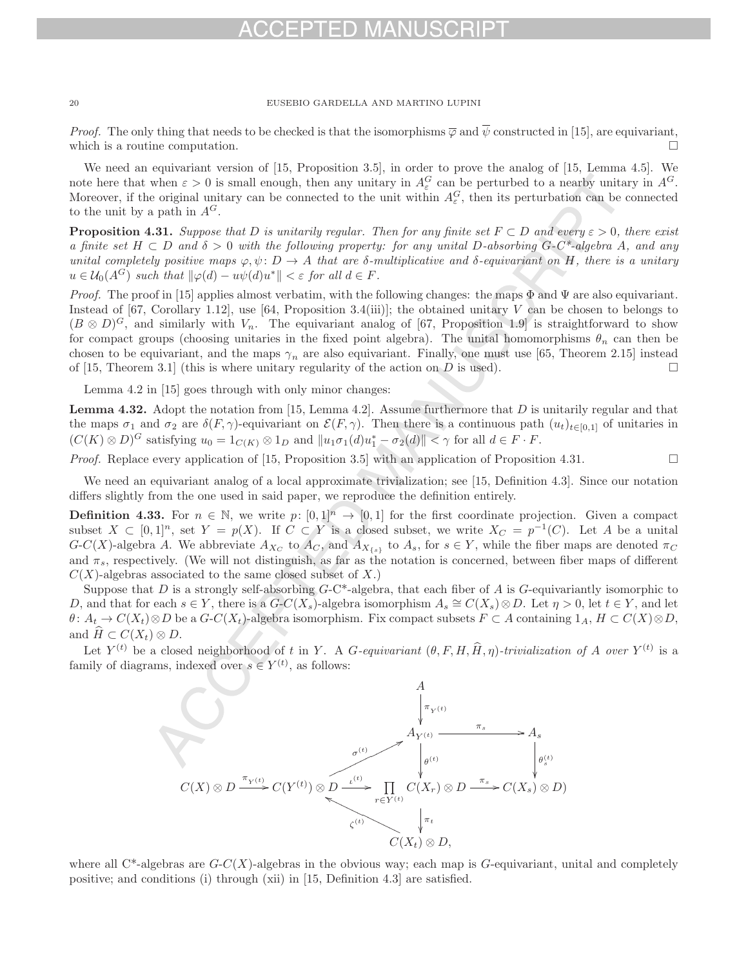*Proof.* The only thing that needs to be checked is that the isomorphisms  $\overline{\varphi}$  and  $\overline{\psi}$  constructed in [15], are equivariant, which is a routine computation.  $\Box$ 

We need an equivariant version of [15, Proposition 3.5], in order to prove the analog of [15, Lemma 4.5]. We note here that when  $\varepsilon > 0$  is small enough, then any unitary in  $A_{\varepsilon}^G$  can be perturbed to a nearby unitary in  $A^G$ . Moreover, if the original unitary can be connected to the unit within  $A_{\varepsilon}^G$ , then its perturbation can be connected to the unit by a path in  $A^G$ .

**Proposition 4.31.** Suppose that D is unitarily regular. Then for any finite set  $F \subset D$  and every  $\varepsilon > 0$ , there exist a finite set  $H \subset D$  and  $\delta > 0$  with the following property: for any unital D-absorbing G-C\*-algebra A, and any unital completely positive maps  $\varphi, \psi \colon D \to A$  that are  $\delta$ -multiplicative and  $\delta$ -equivariant on H, there is a unitary  $u \in \mathcal{U}_0(A^G)$  such that  $\|\varphi(d) - u\psi(d)u^*\| < \varepsilon$  for all  $d \in F$ .

*Proof.* The proof in [15] applies almost verbatim, with the following changes: the maps  $\Phi$  and  $\Psi$  are also equivariant. Instead of [67, Corollary 1.12], use [64, Proposition 3.4(iii)]; the obtained unitary V can be chosen to belongs to  $(B \otimes D)^G$ , and similarly with  $V_n$ . The equivariant analog of [67, Proposition 1.9] is straightforward to show for compact groups (choosing unitaries in the fixed point algebra). The unital homomorphisms  $\theta_n$  can then be chosen to be equivariant, and the maps  $\gamma_n$  are also equivariant. Finally, one must use [65, Theorem 2.15] instead of [15, Theorem 3.1] (this is where unitary regularity of the action on D is used). of  $[15,$  Theorem 3.1] (this is where unitary regularity of the action on  $D$  is used).

Lemma 4.2 in [15] goes through with only minor changes:

**Lemma 4.32.** Adopt the notation from [15, Lemma 4.2]. Assume furthermore that D is unitarily regular and that the maps  $\sigma_1$  and  $\sigma_2$  are  $\delta(F, \gamma)$ -equivariant on  $\mathcal{E}(F, \gamma)$ . Then there is a continuous path  $(u_t)_{t\in[0,1]}$  of unitaries in  $(C(K) \otimes D)^G$  satisfying  $u_0 = 1_{C(K)} \otimes 1_D$  and  $||u_1 \sigma_1(d) u_1^* - \sigma_2(d)|| < \gamma$  for all  $d \in F \cdot F$ .

*Proof.* Replace every application of [15, Proposition 3.5] with an application of Proposition 4.31.  $\Box$ 

We need an equivariant analog of a local approximate trivialization; see [15, Definition 4.3]. Since our notation differs slightly from the one used in said paper, we reproduce the definition entirely.

**Definition 4.33.** For  $n \in \mathbb{N}$ , we write  $p: [0,1]^n \to [0,1]$  for the first coordinate projection. Given a compact subset  $X \subset [0,1]^n$ , set  $Y = p(X)$ . If  $C \subset Y$  is a closed subset, we write  $X_C = p^{-1}(C)$ . Let A be a unital  $G-C(X)$ -algebra A. We abbreviate  $A_{X_C}$  to  $A_C$ , and  $A_{X_{\{s\}}}$  to  $A_s$ , for  $s \in Y$ , while the fiber maps are denoted  $\pi_C$ and  $\pi_s$ , respectively. (We will not distinguish, as far as the notation is concerned, between fiber maps of different  $C(X)$ -algebras associated to the same closed subset of X.)

Suppose that D is a strongly self-absorbing  $G-C^*$ -algebra, that each fiber of A is G-equivariantly isomorphic to D, and that for each  $s \in Y$ , there is a  $G-C(X_s)$ -algebra isomorphism  $A_s \cong C(X_s) \otimes D$ . Let  $\eta > 0$ , let  $t \in Y$ , and let  $\theta: A_t \to C(X_t) \otimes D$  be a  $G-C(X_t)$ -algebra isomorphism. Fix compact subsets  $F \subset A$  containing  $1_A, H \subset C(X) \otimes D$ , and  $H \subset C(X_t) \otimes D$ .

Let  $Y^{(t)}$  be a closed neighborhood of t in Y. A G-equivariant  $(\theta, F, H, \hat{H}, \eta)$ -trivialization of A over  $Y^{(t)}$  is a family of diagrams, indexed over  $s \in Y^{(t)}$ , as follows:



where all  $C^*$ -algebras are  $G-C(X)$ -algebras in the obvious way; each map is G-equivariant, unital and completely positive; and conditions (i) through (xii) in [15, Definition 4.3] are satisfied.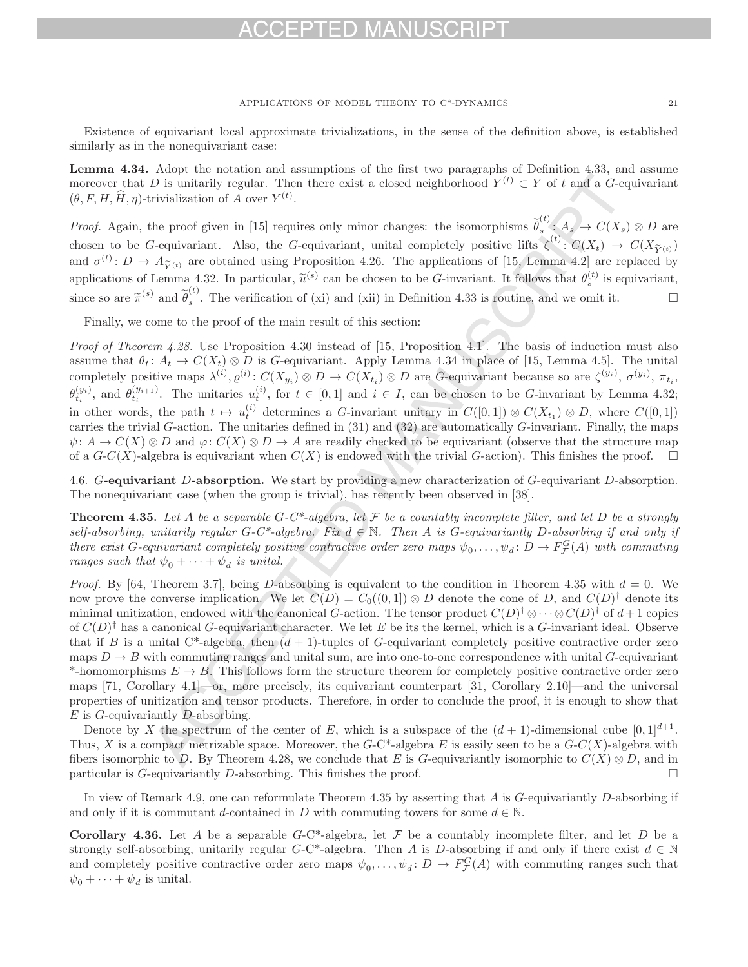### APPLICATIONS OF MODEL THEORY TO C\*-DYNAMICS 21

Existence of equivariant local approximate trivializations, in the sense of the definition above, is established similarly as in the nonequivariant case:

**Lemma 4.34.** Adopt the notation and assumptions of the first two paragraphs of Definition 4.33, and assume moreover that D is unitarily regular. Then there exist a closed neighborhood  $Y^{(t)} \subset Y$  of t and a G-equivariant  $(\theta, F, H, \hat{H}, \eta)$ -trivialization of A over  $Y^{(t)}$ .

*Proof.* Again, the proof given in [15] requires only minor changes: the isomorphisms  $\widetilde{\theta}_s^{(t)}$ :  $A_s \to C(X_s) \otimes D$  are chosen to be G-equivariant. Also, the G-equivariant, unital completely positive lifts  $\overline{\zeta}^{(t)}: C(X_t) \to C(X_{\widetilde{Y}^{(t)}})$ and  $\overline{\sigma}^{(t)}: D \to A_{\widetilde{Y}(t)}$  are obtained using Proposition 4.26. The applications of [15, Lemma 4.2] are replaced by applications of Lemma 4.32. In particular,  $\tilde{u}^{(s)}$  can be chosen to be G-invariant. It follows that  $\theta_s^{(t)}$  is equivariant, since so are  $\tilde{\pi}^{(s)}$  and  $\tilde{\theta}_s^{(t)}$ . The verification of (xi) and (xii) in Definition 4.33 is routine, and we omit it.

Finally, we come to the proof of the main result of this section:

Proof of Theorem 4.28. Use Proposition 4.30 instead of [15, Proposition 4.1]. The basis of induction must also assume that  $\theta_t: A_t \to C(X_t) \otimes D$  is G-equivariant. Apply Lemma 4.34 in place of [15, Lemma 4.5]. The unital completely positive maps  $\lambda^{(i)}$ ,  $\varrho^{(i)}$ :  $C(X_{y_i}) \otimes D \to C(X_{t_i}) \otimes D$  are G-equivariant because so are  $\zeta^{(y_i)}$ ,  $\sigma^{(y_i)}$ ,  $\pi_{t_i}$ ,  $\theta_{t_i}^{(y_i)}$ , and  $\theta_{t_i}^{(y_{i+1})}$ . The unitaries  $u_t^{(i)}$ , for  $t \in [0,1]$  and  $i \in I$ , can be chosen to be G-invariant by Lemma 4.32; in other words, the path  $t \mapsto u_t^{(i)}$  determines a G-invariant unitary in  $C([0,1]) \otimes C(X_{t_1}) \otimes D$ , where  $C([0,1])$ carries the trivial G-action. The unitaries defined in  $(31)$  and  $(32)$  are automatically G-invariant. Finally, the maps  $\psi: A \to C(X) \otimes D$  and  $\varphi: C(X) \otimes D \to A$  are readily checked to be equivariant (observe that the structure map of a  $G-C(X)$ -algebra is equivariant when  $C(X)$  is endowed with the trivial G-action). This finishes the proof.  $\Box$ 

4.6. G**-equivariant** D**-absorption.** We start by providing a new characterization of G-equivariant D-absorption. The nonequivariant case (when the group is trivial), has recently been observed in [38].

**Theorem 4.35.** Let A be a separable  $G-C^*$ -algebra, let F be a countably incomplete filter, and let D be a strongly self-absorbing, unitarily regular  $G-C^*$ -algebra. Fix  $d \in \mathbb{N}$ . Then A is G-equivariantly D-absorbing if and only if there exist G-equivariant completely positive contractive order zero maps  $\psi_0, \ldots, \psi_d \colon D \to F^G_{\mathcal{F}}(A)$  with commuting ranges such that  $\psi_0 + \cdots + \psi_d$  is unital.

*Proof.* By [64, Theorem 3.7], being D-absorbing is equivalent to the condition in Theorem 4.35 with  $d = 0$ . We now prove the converse implication. We let  $C(D) = C_0((0,1]) \otimes D$  denote the cone of D, and  $C(D)^{\dagger}$  denote its minimal unitization, endowed with the canonical G-action. The tensor product  $C(D)^\dagger \otimes \cdots \otimes C(D)^\dagger$  of  $d+1$  copies of  $C(D)^{\dagger}$  has a canonical G-equivariant character. We let E be its the kernel, which is a G-invariant ideal. Observe that if B is a unital C\*-algebra, then  $(d+1)$ -tuples of G-equivariant completely positive contractive order zero maps  $D \to B$  with commuting ranges and unital sum, are into one-to-one correspondence with unital G-equivariant \*-homomorphisms  $E \to B$ . This follows form the structure theorem for completely positive contractive order zero maps [71, Corollary 4.1]—or, more precisely, its equivariant counterpart [31, Corollary 2.10]—and the universal properties of unitization and tensor products. Therefore, in order to conclude the proof, it is enough to show that  $E$  is  $G$ -equivariantly  $D$ -absorbing.

Denote by X the spectrum of the center of E, which is a subspace of the  $(d + 1)$ -dimensional cube  $[0, 1]^{d+1}$ . Thus, X is a compact metrizable space. Moreover, the  $G$ -C\*-algebra E is easily seen to be a  $G$ -C(X)-algebra with fibers isomorphic to D. By Theorem 4.28, we conclude that E is G-equivariantly isomorphic to  $C(X) \otimes D$ , and in particular is G-equivariantly D-absorbing. This finishes the proof particular is  $G$ -equivariantly  $D$ -absorbing. This finishes the proof.

In view of Remark 4.9, one can reformulate Theorem 4.35 by asserting that  $A$  is  $G$ -equivariantly  $D$ -absorbing if and only if it is commutant d-contained in D with commuting towers for some  $d \in \mathbb{N}$ .

**Corollary 4.36.** Let A be a separable  $G-C^*$ -algebra, let F be a countably incomplete filter, and let D be a strongly self-absorbing, unitarily regular G-C\*-algebra. Then A is D-absorbing if and only if there exist  $d \in \mathbb{N}$ and completely positive contractive order zero maps  $\psi_0, \ldots, \psi_d \colon D \to F^G_{\mathcal{F}}(A)$  with commuting ranges such that  $\psi_0 + \cdots + \psi_d$  is unital.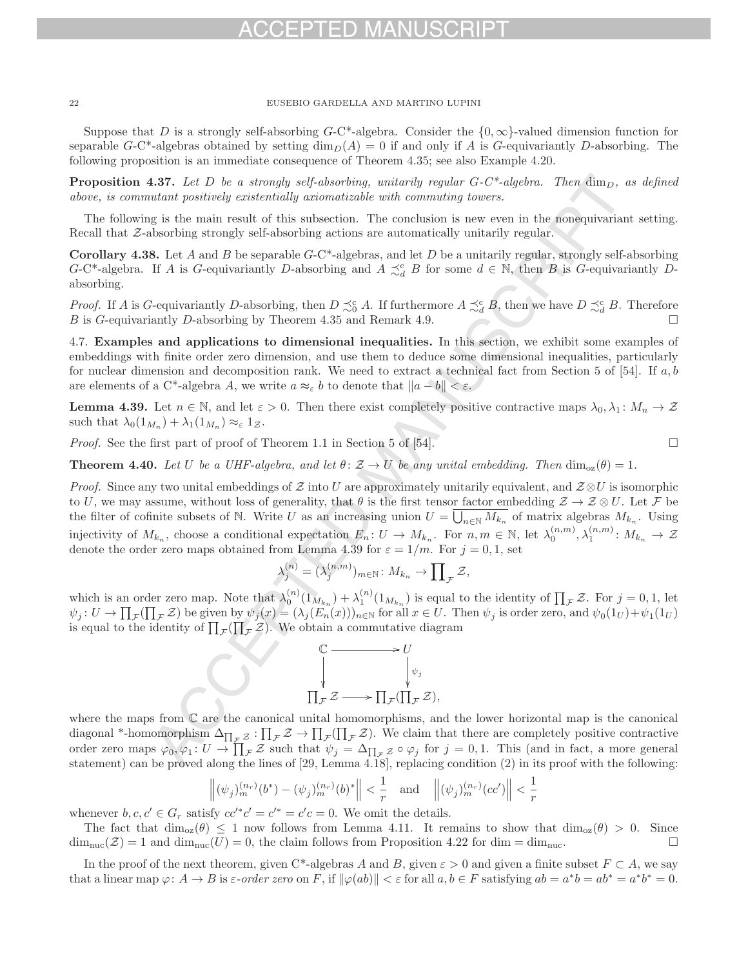Suppose that D is a strongly self-absorbing  $G-C^*$ -algebra. Consider the  $\{0,\infty\}$ -valued dimension function for separable G-C\*-algebras obtained by setting  $\dim_D(A) = 0$  if and only if A is G-equivariantly D-absorbing. The following proposition is an immediate consequence of Theorem 4.35; see also Example 4.20.

**Proposition 4.37.** Let D be a strongly self-absorbing, unitarily regular  $G-C^*$ -algebra. Then  $\dim_D$ , as defined above, is commutant positively existentially axiomatizable with commuting towers.

The following is the main result of this subsection. The conclusion is new even in the nonequivariant setting. Recall that  $Z$ -absorbing strongly self-absorbing actions are automatically unitarily regular.

**Corollary 4.38.** Let A and B be separable  $G$ -C\*-algebras, and let D be a unitarily regular, strongly self-absorbing G-C<sup>\*</sup>-algebra. If A is G-equivariantly D-absorbing and  $A \precsim_d^c B$  for some  $d \in \mathbb{N}$ , then B is G-equivariantly Dabsorbing.

*Proof.* If A is G-equivariantly D-absorbing, then  $D \precsim_0^c A$ . If furthermore  $A \precsim_d^c B$ , then we have  $D \precsim_d^c B$ . Therefore B is G-equivariantly D-absorbing by Theorem 4.35 and Remark 4.9.  $\Box$ 

4.7. **Examples and applications to dimensional inequalities.** In this section, we exhibit some examples of embeddings with finite order zero dimension, and use them to deduce some dimensional inequalities, particularly for nuclear dimension and decomposition rank. We need to extract a technical fact from Section 5 of [54]. If  $a, b$ are elements of a C<sup>\*</sup>-algebra A, we write  $a \approx_{\varepsilon} b$  to denote that  $||a - b|| < \varepsilon$ .

**Lemma 4.39.** Let  $n \in \mathbb{N}$ , and let  $\varepsilon > 0$ . Then there exist completely positive contractive maps  $\lambda_0, \lambda_1 \colon M_n \to \mathcal{Z}$ such that  $\lambda_0(1_{M_n}) + \lambda_1(1_{M_n}) \approx_{\varepsilon} 1_{\mathcal{Z}}$ .

Proof. See the first part of proof of Theorem 1.1 in Section 5 of [54].

 $\Box$ 

**Theorem 4.40.** Let U be a UHF-algebra, and let  $\theta: \mathcal{Z} \to U$  be any unital embedding. Then  $\dim_{\alpha}(\theta) = 1$ .

*Proof.* Since any two unital embeddings of Z into U are approximately unitarily equivalent, and  $\mathcal{Z} \otimes U$  is isomorphic to U, we may assume, without loss of generality, that  $\theta$  is the first tensor factor embedding  $\mathcal{Z}\to\mathcal{Z}\otimes U$ . Let F be the filter of cofinite subsets of N. Write U as an increasing union  $U = \overline{\bigcup_{n\in\mathbb{N}} M_{k_n}}$  of matrix algebras  $M_{k_n}$ . Using injectivity of  $M_{k_n}$ , choose a conditional expectation  $E_n: U \to M_{k_n}$ . For  $n, m \in \mathbb{N}$ , let  $\lambda_0^{(n,m)}$ ,  $\lambda_1^{(n,m)}: M_{k_n} \to \mathcal{Z}$ denote the order zero maps obtained from Lemma 4.39 for  $\varepsilon = 1/m$ . For  $j = 0, 1$ , set

$$
\lambda_j^{(n)}=(\lambda_j^{(n,m)})_{m\in\mathbb{N}}\colon M_{k_n}\to\prod_{\mathcal{F}}\mathcal{Z},
$$

which is an order zero map. Note that  $\lambda_0^{(n)}(1_{M_{k_n}}) + \lambda_1^{(n)}(1_{M_{k_n}})$  is equal to the identity of  $\prod_{\mathcal{F}} \mathcal{Z}$ . For  $j = 0, 1$ , let  $\psi_j: U \to \prod_{\mathcal{F}}(\prod_{\mathcal{F}} \mathcal{Z})$  be given by  $\psi_j(x) = (\lambda_j(E_n(x)))_{n \in \mathbb{N}}$  for all  $x \in U$ . Then  $\psi_j$  is order zero, and  $\psi_0(1_U) + \psi_1(1_U)$ is equal to the identity of  $\prod_{\mathcal{F}}(\prod_{\mathcal{F}}\mathcal{Z})$ . We obtain a commutative diagram

$$
\begin{aligned}\n\mathbb{C} &\longrightarrow U \\
\downarrow^{\psi_j} &\downarrow^{\psi_j} \\
\prod_{\mathcal{F}} \mathcal{Z} &\longrightarrow \prod_{\mathcal{F}} (\prod_{\mathcal{F}} \mathcal{Z}),\n\end{aligned}
$$

where the maps from C are the canonical unital homomorphisms, and the lower horizontal map is the canonical diagonal \*-homomorphism  $\Delta_{\prod_{\mathcal{F}}\mathcal{Z}}:\prod_{\mathcal{F}}\mathcal{Z}\to\prod_{\mathcal{F}}(\prod_{\mathcal{F}}\mathcal{Z})$ . We claim that there are completely positive contractive order zero maps  $\varphi_0, \varphi_1: U \to \prod_{\mathcal{F}} \mathcal{Z}$  such that  $\psi_j = \Delta_{\prod_{\mathcal{F}} \mathcal{Z}} \circ \varphi_j$  for  $j = 0, 1$ . This (and in fact, a more general statement) can be proved along the lines of [29, Lemma 4.18], replacing condition (2) in its proof with the following:

$$
\left\|(\psi_j)_m^{(n_r)}(b^*) - (\psi_j)_m^{(n_r)}(b)^*\right\| < \frac{1}{r} \quad \text{and} \quad \left\|(\psi_j)_m^{(n_r)}(cc')\right\| < \frac{1}{r}
$$

whenever  $b, c, c' \in G_r$  satisfy  $cc^*c' = c'^* = c'c = 0$ . We omit the details.

The fact that  $\dim_{\text{OZ}}(\theta) \leq 1$  now follows from Lemma 4.11. It remains to show that  $\dim_{\text{OZ}}(\theta) > 0$ . Since  $\lim_{x \to a} (\mathcal{Z}) = 1$  and  $\dim_{\text{OZ}}(U) = 0$ , the claim follows from Proposition 4.22 for dim = dim<sub>ume</sub>  $\dim_{\text{nuc}}(\mathcal{Z}) = 1$  and  $\dim_{\text{nuc}}(U) = 0$ , the claim follows from Proposition 4.22 for dim =  $\dim_{\text{nuc}}$ .

In the proof of the next theorem, given C\*-algebras A and B, given  $\varepsilon > 0$  and given a finite subset  $F \subset A$ , we say that a linear map  $\varphi: A \to B$  is  $\varepsilon$ -order zero on F, if  $\|\varphi(ab)\| < \varepsilon$  for all  $a, b \in F$  satisfying  $ab = a^*b = ab^* = a^*b^* = 0$ .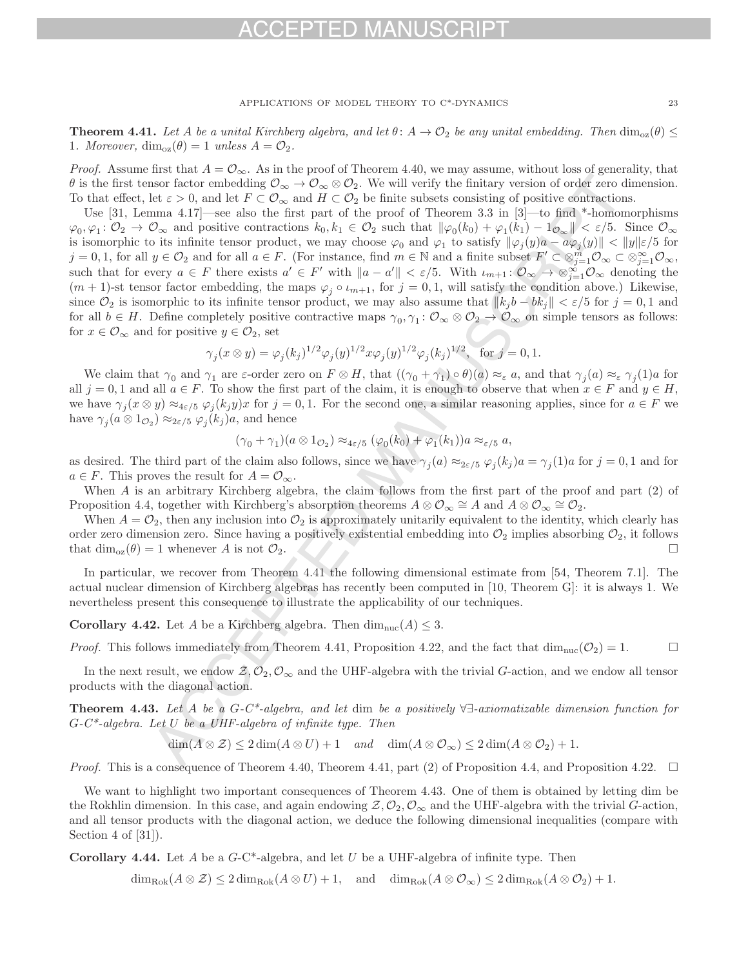## - P I F D MAI

APPLICATIONS OF MODEL THEORY TO C\*-DYNAMICS 23

**Theorem 4.41.** Let A be a unital Kirchberg algebra, and let  $\theta: A \to \mathcal{O}_2$  be any unital embedding. Then  $\dim_{\alpha}(\theta) \leq$ 1. Moreover,  $\dim_{\text{oz}}(\theta) = 1$  unless  $A = \mathcal{O}_2$ .

*Proof.* Assume first that  $A = \mathcal{O}_{\infty}$ . As in the proof of Theorem 4.40, we may assume, without loss of generality, that  $\theta$  is the first tensor factor embedding  $\mathcal{O}_{\infty} \to \mathcal{O}_{\infty} \otimes \mathcal{O}_2$ . We will verify the finitary version of order zero dimension. To that effect, let  $\varepsilon > 0$ , and let  $F \subset \mathcal{O}_{\infty}$  and  $H \subset \mathcal{O}_2$  be finite subsets consisting of positive contractions.

Use [31, Lemma 4.17]—see also the first part of the proof of Theorem 3.3 in [3]—to find \*-homomorphisms  $\varphi_0, \varphi_1: \mathcal{O}_2 \to \mathcal{O}_{\infty}$  and positive contractions  $k_0, k_1 \in \mathcal{O}_2$  such that  $\|\varphi_0(k_0) + \varphi_1(k_1) - 1_{\mathcal{O}_{\infty}}\| < \varepsilon/5$ . Since  $\mathcal{O}_{\infty}$ is isomorphic to its infinite tensor product, we may choose  $\varphi_0$  and  $\varphi_1$  to satisfy  $\|\varphi_i(y) - a\varphi_i(y)\| < \|y\| \varepsilon/5$  for  $j = 0, 1$ , for all  $y \in \mathcal{O}_2$  and for all  $a \in F$ . (For instance, find  $m \in \mathbb{N}$  and a finite subset  $F' \subset \otimes_{j=1}^m \mathcal{O}_{\infty} \subset \otimes_{j=1}^{\infty} \mathcal{O}_{\infty}$ , such that for every  $a \in F$  there exists  $a' \in F'$  with  $\|a - a'\| < \varepsilon/5$ . With  $\iota_{m+1}: \mathcal{O}_{\infty} \to \otimes_{j=1}^{\infty} \mathcal{O}_{\infty}$  denoting the  $(m + 1)$ -st tensor factor embedding, the maps  $\varphi_j \circ \iota_{m+1}$ , for  $j = 0, 1$ , will satisfy the condition above.) Likewise, since  $\mathcal{O}_2$  is isomorphic to its infinite tensor product, we may also assume that  $||k_j b - bk_j|| < \varepsilon/5$  for  $j = 0, 1$  and for all  $b \in H$ . Define completely positive contractive maps  $\gamma_0, \gamma_1 \colon \mathcal{O}_{\infty} \otimes \mathcal{O}_2 \to \mathcal{O}_{\infty}$  on simple tensors as follows: for  $x \in \mathcal{O}_{\infty}$  and for positive  $y \in \mathcal{O}_2$ , set

$$
\gamma_j(x \otimes y) = \varphi_j(k_j)^{1/2} \varphi_j(y)^{1/2} x \varphi_j(y)^{1/2} \varphi_j(k_j)^{1/2}, \text{ for } j = 0, 1.
$$

We claim that  $\gamma_0$  and  $\gamma_1$  are  $\varepsilon$ -order zero on  $F \otimes H$ , that  $((\gamma_0 + \gamma_1) \circ \theta)(a) \approx_{\varepsilon} a$ , and that  $\gamma_i(a) \approx_{\varepsilon} \gamma_i(1)a$  for all  $j = 0, 1$  and all  $a \in F$ . To show the first part of the claim, it is enough to observe that when  $x \in F$  and  $y \in H$ , we have  $\gamma_i(x \otimes y) \approx_{4 \varepsilon/5} \varphi_i(k_iy)x$  for  $j = 0, 1$ . For the second one, a similar reasoning applies, since for  $a \in F$  we have  $\gamma_j(a \otimes 1_{\mathcal{O}_2}) \approx_{2\varepsilon/5} \varphi_j(k_j)a$ , and hence

$$
(\gamma_0 + \gamma_1)(a \otimes 1_{\mathcal{O}_2}) \approx_{4\varepsilon/5} (\varphi_0(k_0) + \varphi_1(k_1))a \approx_{\varepsilon/5} a,
$$

as desired. The third part of the claim also follows, since we have  $\gamma_i(a) \approx_{2\varepsilon/5} \varphi_i(k_j) a = \gamma_i(1)a$  for  $j = 0, 1$  and for  $a \in F$ . This proves the result for  $A = \mathcal{O}_{\infty}$ .

When A is an arbitrary Kirchberg algebra, the claim follows from the first part of the proof and part (2) of Proposition 4.4, together with Kirchberg's absorption theorems  $A \otimes \mathcal{O}_{\infty} \cong A$  and  $A \otimes \mathcal{O}_{\infty} \cong \mathcal{O}_{2}$ .

When  $A = \mathcal{O}_2$ , then any inclusion into  $\mathcal{O}_2$  is approximately unitarily equivalent to the identity, which clearly has order zero dimension zero. Since having a positively existential embedding into  $\mathcal{O}_2$  implies absorbing  $\mathcal{O}_2$ , it follows that  $\dim_{\mathcal{O}}(\theta) = 1$  whenever A is not  $\mathcal{O}_2$ . that  $\dim_{\text{oz}}(\theta) = 1$  whenever A is not  $\mathcal{O}_2$ .

In particular, we recover from Theorem 4.41 the following dimensional estimate from [54, Theorem 7.1]. The actual nuclear dimension of Kirchberg algebras has recently been computed in [10, Theorem G]: it is always 1. We nevertheless present this consequence to illustrate the applicability of our techniques.

**Corollary 4.42.** Let A be a Kirchberg algebra. Then  $\dim_{\text{nuc}}(A) \leq 3$ .

*Proof.* This follows immediately from Theorem 4.41, Proposition 4.22, and the fact that  $\dim_{\text{nuc}}(\mathcal{O}_2) = 1$ .

In the next result, we endow  $\mathcal{Z}, \mathcal{O}_2, \mathcal{O}_\infty$  and the UHF-algebra with the trivial G-action, and we endow all tensor products with the diagonal action.

**Theorem 4.43.** Let A be a G-C\*-algebra, and let dim be a positively ∀∃-axiomatizable dimension function for  $G-C^*$ -algebra. Let U be a UHF-algebra of infinite type. Then

$$
\dim(A \otimes \mathcal{Z}) \le 2\dim(A \otimes U) + 1 \quad \text{and} \quad \dim(A \otimes \mathcal{O}_{\infty}) \le 2\dim(A \otimes \mathcal{O}_{2}) + 1.
$$

*Proof.* This is a consequence of Theorem 4.40, Theorem 4.41, part (2) of Proposition 4.4, and Proposition 4.22.  $\Box$ 

We want to highlight two important consequences of Theorem 4.43. One of them is obtained by letting dim be the Rokhlin dimension. In this case, and again endowing  $\mathcal{Z}, \mathcal{O}_2, \mathcal{O}_{\infty}$  and the UHF-algebra with the trivial G-action, and all tensor products with the diagonal action, we deduce the following dimensional inequalities (compare with Section 4 of [31]).

**Corollary 4.44.** Let A be a G-C\*-algebra, and let U be a UHF-algebra of infinite type. Then

 $\dim_{\text{Rok}}(A \otimes \mathcal{Z}) \leq 2 \dim_{\text{Rok}}(A \otimes U) + 1$ , and  $\dim_{\text{Rok}}(A \otimes \mathcal{O}_{\infty}) \leq 2 \dim_{\text{Rok}}(A \otimes \mathcal{O}_{2}) + 1$ .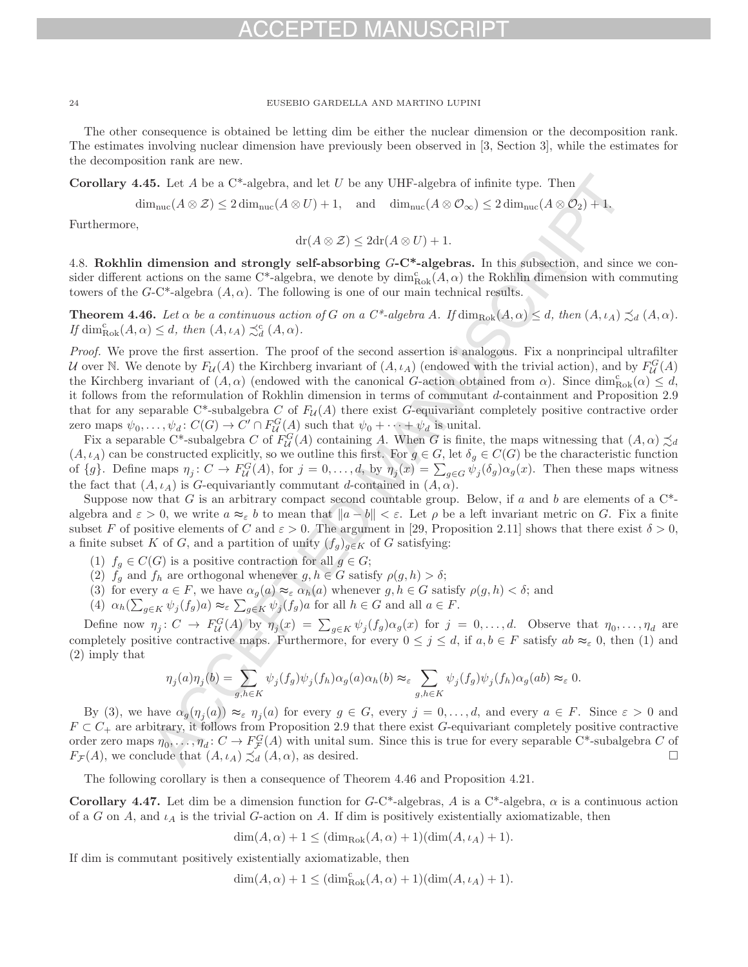## -D MA

24 EUSEBIO GARDELLA AND MARTINO LUPINI

The other consequence is obtained be letting dim be either the nuclear dimension or the decomposition rank. The estimates involving nuclear dimension have previously been observed in [3, Section 3], while the estimates for the decomposition rank are new.

**Corollary 4.45.** Let  $A$  be a  $C^*$ -algebra, and let  $U$  be any UHF-algebra of infinite type. Then

 $\dim_{\text{nuc}}(A \otimes \mathcal{Z}) \leq 2 \dim_{\text{nuc}}(A \otimes U) + 1$ , and  $\dim_{\text{nuc}}(A \otimes \mathcal{O}_{\infty}) \leq 2 \dim_{\text{nuc}}(A \otimes \mathcal{O}_{2}) + 1$ .

Furthermore,

$$
dr(A \otimes \mathcal{Z}) \leq 2dr(A \otimes U) + 1.
$$

4.8. **Rokhlin dimension and strongly self-absorbing** G**-C\*-algebras.** In this subsection, and since we consider different actions on the same C<sup>\*</sup>-algebra, we denote by  $\dim_{Rok}^c(A, \alpha)$  the Rokhlin dimension with commuting towers of the G-C\*-algebra  $(A, \alpha)$ . The following is one of our main technical results.

**Theorem 4.46.** Let  $\alpha$  be a continuous action of G on a  $C^*$ -algebra A. If  $\dim_{Rok}(A, \alpha) \leq d$ , then  $(A, \iota_A) \precsim_d (A, \alpha)$ . If  $\dim_{\text{Rok}}^c(A, \alpha) \leq d$ , then  $(A, \iota_A) \precsim_d^c (A, \alpha)$ .

Proof. We prove the first assertion. The proof of the second assertion is analogous. Fix a nonprincipal ultrafilter U over N. We denote by  $F_{\mathcal{U}}(A)$  the Kirchberg invariant of  $(A, \iota_A)$  (endowed with the trivial action), and by  $F_{\mathcal{U}}^G(A)$ the Kirchberg invariant of  $(A, \alpha)$  (endowed with the canonical G-action obtained from  $\alpha$ ). Since  $\dim_{Rok}^c(\alpha) \leq d$ , it follows from the reformulation of Rokhlin dimension in terms of commutant d-containment and Proposition 2.9 that for any separable C\*-subalgebra C of  $F_{\mathcal{U}}(A)$  there exist G-equivariant completely positive contractive order zero maps  $\psi_0, \ldots, \psi_d$ :  $C(G) \to C' \cap F_d^G(A)$  such that  $\psi_0 + \cdots + \psi_d$  is unital.

Fix a separable C\*-subalgebra C of  $F_{\mathcal{U}}^G(A)$  containing A. When G is finite, the maps witnessing that  $(A, \alpha) \precsim_d$  $(A, \iota_A)$  can be constructed explicitly, so we outline this first. For  $g \in G$ , let  $\delta_g \in C(G)$  be the characteristic function of  $\{g\}$ . Define maps  $\eta_j: C \to F^G_{\mathcal{U}}(A)$ , for  $j = 0, \ldots, d$ , by  $\eta_j(x) = \sum_{g \in G} \psi_j(\delta_g) \alpha_g(x)$ . Then these maps witness the fact that  $(A, \iota_A)$  is G-equivariantly commutant d-contained in  $(A, \alpha)$ .

Suppose now that G is an arbitrary compact second countable group. Below, if a and b are elements of a  $C^*$ algebra and  $\varepsilon > 0$ , we write  $a \approx_{\varepsilon} b$  to mean that  $||a - b|| < \varepsilon$ . Let  $\rho$  be a left invariant metric on G. Fix a finite subset F of positive elements of C and  $\varepsilon > 0$ . The argument in [29, Proposition 2.11] shows that there exist  $\delta > 0$ , a finite subset K of G, and a partition of unity  $(f_g)_{g\in K}$  of G satisfying:

- (1)  $f_g \in C(G)$  is a positive contraction for all  $g \in G$ ;
- (2)  $f_g$  and  $f_h$  are orthogonal whenever  $g, h \in G$  satisfy  $\rho(g, h) > \delta$ ;
- (3) for every  $a \in F$ , we have  $\alpha_g(a) \approx_{\varepsilon} \alpha_h(a)$  whenever  $g, h \in G$  satisfy  $\rho(g, h) < \delta$ ; and
- (4)  $\alpha_h(\sum_{g \in K} \psi_j(f_g) a) \approx_{\varepsilon} \sum_{g \in K} \psi_j(f_g) a$  for all  $h \in G$  and all  $a \in F$ .

Define now  $\eta_j: C \to F^G_{\mathcal{U}}(A)$  by  $\eta_j(x) = \sum_{g \in K} \psi_j(f_g) \alpha_g(x)$  for  $j = 0, \ldots, d$ . Observe that  $\eta_0, \ldots, \eta_d$  are completely positive contractive maps. Furthermore, for every  $0 \leq j \leq d$ , if  $a, b \in F$  satisfy  $ab \approx_{\varepsilon} 0$ , then (1) and (2) imply that

$$
\eta_j(a)\eta_j(b) = \sum_{g,h \in K} \psi_j(f_g)\psi_j(f_h)\alpha_g(a)\alpha_h(b) \approx_{\varepsilon} \sum_{g,h \in K} \psi_j(f_g)\psi_j(f_h)\alpha_g(ab) \approx_{\varepsilon} 0.
$$

By (3), we have  $\alpha_g(\eta_i(a)) \approx_{\varepsilon} \eta_i(a)$  for every  $g \in G$ , every  $j = 0, \ldots, d$ , and every  $a \in F$ . Since  $\varepsilon > 0$  and  $F \subset C_+$  are arbitrary, it follows from Proposition 2.9 that there exist G-equivariant completely positive contractive order zero maps  $\eta_0, \ldots, \eta_d \colon C \to F^G_{\mathcal{F}}(A)$  with unital sum. Since this is true for every separable C\*-subalgebra C of  $F_{\mathcal{F}}(A)$ , we conclude that  $(A, \iota_A) \precsim_d (A, \alpha)$ , as desired.  $\Box$ 

The following corollary is then a consequence of Theorem 4.46 and Proposition 4.21.

**Corollary 4.47.** Let dim be a dimension function for  $G-C^*$ -algebras, A is a  $C^*$ -algebra,  $\alpha$  is a continuous action of a G on A, and  $\iota_A$  is the trivial G-action on A. If dim is positively existentially axiomatizable, then

 $\dim(A, \alpha) + 1 \leq (\dim_{\text{Rok}}(A, \alpha) + 1)(\dim(A, \iota_A) + 1).$ 

If dim is commutant positively existentially axiomatizable, then

 $\dim(A, \alpha) + 1 \leq (\dim_{\text{Rok}}^c (A, \alpha) + 1)(\dim(A, \iota_A) + 1).$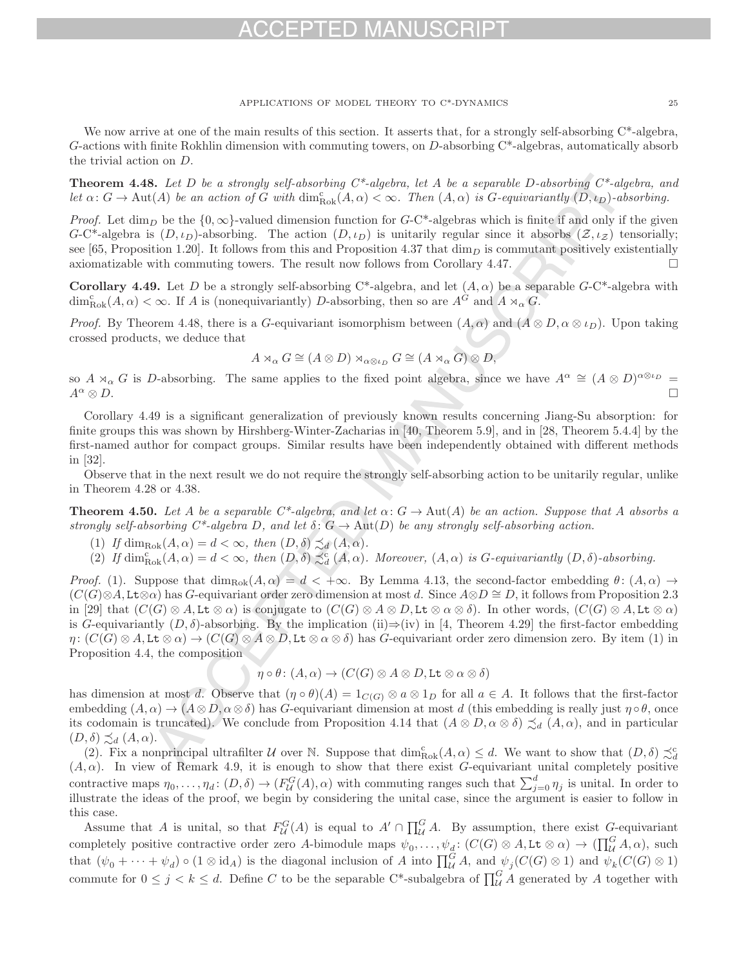## $-1$ )

APPLICATIONS OF MODEL THEORY TO C\*-DYNAMICS 25

We now arrive at one of the main results of this section. It asserts that, for a strongly self-absorbing  $C^*$ -algebra, G-actions with finite Rokhlin dimension with commuting towers, on D-absorbing C\*-algebras, automatically absorb the trivial action on D.

**Theorem 4.48.** Let D be a strongly self-absorbing  $C^*$ -algebra, let A be a separable D-absorbing  $C^*$ -algebra, and let  $\alpha: G \to \text{Aut}(A)$  be an action of G with  $\dim_{\text{Rok}}^c(A, \alpha) < \infty$ . Then  $(A, \alpha)$  is G-equivariantly  $(D, \iota_D)$ -absorbing.

*Proof.* Let  $\dim_D$  be the  $\{0,\infty\}$ -valued dimension function for G-C\*-algebras which is finite if and only if the given G-C\*-algebra is  $(D, \iota_D)$ -absorbing. The action  $(D, \iota_D)$  is unitarily regular since it absorbs  $(Z, \iota_Z)$  tensorially; see [65, Proposition 1.20]. It follows from this and Proposition 4.37 that  $\dim_D$  is commutant positively existentially axiomatizable with commuting towers. The result now follows from Corollary 4.47.  $\Box$ 

**Corollary 4.49.** Let D be a strongly self-absorbing  $C^*$ -algebra, and let  $(A, \alpha)$  be a separable  $G-C^*$ -algebra with  $\dim_{\text{Rok}}^c(A, \alpha) < \infty$ . If A is (nonequivariantly) D-absorbing, then so are  $A^G$  and  $A \rtimes_{\alpha} G$ .

*Proof.* By Theorem 4.48, there is a G-equivariant isomorphism between  $(A, \alpha)$  and  $(A \otimes D, \alpha \otimes \iota_D)$ . Upon taking crossed products, we deduce that

$$
A\rtimes_{\alpha}G\cong (A\otimes D)\rtimes_{\alpha\otimes \iota_D}G\cong (A\rtimes_{\alpha}G)\otimes D,
$$

so  $A \rtimes_{\alpha} G$  is D-absorbing. The same applies to the fixed point algebra, since we have  $A^{\alpha} \cong (A \otimes D)^{\alpha \otimes \iota_D} =$  $A^{\alpha} \otimes D.$  $\Box$ 

Corollary 4.49 is a significant generalization of previously known results concerning Jiang-Su absorption: for finite groups this was shown by Hirshberg-Winter-Zacharias in [40, Theorem 5.9], and in [28, Theorem 5.4.4] by the first-named author for compact groups. Similar results have been independently obtained with different methods in [32].

Observe that in the next result we do not require the strongly self-absorbing action to be unitarily regular, unlike in Theorem 4.28 or 4.38.

**Theorem 4.50.** Let A be a separable  $C^*$ -algebra, and let  $\alpha: G \to \text{Aut}(A)$  be an action. Suppose that A absorbs a strongly self-absorbing  $C^*$ -algebra D, and let  $\delta: G \to \text{Aut}(D)$  be any strongly self-absorbing action.

- (1) If  $\dim_{\text{Rok}}(A, \alpha) = d < \infty$ , then  $(D, \delta) \precsim_d (A, \alpha)$ .
- (2) If  $\dim_{\text{Rok}}^c(A, \alpha) = d < \infty$ , then  $(D, \delta) \precsim_d^c (A, \alpha)$ . Moreover,  $(A, \alpha)$  is G-equivariantly  $(D, \delta)$ -absorbing.

Proof. (1). Suppose that  $\dim_{\text{Rok}}(A, \alpha) = d < +\infty$ . By Lemma 4.13, the second-factor embedding  $\theta$ :  $(A, \alpha) \to$  $(C(G) \otimes A, L\tau \otimes \alpha)$  has G-equivariant order zero dimension at most d. Since  $A \otimes D \cong D$ , it follows from Proposition 2.3 in [29] that  $(C(G) \otimes A, Lt \otimes \alpha)$  is conjugate to  $(C(G) \otimes A \otimes D, Lt \otimes \alpha \otimes \delta)$ . In other words,  $(C(G) \otimes A, Lt \otimes \alpha)$ is G-equivariantly  $(D, \delta)$ -absorbing. By the implication (ii)⇒(iv) in [4, Theorem 4.29] the first-factor embedding  $\eta: (C(G) \otimes A, L\mathbf{t} \otimes \alpha) \to (C(G) \otimes A \otimes D, L\mathbf{t} \otimes \alpha \otimes \delta)$  has G-equivariant order zero dimension zero. By item (1) in Proposition 4.4, the composition

$$
\eta \circ \theta \colon (A, \alpha) \to (C(G) \otimes A \otimes D, \text{Lt} \otimes \alpha \otimes \delta)
$$

has dimension at most d. Observe that  $(\eta \circ \theta)(A)=1_{C(G)} \otimes a \otimes 1_D$  for all  $a \in A$ . It follows that the first-factor embedding  $(A, \alpha) \to (A \otimes D, \alpha \otimes \delta)$  has G-equivariant dimension at most d (this embedding is really just  $\eta \circ \theta$ , once its codomain is truncated). We conclude from Proposition 4.14 that  $(A \otimes D, \alpha \otimes \delta) \precsim_d (A, \alpha)$ , and in particular  $(D, \delta) \precsim_d (A, \alpha).$ 

(2). Fix a nonprincipal ultrafilter U over N. Suppose that  $\dim_{Rok}^c(A, \alpha) \leq d$ . We want to show that  $(D, \delta) \precsim_d^c$ (2). It a nonprincipal unitalities a over  $\alpha$ , suppose that  $\dim_{Rok}(A, \alpha) \leq a$ , we want to show that  $(D, 0) \sim_d$ <br>(A,  $\alpha$ ). In view of Remark 4.9, it is enough to show that there exist G-equivariant unital completely posit contractive maps  $\eta_0, \ldots, \eta_d$ :  $(D, \delta) \to (F^G_{\mathcal{U}}(A), \alpha)$  with commuting ranges such that  $\sum_{j=0}^d \eta_j$  is unital. In order to illustrate the ideas of the proof, we begin by considering the unital case, since the argument is easier to follow in this case.

Assume that A is unital, so that  $F_{\mathcal{U}}^G(A)$  is equal to  $A' \cap \prod_{\mathcal{U}}^G A$ . By assumption, there exist  $G$ -equivariant completely positive contractive order zero A-bimodule maps  $\psi_0, \ldots, \psi_d$ :  $(C(G) \otimes A, L \mathbf{t} \otimes \alpha) \to (\prod_{\mathcal{U}}^G A, \alpha)$ , such that  $(\psi_0 + \cdots + \psi_d) \circ (1 \otimes \mathrm{id}_A)$  is the diagonal inclusion of A into  $\prod_{\mathcal{U}}^G A$ , and  $\psi_j(C(G) \otimes 1)$  and  $\psi_k(C(G) \otimes 1)$ commute for  $0 \leq j \leq k \leq d$ . Define C to be the separable C\*-subalgebra of  $\prod_{\mathcal{U}}^G A$  generated by A together with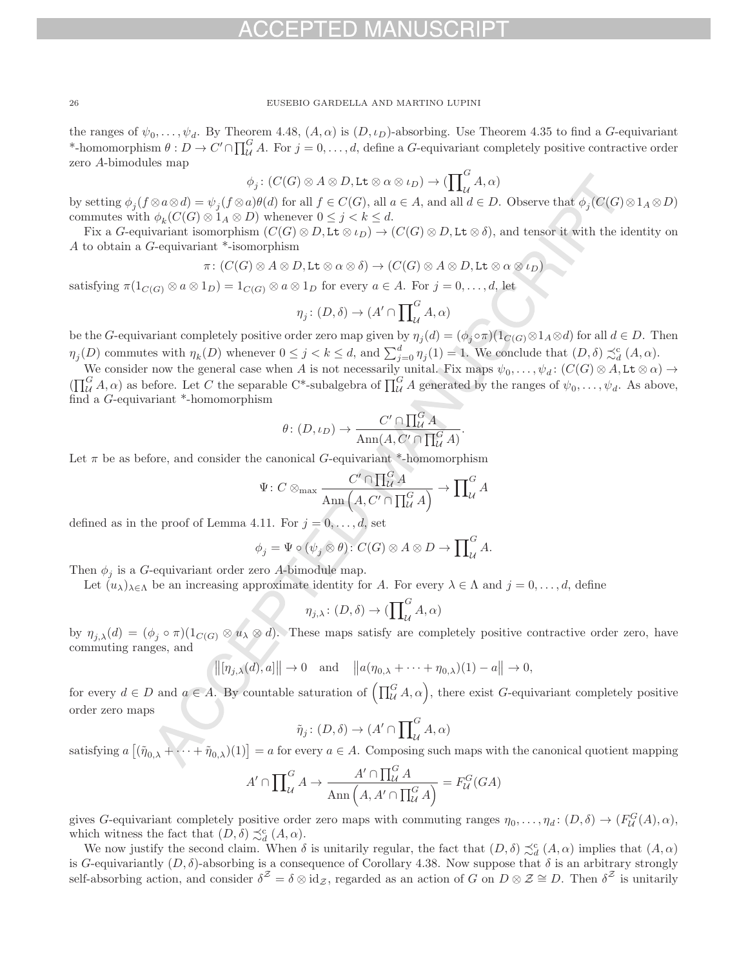the ranges of  $\psi_0,\ldots,\psi_d$ . By Theorem 4.48,  $(A,\alpha)$  is  $(D,\iota_D)$ -absorbing. Use Theorem 4.35 to find a G-equivariant \*-homomorphism  $\theta: D \to C' \cap \prod_{\mathcal{U}}^G A$ . For  $j = 0, \ldots, d$ , define a G-equivariant completely positive contractive order zero A-bimodules map

$$
\phi_j\colon (C(G)\otimes A\otimes D,\mathrm{Lt}\otimes\alpha\otimes\iota_D)\to (\prod\nolimits_{\mathcal{U}}^G A,\alpha)
$$

by setting  $\phi_j(f \otimes a \otimes d) = \psi_j(f \otimes a)\theta(d)$  for all  $f \in C(G)$ , all  $a \in A$ , and all  $d \in D$ . Observe that  $\phi_j(C(G) \otimes 1_A \otimes D)$ commutes with  $\phi_k(C(G) \otimes 1_A \otimes D)$  whenever  $0 \leq j < k \leq d$ .

Fix a G-equivariant isomorphism  $(C(G) \otimes D, L\mathbf{t} \otimes \iota_D) \to (C(G) \otimes D, L\mathbf{t} \otimes \delta)$ , and tensor it with the identity on A to obtain a G-equivariant \*-isomorphism

$$
\pi\colon (C(G)\otimes A\otimes D,\mathrm{Lt}\otimes \alpha\otimes \delta)\to (C(G)\otimes A\otimes D,\mathrm{Lt}\otimes \alpha\otimes \iota_D)
$$

satisfying  $\pi(1_{C(G)} \otimes a \otimes 1_D) = 1_{C(G)} \otimes a \otimes 1_D$  for every  $a \in A$ . For  $j = 0, \ldots, d$ , let

$$
\eta_j \colon (D, \delta) \to (A' \cap \prod_{\mathcal{U}}^G A, \alpha)
$$

be the G-equivariant completely positive order zero map given by  $\eta_j(d)=(\phi_j \circ \pi)(1_{C(G)} \otimes 1_A \otimes d)$  for all  $d \in D$ . Then  $\eta_j(D)$  commutes with  $\eta_k(D)$  whenever  $0 \leq j < k \leq d$ , and  $\sum_{j=0}^d \eta_j(1) = 1$ . We conclude that  $(D, \delta) \precsim_d^c (A, \alpha)$ .

We consider now the general case when A is not necessarily unital. Fix maps  $\psi_0,\ldots,\psi_d$ :  $(C(G)\otimes A, Lt\otimes \alpha)\rightarrow$  $(\prod_{\mathcal{U}}^G A, \alpha)$  as before. Let C the separable C\*-subalgebra of  $\prod_{\mathcal{U}}^G A$  generated by the ranges of  $\psi_0, \ldots, \psi_d$ . As above, find a G-equivariant \*-homomorphism

$$
\theta \colon (D, \iota_D) \to \frac{C' \cap \prod_{\mathcal{U}}^G A}{\operatorname{Ann}(A, C' \cap \prod_{\mathcal{U}}^G A)}
$$

.

Let  $\pi$  be as before, and consider the canonical G-equivariant \*-homomorphism

$$
\Psi\colon C\otimes_{\rm max}\frac{C'\cap\prod_{\mathcal{U}}^G A}{\rm Ann}\left(A,C'\cap\prod_{\mathcal{U}}^G A\right)\to\prod_{\mathcal{U}}^G A
$$

defined as in the proof of Lemma 4.11. For  $j = 0, \ldots, d$ , set

$$
\phi_j = \Psi \circ (\psi_j \otimes \theta) : C(G) \otimes A \otimes D \to \prod_{\mathcal{U}}^G A.
$$

Then  $\phi_i$  is a G-equivariant order zero A-bimodule map.

Let  $(u_\lambda)_{\lambda\in\Lambda}$  be an increasing approximate identity for A. For every  $\lambda\in\Lambda$  and  $j=0,\ldots,d$ , define

$$
\eta_{j,\lambda} \colon (D,\delta) \to (\prod_{\mathcal{U}}^G A, \alpha)
$$

by  $\eta_{j,\lambda}(d)=(\phi_j\circ \pi)(1_{C(G)}\otimes u_\lambda\otimes d)$ . These maps satisfy are completely positive contractive order zero, have commuting ranges, and

$$
\|[\eta_{j,\lambda}(d),a]\| \to 0 \quad \text{and} \quad \|a(\eta_{0,\lambda} + \dots + \eta_{0,\lambda})(1) - a\| \to 0,
$$

for every  $d \in D$  and  $a \in A$ . By countable saturation of  $\left(\prod_{\mathcal{U}}^G A, \alpha\right)$ , there exist G-equivariant completely positive order zero maps

$$
\tilde{\eta}_j \colon (D, \delta) \to (A' \cap \prod_{\mathcal{U}}^G A, \alpha)
$$

satisfying  $a \vert$  $(\tilde{\eta}_{0,\lambda} + \cdots + \tilde{\eta}_{0,\lambda})(1)$  = a for every  $a \in A$ . Composing such maps with the canonical quotient mapping

$$
A' \cap \prod_{\mathcal{U}}^G A \to \frac{A' \cap \prod_{\mathcal{U}}^G A}{\operatorname{Ann}\left(A, A' \cap \prod_{\mathcal{U}}^G A\right)} = F_{\mathcal{U}}^G(GA)
$$

gives G-equivariant completely positive order zero maps with commuting ranges  $\eta_0, \ldots, \eta_d \colon (D, \delta) \to (F^G_{\mathcal{U}}(A), \alpha)$ , which witness the fact that  $(D, \delta) \precsim_d^c (A, \alpha)$ .

We now justify the second claim. When  $\delta$  is unitarily regular, the fact that  $(D, \delta) \precsim_d^c (A, \alpha)$  implies that  $(A, \alpha)$ is G-equivariantly  $(D, \delta)$ -absorbing is a consequence of Corollary 4.38. Now suppose that  $\delta$  is an arbitrary strongly self-absorbing action, and consider  $\delta^Z = \delta \otimes id_Z$ , regarded as an action of G on  $D \otimes \mathcal{Z} \cong D$ . Then  $\delta^Z$  is unitarily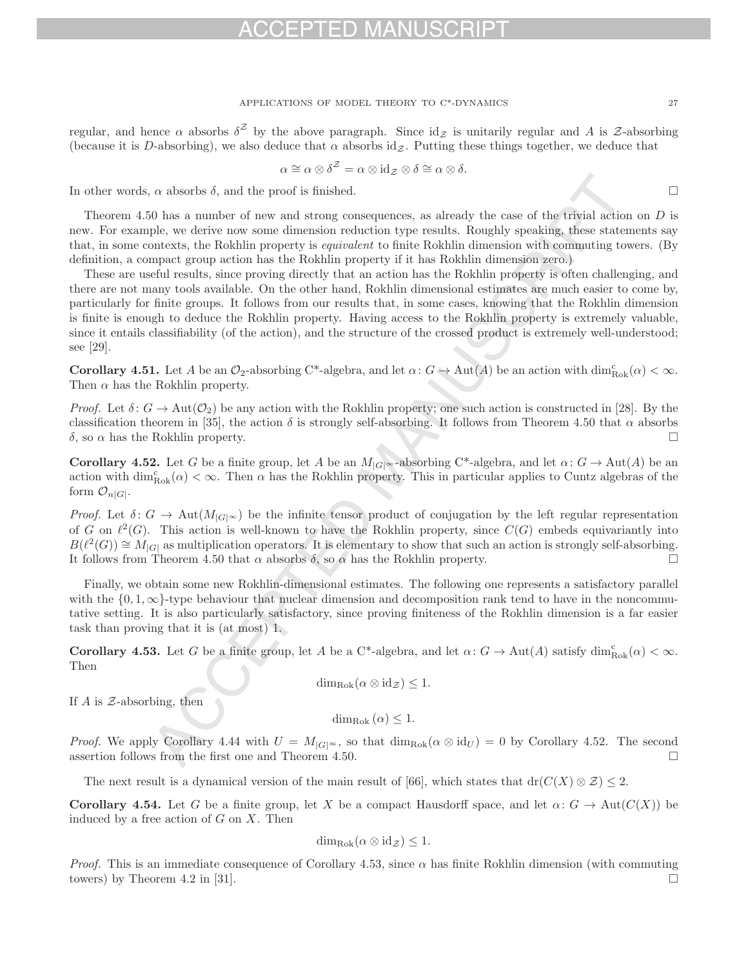### APPLICATIONS OF MODEL THEORY TO C\*-DYNAMICS 27

regular, and hence  $\alpha$  absorbs  $\delta^z$  by the above paragraph. Since  $\mathrm{id}_{\mathcal{Z}}$  is unitarily regular and A is Z-absorbing (because it is D-absorbing), we also deduce that  $\alpha$  absorbs id $\alpha$ . Putting these things together, we deduce that

$$
\alpha \cong \alpha \otimes \delta^{\mathcal{Z}} = \alpha \otimes \mathrm{id}_{\mathcal{Z}} \otimes \delta \cong \alpha \otimes \delta.
$$

In other words,  $\alpha$  absorbs  $\delta$ , and the proof is finished.

Theorem 4.50 has a number of new and strong consequences, as already the case of the trivial action on D is new. For example, we derive now some dimension reduction type results. Roughly speaking, these statements say that, in some contexts, the Rokhlin property is equivalent to finite Rokhlin dimension with commuting towers. (By definition, a compact group action has the Rokhlin property if it has Rokhlin dimension zero.)

These are useful results, since proving directly that an action has the Rokhlin property is often challenging, and there are not many tools available. On the other hand, Rokhlin dimensional estimates are much easier to come by, particularly for finite groups. It follows from our results that, in some cases, knowing that the Rokhlin dimension is finite is enough to deduce the Rokhlin property. Having access to the Rokhlin property is extremely valuable, since it entails classifiability (of the action), and the structure of the crossed product is extremely well-understood; see [29].

**Corollary 4.51.** Let A be an  $\mathcal{O}_2$ -absorbing C\*-algebra, and let  $\alpha: G \to \text{Aut}(A)$  be an action with  $\dim_{\text{Rok}}^c(\alpha) < \infty$ . Then  $\alpha$  has the Rokhlin property.

*Proof.* Let  $\delta: G \to \text{Aut}(\mathcal{O}_2)$  be any action with the Rokhlin property; one such action is constructed in [28]. By the classification theorem in [35], the action  $\delta$  is strongly self-absorbing. It follows from Theorem 4.50 that  $\alpha$  absorbs  $δ$ , so  $α$  has the Rokhlin property.  $\Box$ 

**Corollary 4.52.** Let G be a finite group, let A be an  $M_{|G|^\infty}$ -absorbing C<sup>\*</sup>-algebra, and let  $\alpha: G \to \text{Aut}(A)$  be an action with  $\dim_{Rok}^c(\alpha) < \infty$ . Then  $\alpha$  has the Rokhlin property. This in particular applies to Cuntz algebras of the form  $\mathcal{O}_{n|G|}$ .

Proof. Let  $\delta: G \to \text{Aut}(M_{|G|^\infty})$  be the infinite tensor product of conjugation by the left regular representation of G on  $\ell^2(G)$ . This action is well-known to have the Rokhlin property, since  $C(G)$  embeds equivariantly into  $B(\ell^2(G)) \cong M_{|G|}$  as multiplication operators. It is elementary to show that such an action is strongly self-absorbing.<br>It follows from Theorem 4.50 that  $\alpha$  absorbs  $\delta$ , so  $\alpha$  has the Rokhlin property. It follows from Theorem 4.50 that  $\alpha$  absorbs  $\delta$ , so  $\alpha$  has the Rokhlin property.

Finally, we obtain some new Rokhlin-dimensional estimates. The following one represents a satisfactory parallel with the  $\{0, 1, \infty\}$ -type behaviour that nuclear dimension and decomposition rank tend to have in the noncommutative setting. It is also particularly satisfactory, since proving finiteness of the Rokhlin dimension is a far easier task than proving that it is (at most) 1.

**Corollary 4.53.** Let G be a finite group, let A be a C<sup>\*</sup>-algebra, and let  $\alpha: G \to \text{Aut}(A)$  satisfy  $\dim_{\text{Rok}}^c(\alpha) < \infty$ . Then

$$
\dim_{\text{Rok}}(\alpha \otimes \text{id}_{\mathcal{Z}}) \leq 1.
$$

If  $A$  is  $\mathcal Z$ -absorbing, then

$$
\dim_{\text{Rok}}(\alpha) \leq 1.
$$

*Proof.* We apply Corollary 4.44 with  $U = M_{|G|^\infty}$ , so that  $\dim_{Rok}(\alpha \otimes id_U) = 0$  by Corollary 4.52. The second assertion follows from the first one and Theorem 4.50 assertion follows from the first one and Theorem 4.50.

The next result is a dynamical version of the main result of [66], which states that dr( $C(X) \otimes \mathcal{Z}$ )  $\leq 2$ .

**Corollary 4.54.** Let G be a finite group, let X be a compact Hausdorff space, and let  $\alpha: G \to \text{Aut}(C(X))$  be induced by a free action of  $G$  on  $X$ . Then

$$
\dim_{\text{Rok}}(\alpha \otimes \text{id}_{\mathcal{Z}}) \leq 1.
$$

*Proof.* This is an immediate consequence of Corollary 4.53, since  $\alpha$  has finite Rokhlin dimension (with commuting towers) by Theorem 4.2 in [31].  $\Box$ 

 $\Box$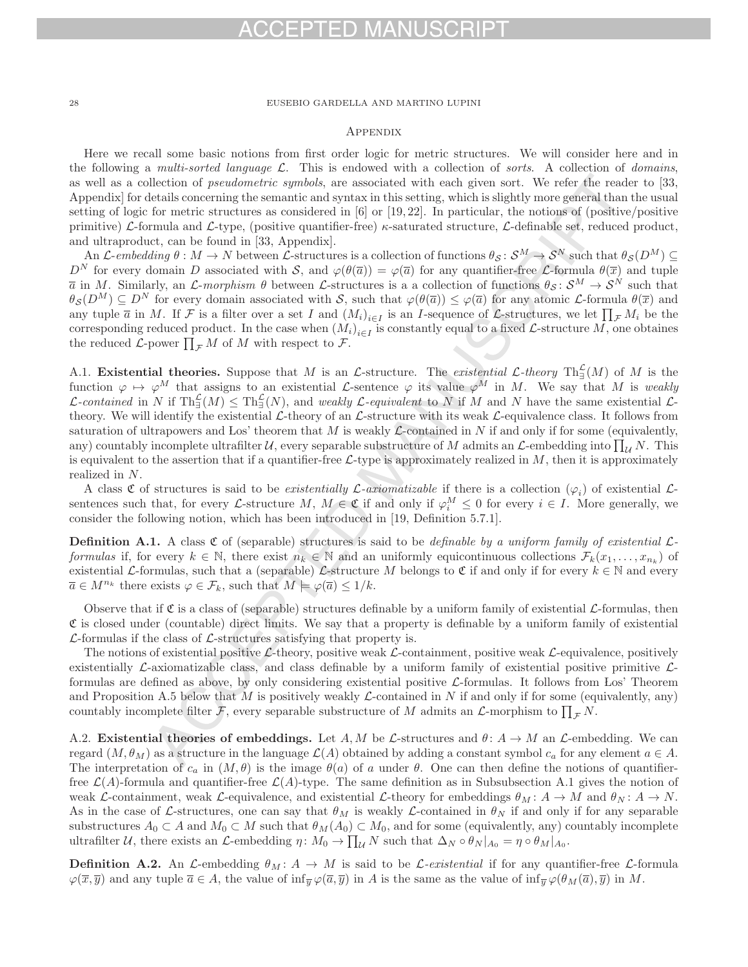# FPTED MAN

## 28 EUSEBIO GARDELLA AND MARTINO LUPINI

## **APPENDIX**

Here we recall some basic notions from first order logic for metric structures. We will consider here and in the following a multi-sorted language  $\mathcal{L}$ . This is endowed with a collection of sorts. A collection of domains, as well as a collection of *pseudometric symbols*, are associated with each given sort. We refer the reader to [33, Appendix] for details concerning the semantic and syntax in this setting, which is slightly more general than the usual setting of logic for metric structures as considered in  $|6|$  or  $|19, 22|$ . In particular, the notions of (positive/positive primitive) L-formula and L-type, (positive quantifier-free)  $\kappa$ -saturated structure, L-definable set, reduced product, and ultraproduct, can be found in [33, Appendix].

An L-embedding  $\theta : M \to N$  between L-structures is a collection of functions  $\theta_{\mathcal{S}}: \mathcal{S}^M \to \mathcal{S}^N$  such that  $\theta_{\mathcal{S}}(D^M) \subseteq$  $D^N$  for every domain D associated with S, and  $\varphi(\theta(\overline{a})) = \varphi(\overline{a})$  for any quantifier-free L-formula  $\theta(\overline{x})$  and tuple  $\overline{a}$  in M. Similarly, an L-morphism  $\theta$  between L-structures is a a collection of functions  $\theta_{\mathcal{S}}: \mathcal{S}^M \to \mathcal{S}^N$  such that  $\theta_{\mathcal{S}}(D^M) \subseteq D^N$  for every domain associated with S, such that  $\varphi(\theta(\overline{a})) \leq \varphi(\overline{a})$  for any atomic L-formula  $\theta(\overline{x})$  and any tuple  $\overline{a}$  in M. If F is a filter over a set I and  $(M_i)_{i\in I}$  is an I-sequence of L-structures, we let  $\prod_{\mathcal{F}} M_i$  be the corresponding reduced product. In the case when  $(M_i)_{i\in I}$  is constantly equal to a fixed L-structure M, one obtaines the reduced  $\mathcal{L}$ -power  $\prod_{\mathcal{F}} M$  of M with respect to  $\mathcal{F}$ .

A.1. **Existential theories.** Suppose that M is an L-structure. The *existential* L-theory  $\text{Th}_{\exists}^{\mathcal{L}}(M)$  of M is the function  $\varphi \mapsto \varphi^M$  that assigns to an existential *L*-sentence  $\varphi$  its value  $\varphi^M$  in M. We say that M is weakly  $\mathcal{L}\text{-}contained$  in N if  $\text{Th}_{\exists}^{\mathcal{L}}(M) \leq \text{Th}_{\exists}^{\mathcal{L}}(N)$ , and weakly  $\mathcal{L}\text{-}equivalent$  to N if M and N have the same existential  $\mathcal{L}\text{-}Q$ theory. We will identify the existential  $\mathcal{L}\text{-theory}$  of an  $\mathcal{L}\text{-structure}$  with its weak  $\mathcal{L}\text{-equivalence}$  class. It follows from saturation of ultrapowers and Los' theorem that M is weakly  $\mathcal{L}$ -contained in N if and only if for some (equivalently, any) countably incomplete ultrafilter U, every separable substructure of M admits an L-embedding into  $\prod_{U} N$ . This is equivalent to the assertion that if a quantifier-free  $\mathcal{L}$ -type is approximately realized in  $M$ , then it is approximately realized in N.

A class C of structures is said to be existentially L-axiomatizable if there is a collection  $(\varphi_i)$  of existential Lsentences such that, for every L-structure M,  $M \in \mathfrak{C}$  if and only if  $\varphi_i^M \leq 0$  for every  $i \in I$ . More generally, we consider the following notion, which has been introduced in [19, Definition 5.7.1].

**Definition A.1.** A class  $\mathfrak{C}$  of (separable) structures is said to be *definable by a uniform family of existential*  $\mathcal{L}$ formulas if, for every  $k \in \mathbb{N}$ , there exist  $n_k \in \mathbb{N}$  and an uniformly equicontinuous collections  $\mathcal{F}_k(x_1,\ldots,x_n)$  of existential L-formulas, such that a (separable) L-structure M belongs to  $\mathfrak C$  if and only if for every  $k \in \mathbb N$  and every  $\overline{a} \in M^{n_k}$  there exists  $\varphi \in \mathcal{F}_k$ , such that  $M \models \varphi(\overline{a}) \leq 1/k$ .

Observe that if  $\mathfrak C$  is a class of (separable) structures definable by a uniform family of existential  $\mathcal L$ -formulas, then  $\mathfrak C$  is closed under (countable) direct limits. We say that a property is definable by a uniform family of existential  $\mathcal{L}$ -formulas if the class of  $\mathcal{L}$ -structures satisfying that property is.

The notions of existential positive  $\mathcal{L}\text{-}$  theory, positive weak  $\mathcal{L}\text{-}$  containment, positive weak  $\mathcal{L}\text{-}$  equivalence, positively existentially  $\mathcal{L}$ -axiomatizable class, and class definable by a uniform family of existential positive primitive  $\mathcal{L}$ formulas are defined as above, by only considering existential positive  $\mathcal{L}$ -formulas. It follows from Los' Theorem and Proposition A.5 below that M is positively weakly  $\mathcal L$ -contained in N if and only if for some (equivalently, any) countably incomplete filter  $\mathcal{F}$ , every separable substructure of M admits an  $\mathcal{L}$ -morphism to  $\prod_{\mathcal{F}} N$ .

A.2. **Existential theories of embeddings.** Let  $A, M$  be  $\mathcal{L}$ -structures and  $\theta: A \to M$  an  $\mathcal{L}$ -embedding. We can regard  $(M, \theta_M)$  as a structure in the language  $\mathcal{L}(A)$  obtained by adding a constant symbol  $c_a$  for any element  $a \in A$ . The interpretation of  $c_a$  in  $(M, \theta)$  is the image  $\theta(a)$  of a under  $\theta$ . One can then define the notions of quantifierfree  $\mathcal{L}(A)$ -formula and quantifier-free  $\mathcal{L}(A)$ -type. The same definition as in Subsubsection A.1 gives the notion of weak L-containment, weak L-equivalence, and existential L-theory for embeddings  $\theta_M : A \to M$  and  $\theta_N : A \to N$ . As in the case of L-structures, one can say that  $\theta_M$  is weakly L-contained in  $\theta_N$  if and only if for any separable substructures  $A_0 \subset A$  and  $M_0 \subset M$  such that  $\theta_M(A_0) \subset M_0$ , and for some (equivalently, any) countably incomplete ultrafilter U, there exists an L-embedding  $\eta \colon M_0 \to \prod_{\mathcal{U}} N$  such that  $\Delta_N \circ \theta_N |_{A_0} = \eta \circ \theta_M |_{A_0}$ .

**Definition A.2.** An L-embedding  $\theta_M : A \to M$  is said to be L-existential if for any quantifier-free L-formula  $\varphi(\overline{x}, \overline{y})$  and any tuple  $\overline{a} \in A$ , the value of inf<sub> $\overline{y} \varphi(\overline{a}, \overline{y})$  in A is the same as the value of inf $\overline{y} \varphi(\theta_M(\overline{a}), \overline{y})$  in M.</sub>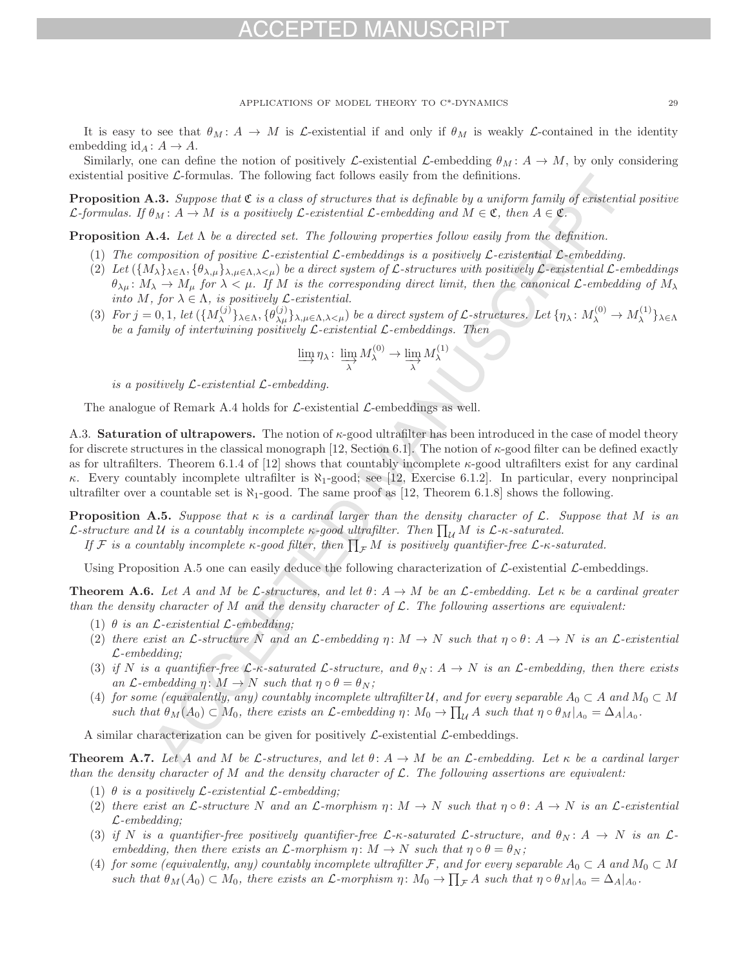## H) MA

APPLICATIONS OF MODEL THEORY TO C\*-DYNAMICS 29

It is easy to see that  $\theta_M$ :  $A \to M$  is  $\mathcal L$ -existential if and only if  $\theta_M$  is weakly  $\mathcal L$ -contained in the identity embedding  $id_A: A \rightarrow A$ .

Similarly, one can define the notion of positively L-existential L-embedding  $\theta_M : A \to M$ , by only considering existential positive  $\mathcal{L}$ -formulas. The following fact follows easily from the definitions.

**Proposition A.3.** Suppose that  $\mathfrak{C}$  is a class of structures that is definable by a uniform family of existential positive  $\mathcal{L}$ -formulas. If  $\theta_M : A \to M$  is a positively  $\mathcal{L}$ -existential  $\mathcal{L}$ -embedding and  $M \in \mathfrak{C}$ , then  $A \in \mathfrak{C}$ .

**Proposition A.4.** Let  $\Lambda$  be a directed set. The following properties follow easily from the definition.

- (1) The composition of positive  $\mathcal{L}\text{-existential }\mathcal{L}\text{-embedding}$  is a positively  $\mathcal{L}\text{-existential }\mathcal{L}\text{-embedding}$ .
- (2) Let  $({M_\lambda})_{\lambda\in\Lambda}, {\theta_\lambda}_{\mu\lambda,\mu\in\Lambda}, \chi_{\mu\nu}$  be a direct system of L-structures with positively L-existential L-embeddings  $\theta_{\lambda\mu}$ :  $M_{\lambda} \to M_{\mu}$  for  $\lambda \lt \mu$ . If M is the corresponding direct limit, then the canonical L-embedding of  $M_{\lambda}$ into M, for  $\lambda \in \Lambda$ , is positively *L*-existential.
- (3) For  $j = 0, 1$ , let  $({M_{\lambda}^{(j)}}_{\lambda \in \Lambda}, {\theta_{\lambda \mu}^{(j)}}_{\lambda, \mu \in \Lambda, \lambda < \mu})$  be a direct system of L-structures. Let  ${\eta_{\lambda}: M_{\lambda}^{(0)} \to M_{\lambda}^{(1)}}_{\lambda \in \Lambda}$ be a family of intertwining positively  $\mathcal{L}\text{-}existential$   $\mathcal{L}\text{-}embedding.$  Then

$$
\varinjlim \eta_{\lambda} \colon \varinjlim_{\lambda} M_{\lambda}^{(0)} \to \varinjlim_{\lambda} M_{\lambda}^{(1)}
$$

is a positively  $\mathcal{L}\text{-}existential$   $\mathcal{L}\text{-}embedding.$ 

The analogue of Remark A.4 holds for  $\mathcal{L}\text{-existential }\mathcal{L}\text{-embeddings}$  as well.

A.3. **Saturation of ultrapowers.** The notion of  $\kappa$ -good ultrafilter has been introduced in the case of model theory for discrete structures in the classical monograph [12, Section 6.1]. The notion of  $\kappa$ -good filter can be defined exactly as for ultrafilters. Theorem 6.1.4 of [12] shows that countably incomplete  $\kappa$ -good ultrafilters exist for any cardinal κ. Every countably incomplete ultrafilter is ℵ1-good; see [12, Exercise 6.1.2]. In particular, every nonprincipal ultrafilter over a countable set is  $\aleph_1$ -good. The same proof as [12, Theorem 6.1.8] shows the following.

**Proposition A.5.** Suppose that  $\kappa$  is a cardinal larger than the density character of  $\mathcal{L}$ . Suppose that M is an  $\mathcal{L}$ -structure and U is a countably incomplete  $\kappa$ -good ultrafilter. Then  $\prod_{\mathcal{U}} M$  is  $\mathcal{L}$ - $\kappa$ -saturated.

If F is a countably incomplete  $\kappa$ -good filter, then  $\prod_{\mathcal{F}} M$  is positively quantifier-free  $\mathcal{L}$ - $\kappa$ -saturated.

Using Proposition A.5 one can easily deduce the following characterization of  $\mathcal{L}\text{-existential }\mathcal{L}\text{-embeddings}.$ 

**Theorem A.6.** Let A and M be L-structures, and let  $\theta: A \to M$  be an L-embedding. Let  $\kappa$  be a cardinal greater than the density character of M and the density character of  $\mathcal{L}$ . The following assertions are equivalent:

- (1)  $\theta$  is an  $\mathcal{L}\text{-}existential$   $\mathcal{L}\text{-}embedding;$
- (2) there exist an L-structure N and an L-embedding  $\eta: M \to N$  such that  $\eta \circ \theta: A \to N$  is an L-existential  $\mathcal{L}\text{-}embedding;$
- (3) if N is a quantifier-free  $\mathcal{L}\text{-}\kappa$ -saturated  $\mathcal{L}\text{-}structure$ , and  $\theta_N: A \to N$  is an  $\mathcal{L}\text{-}embedding$ , then there exists an  $\mathcal{L}\text{-embedding } \eta \colon M \to N \text{ such that } \eta \circ \theta = \theta_N;$
- (4) for some (equivalently, any) countably incomplete ultrafilter U, and for every separable  $A_0 \subset A$  and  $M_0 \subset M$ such that  $\theta_M(A_0) \subset M_0$ , there exists an  $\mathcal{L}\text{-embedding } \eta \colon M_0 \to \prod_{\mathcal{U}} A$  such that  $\eta \circ \theta_M|_{A_0} = \Delta_A|_{A_0}$ .

A similar characterization can be given for positively  $\mathcal{L}$ -existential  $\mathcal{L}$ -embeddings.

**Theorem A.7.** Let A and M be L-structures, and let  $\theta: A \to M$  be an L-embedding. Let  $\kappa$  be a cardinal larger than the density character of M and the density character of  $\mathcal{L}$ . The following assertions are equivalent:

- (1)  $\theta$  is a positively *L*-existential *L*-embedding;
- (2) there exist an L-structure N and an L-morphism  $\eta \colon M \to N$  such that  $\eta \circ \theta \colon A \to N$  is an L-existential  $\mathcal{L}\text{-embedding};$
- (3) if N is a quantifier-free positively quantifier-free  $\mathcal{L}\text{-}\kappa\text{-}saturated \mathcal{L}\text{-}structure, and  $\theta_N: A \to N$  is an  $\mathcal{L}\text{-}t$$ embedding, then there exists an  $\mathcal{L}\text{-morphism } \eta \colon M \to N$  such that  $\eta \circ \theta = \theta_N$ ;
- (4) for some (equivalently, any) countably incomplete ultrafilter F, and for every separable  $A_0 \subset A$  and  $M_0 \subset M$ such that  $\theta_M(A_0) \subset M_0$ , there exists an  $\mathcal{L}$ -morphism  $\eta \colon M_0 \to \prod_{\mathcal{F}} A$  such that  $\eta \circ \theta_M|_{A_0} = \Delta_A|_{A_0}$ .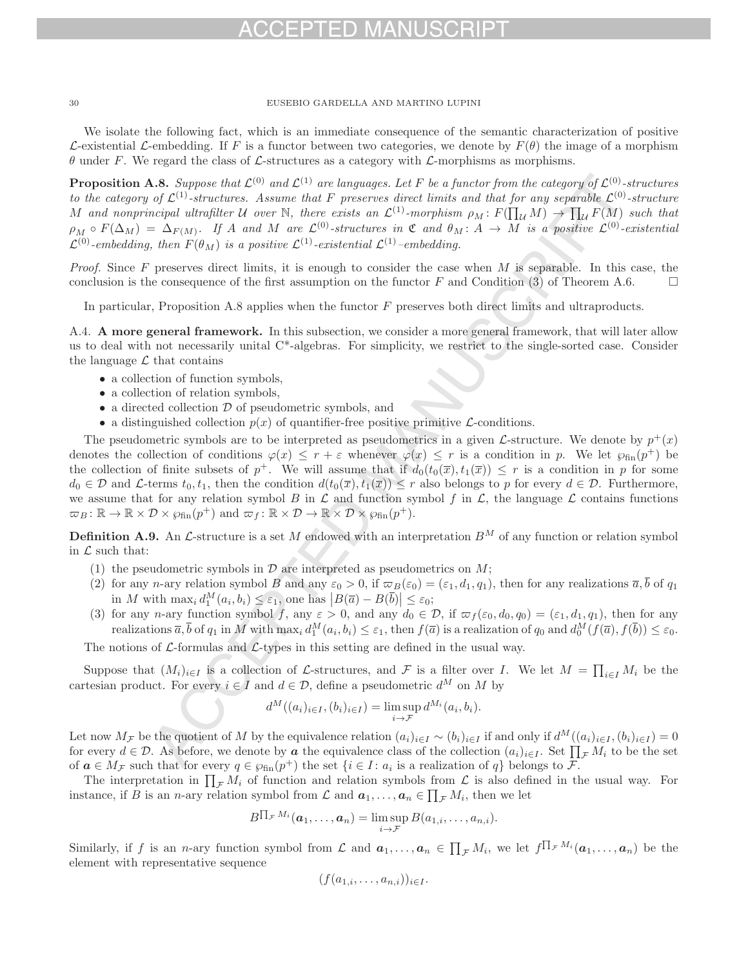We isolate the following fact, which is an immediate consequence of the semantic characterization of positive L-existential L-embedding. If F is a functor between two categories, we denote by  $F(\theta)$  the image of a morphism  $\theta$  under F. We regard the class of L-structures as a category with L-morphisms as morphisms.

**Proposition A.8.** Suppose that  $\mathcal{L}^{(0)}$  and  $\mathcal{L}^{(1)}$  are languages. Let F be a functor from the category of  $\mathcal{L}^{(0)}$ -structures to the category of  $\mathcal{L}^{(1)}$ -structures. Assume that F preserves direct limits and that for any separable  $\mathcal{L}^{(0)}$ -structure M and nonprincipal ultrafilter U over N, there exists an  $\mathcal{L}^{(1)}$ -morphism  $\rho_M : F(\prod_{\mathcal{U}} M) \to \prod_{\mathcal{U}} F(M)$  such that  $\rho_M \circ F(\Delta_M) = \Delta_{F(M)}$ . If A and M are  $\mathcal{L}^{(0)}$ -structures in C and  $\theta_M : A \to M$  is a positive  $\mathcal{L}^{(0)}$ -existential  $\mathcal{L}^{(0)}$ -embedding, then  $F(\theta_M)$  is a positive  $\mathcal{L}^{(1)}$ -existential  $\mathcal{L}^{(1)}$ -embedding.

*Proof.* Since  $F$  preserves direct limits, it is enough to consider the case when  $M$  is separable. In this case, the conclusion is the consequence of the first assumption on the functor F and Condition (3) of Theorem A.6.  $\Box$ 

In particular, Proposition A.8 applies when the functor F preserves both direct limits and ultraproducts.

A.4. **A more general framework.** In this subsection, we consider a more general framework, that will later allow us to deal with not necessarily unital C\*-algebras. For simplicity, we restrict to the single-sorted case. Consider the language  $\mathcal L$  that contains

- a collection of function symbols,
- a collection of relation symbols,
- $\bullet\,$  a directed collection  $\mathcal D$  of pseudometric symbols, and
- a distinguished collection  $p(x)$  of quantifier-free positive primitive  $\mathcal{L}$ -conditions.

The pseudometric symbols are to be interpreted as pseudometrics in a given L-structure. We denote by  $p^+(x)$ denotes the collection of conditions  $\varphi(x) \leq r + \varepsilon$  whenever  $\varphi(x) \leq r$  is a condition in p. We let  $\varphi_{fin}(p^+)$  be the collection of finite subsets of  $p^+$ . We will assume that if  $d_0(t_0(\overline{x}), t_1(\overline{x})) \leq r$  is a condition in p for some  $d_0 \in \mathcal{D}$  and  $\mathcal{L}$ -terms  $t_0, t_1$ , then the condition  $d(t_0(\overline{x}), t_1(\overline{x})) \leq r$  also belongs to p for every  $d \in \mathcal{D}$ . Furthermore, we assume that for any relation symbol B in  $\mathcal L$  and function symbol f in  $\mathcal L$ , the language  $\mathcal L$  contains functions  $\varpi_B : \mathbb{R} \to \mathbb{R} \times \mathcal{D} \times \varphi_{fin}(p^+)$  and  $\varpi_f : \mathbb{R} \times \mathcal{D} \to \mathbb{R} \times \mathcal{D} \times \varphi_{fin}(p^+).$ 

**Definition A.9.** An  $\mathcal{L}$ -structure is a set M endowed with an interpretation  $B^M$  of any function or relation symbol in  $\mathcal L$  such that:

- (1) the pseudometric symbols in  $\mathcal D$  are interpreted as pseudometrics on  $M$ ;
- (2) for any n-ary relation symbol B and any  $\varepsilon_0 > 0$ , if  $\varpi_B(\varepsilon_0) = (\varepsilon_1, d_1, q_1)$ , then for any realizations  $\overline{a}, \overline{b}$  of  $q_1$ in M with  $\max_i d_1^M(a_i, b_i) \leq \varepsilon_1$ , one has  $|B(\overline{a}) - B(\overline{b})| \leq \varepsilon_0$ ;
- (3) for any n-ary function symbol f, any  $\varepsilon > 0$ , and any  $d_0 \in \mathcal{D}$ , if  $\varpi_f(\varepsilon_0, d_0, q_0) = (\varepsilon_1, d_1, q_1)$ , then for any realizations  $\overline{a}$ ,  $\overline{b}$  of  $q_1$  in M with  $\max_i d_1^M(a_i, b_i) \leq \varepsilon_1$ , then  $f(\overline{a})$  is a realization of  $q_0$  and  $d_0^M(f(\overline{a}), f(\overline{b})) \leq \varepsilon_0$ .

The notions of  $\mathcal{L}$ -formulas and  $\mathcal{L}$ -types in this setting are defined in the usual way.

Suppose that  $(M_i)_{i\in I}$  is a collection of L-structures, and F is a filter over I. We let  $M = \prod_{i\in I} M_i$  be the cartesian product. For every  $i \in I$  and  $d \in \mathcal{D}$ , define a pseudometric  $d^M$  on M by

$$
d^M((a_i)_{i\in I}, (b_i)_{i\in I}) = \limsup_{i\to\mathcal{F}} d^{M_i}(a_i, b_i).
$$

Let now  $M_{\mathcal{F}}$  be the quotient of M by the equivalence relation  $(a_i)_{i\in I} \sim (b_i)_{i\in I}$  if and only if  $d^M((a_i)_{i\in I}, (b_i)_{i\in I})=0$ for every  $d \in \mathcal{D}$ . As before, we denote by **a** the equivalence class of the collection  $(a_i)_{i \in I}$ . Set  $\prod_{\mathcal{F}} M_i$  to be the set of  $a \in M_{\mathcal{F}}$  such that for every  $q \in \wp_{fin}(p^+)$  the set  $\{i \in I : a_i \text{ is a realization of } q\}$  belongs to  $\mathcal{F}$ .

The interpretation in  $\prod_{\tau} M_i$  of function and relation symbols from  $\mathcal{L}$  is also defined in the usual way. For instance, if B is an *n*-ary relation symbol from  $\mathcal{L}$  and  $a_1, \ldots, a_n \in \prod_{\mathcal{F}} M_i$ , then we let

$$
B^{\prod_{\mathcal{F}}M_i}(\boldsymbol{a}_1,\ldots,\boldsymbol{a}_n)=\limsup_{i\to\mathcal{F}}B(a_{1,i},\ldots,a_{n,i}).
$$

Similarly, if f is an *n*-ary function symbol from  $\mathcal{L}$  and  $a_1, \ldots, a_n \in \prod_{\mathcal{F}} M_i$ , we let  $f^{\prod_{\mathcal{F}} M_i}(a_1, \ldots, a_n)$  be the element with representative sequence

$$
(f(a_{1,i},\ldots,a_{n,i}))_{i\in I}.
$$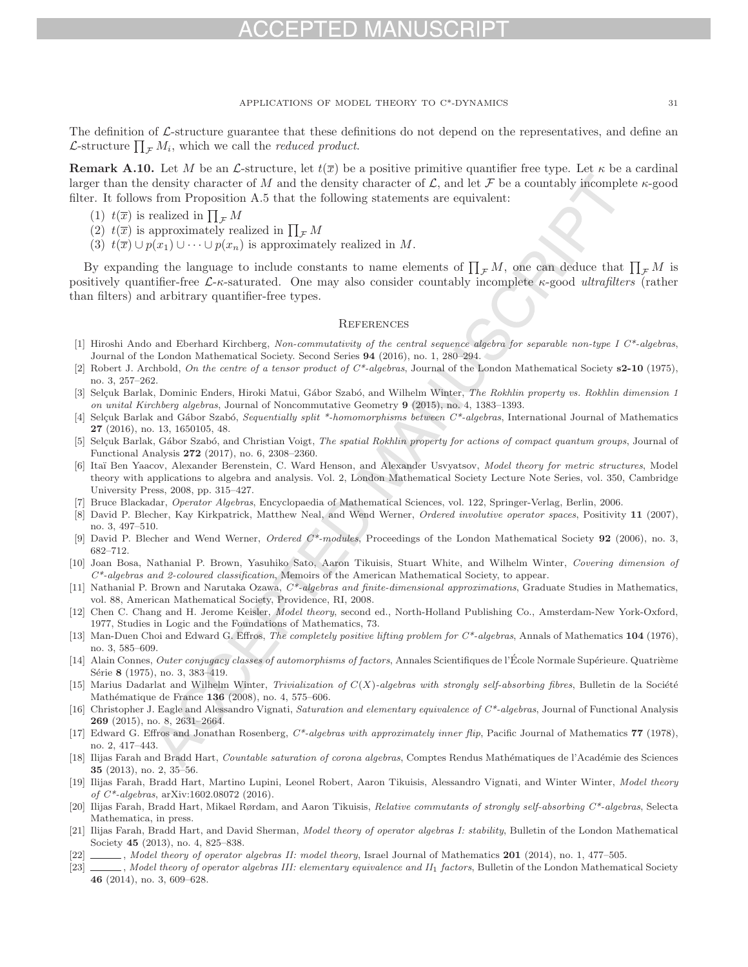## CEPTED MANUSCRI

APPLICATIONS OF MODEL THEORY TO C\*-DYNAMICS 31

The definition of  $\mathcal{L}$ -structure guarantee that these definitions do not depend on the representatives, and define an  $\mathcal{L}$ -structure  $\prod_{\mathcal{F}} M_i$ , which we call the *reduced product*.

**Remark A.10.** Let M be an L-structure, let  $t(\overline{x})$  be a positive primitive quantifier free type. Let  $\kappa$  be a cardinal larger than the density character of M and the density character of L, and let F be a countably incomplete  $\kappa$ -good filter. It follows from Proposition A.5 that the following statements are equivalent:

- (1)  $t(\overline{x})$  is realized in  $\prod_{\mathcal{F}} M$
- (2)  $t(\overline{x})$  is approximately realized in  $\prod_{\mathcal{F}} M$
- (3)  $t(\overline{x}) \cup p(x_1) \cup \cdots \cup p(x_n)$  is approximately realized in M.

By expanding the language to include constants to name elements of  $\prod_{\mathcal{F}} M$ , one can deduce that  $\prod_{\mathcal{F}} M$  is positively quantifier-free  $\mathcal{L}\text{-}\kappa\text{-saturated}$ . One may also consider countably incomplete  $\kappa\text{-good ultrafilters}$  (rather than filters) and arbitrary quantifier-free types.

## **REFERENCES**

- [1] Hiroshi Ando and Eberhard Kirchberg, Non-commutativity of the central sequence algebra for separable non-type I C\*-algebras, Journal of the London Mathematical Society. Second Series **94** (2016), no. 1, 280–294.
- [2] Robert J. Archbold, On the centre of a tensor product of C\*-algebras, Journal of the London Mathematical Society **s2-10** (1975), no. 3, 257–262.
- [3] Selçuk Barlak, Dominic Enders, Hiroki Matui, Gábor Szabó, and Wilhelm Winter, The Rokhlin property vs. Rokhlin dimension 1 on unital Kirchberg algebras, Journal of Noncommutative Geometry **9** (2015), no. 4, 1383–1393.
- [4] Selçuk Barlak and Gábor Szabó, Sequentially split \*-homomorphisms between C\*-algebras, International Journal of Mathematics **27** (2016), no. 13, 1650105, 48.
- [5] Selçuk Barlak, Gábor Szabó, and Christian Voigt, The spatial Rokhlin property for actions of compact quantum groups, Journal of Functional Analysis **272** (2017), no. 6, 2308–2360.
- [6] Itaï Ben Yaacov, Alexander Berenstein, C. Ward Henson, and Alexander Usvyatsov, Model theory for metric structures, Model theory with applications to algebra and analysis. Vol. 2, London Mathematical Society Lecture Note Series, vol. 350, Cambridge University Press, 2008, pp. 315–427.
- [7] Bruce Blackadar, Operator Algebras, Encyclopaedia of Mathematical Sciences, vol. 122, Springer-Verlag, Berlin, 2006.
- [8] David P. Blecher, Kay Kirkpatrick, Matthew Neal, and Wend Werner, Ordered involutive operator spaces, Positivity **11** (2007), no. 3, 497–510.
- [9] David P. Blecher and Wend Werner, Ordered C\*-modules, Proceedings of the London Mathematical Society **92** (2006), no. 3, 682–712.
- [10] Joan Bosa, Nathanial P. Brown, Yasuhiko Sato, Aaron Tikuisis, Stuart White, and Wilhelm Winter, Covering dimension of  $C^*$ -algebras and 2-coloured classification, Memoirs of the American Mathematical Society, to appear.
- [11] Nathanial P. Brown and Narutaka Ozawa, C\*-algebras and finite-dimensional approximations, Graduate Studies in Mathematics, vol. 88, American Mathematical Society, Providence, RI, 2008.
- [12] Chen C. Chang and H. Jerome Keisler, Model theory, second ed., North-Holland Publishing Co., Amsterdam-New York-Oxford, 1977, Studies in Logic and the Foundations of Mathematics, 73.
- [13] Man-Duen Choi and Edward G. Effros, The completely positive lifting problem for C\*-algebras, Annals of Mathematics **104** (1976), no. 3, 585–609.
- [14] Alain Connes, *Outer conjugacy classes of automorphisms of factors*, Annales Scientifiques de l'École Normale Supérieure. Quatrième Série **8** (1975), no. 3, 383-419.
- [15] Marius Dadarlat and Wilhelm Winter, Trivialization of  $C(X)$ -algebras with strongly self-absorbing fibres, Bulletin de la Société Mathématique de France **136** (2008), no. 4, 575–606.
- [16] Christopher J. Eagle and Alessandro Vignati, Saturation and elementary equivalence of C<sup>\*</sup>-algebras, Journal of Functional Analysis **269** (2015), no. 8, 2631–2664.
- [17] Edward G. Effros and Jonathan Rosenberg, C\*-algebras with approximately inner flip, Pacific Journal of Mathematics **77** (1978), no. 2, 417–443.
- [18] Ilijas Farah and Bradd Hart, Countable saturation of corona algebras, Comptes Rendus Mathématiques de l'Académie des Sciences **35** (2013), no. 2, 35–56.
- [19] Ilijas Farah, Bradd Hart, Martino Lupini, Leonel Robert, Aaron Tikuisis, Alessandro Vignati, and Winter Winter, Model theory of C\*-algebras, arXiv:1602.08072 (2016).
- [20] Ilijas Farah, Bradd Hart, Mikael Rørdam, and Aaron Tikuisis, Relative commutants of strongly self-absorbing  $C^*$ -algebras, Selecta Mathematica, in press.
- [21] Ilijas Farah, Bradd Hart, and David Sherman, Model theory of operator algebras I: stability, Bulletin of the London Mathematical Society **45** (2013), no. 4, 825–838.
- [22] , Model theory of operator algebras II: model theory, Israel Journal of Mathematics **201** (2014), no. 1, 477–505.
- [23] Model theory of operator algebras III: elementary equivalence and II<sub>1</sub> factors, Bulletin of the London Mathematical Society **46** (2014), no. 3, 609–628.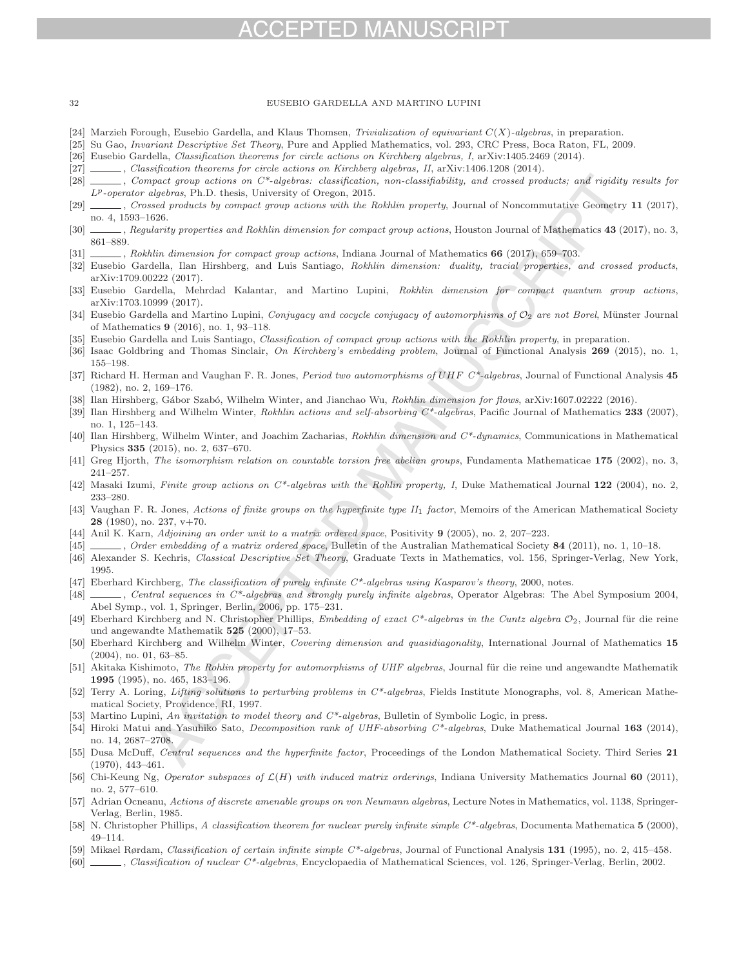# CEPTED MANUSCRIPT

### 32 EUSEBIO GARDELLA AND MARTINO LUPINI

- [24] Marzieh Forough, Eusebio Gardella, and Klaus Thomsen, Trivialization of equivariant  $C(X)$ -algebras, in preparation.
- [25] Su Gao, Invariant Descriptive Set Theory, Pure and Applied Mathematics, vol. 293, CRC Press, Boca Raton, FL, 2009.
- [26] Eusebio Gardella, Classification theorems for circle actions on Kirchberg algebras, I, arXiv:1405.2469 (2014).
- [27] , Classification theorems for circle actions on Kirchberg algebras, II, arXiv:1406.1208 (2014).
- [28] , Compact group actions on  $C^*$ -algebras: classification, non-classifiability, and crossed products; and rigidity results for  $L^p$ -operator algebras, Ph.D. thesis, University of Oregon, 2015.
- [29] , Crossed products by compact group actions with the Rokhlin property, Journal of Noncommutative Geometry **11** (2017), no. 4, 1593–1626.
- [30] , Regularity properties and Rokhlin dimension for compact group actions, Houston Journal of Mathematics **43** (2017), no. 3, 861–889.
- [31] , Rokhlin dimension for compact group actions, Indiana Journal of Mathematics **66** (2017), 659–703.
- [32] Eusebio Gardella, Ilan Hirshberg, and Luis Santiago, Rokhlin dimension: duality, tracial properties, and crossed products, arXiv:1709.00222 (2017).
- [33] Eusebio Gardella, Mehrdad Kalantar, and Martino Lupini, Rokhlin dimension for compact quantum group actions, arXiv:1703.10999 (2017).
- [34] Eusebio Gardella and Martino Lupini, Conjugacy and cocycle conjugacy of automorphisms of  $\mathcal{O}_2$  are not Borel, Münster Journal of Mathematics **9** (2016), no. 1, 93–118.
- [35] Eusebio Gardella and Luis Santiago, *Classification of compact group actions with the Rokhlin property*, in preparation.
- [36] Isaac Goldbring and Thomas Sinclair, On Kirchberg's embedding problem, Journal of Functional Analysis **269** (2015), no. 1, 155–198.
- [37] Richard H. Herman and Vaughan F. R. Jones, Period two automorphisms of UHF C\*-algebras, Journal of Functional Analysis **45** (1982), no. 2, 169–176.
- [38] Ilan Hirshberg, Gábor Szabó, Wilhelm Winter, and Jianchao Wu, Rokhlin dimension for flows, arXiv:1607.02222 (2016).
- [39] Ilan Hirshberg and Wilhelm Winter, Rokhlin actions and self-absorbing C\*-algebras, Pacific Journal of Mathematics **233** (2007), no. 1, 125–143.
- [40] Ilan Hirshberg, Wilhelm Winter, and Joachim Zacharias, Rokhlin dimension and C\*-dynamics, Communications in Mathematical Physics **335** (2015), no. 2, 637–670.
- [41] Greg Hjorth, The isomorphism relation on countable torsion free abelian groups, Fundamenta Mathematicae **175** (2002), no. 3, 241–257.
- [42] Masaki Izumi, Finite group actions on C\*-algebras with the Rohlin property, I, Duke Mathematical Journal **122** (2004), no. 2, 233–280.
- [43] Vaughan F. R. Jones, Actions of finite groups on the hyperfinite type II<sub>1</sub> factor, Memoirs of the American Mathematical Society **28** (1980), no. 237, v+70.
- [44] Anil K. Karn, Adjoining an order unit to a matrix ordered space, Positivity **9** (2005), no. 2, 207–223.
- [45] , Order embedding of a matrix ordered space, Bulletin of the Australian Mathematical Society **84** (2011), no. 1, 10–18.
- [46] Alexander S. Kechris, Classical Descriptive Set Theory, Graduate Texts in Mathematics, vol. 156, Springer-Verlag, New York, 1995.
- [47] Eberhard Kirchberg, The classification of purely infinite  $C^*$ -algebras using Kasparov's theory, 2000, notes.
- [48] , Central sequences in C\*-algebras and strongly purely infinite algebras, Operator Algebras: The Abel Symposium 2004, Abel Symp., vol. 1, Springer, Berlin, 2006, pp. 175–231.
- [49] Eberhard Kirchberg and N. Christopher Phillips, Embedding of exact C\*-algebras in the Cuntz algebra  $O_2$ , Journal für die reine und angewandte Mathematik **525** (2000), 17–53.
- [50] Eberhard Kirchberg and Wilhelm Winter, Covering dimension and quasidiagonality, International Journal of Mathematics **15** (2004), no. 01, 63–85.
- [51] Akitaka Kishimoto, The Rohlin property for automorphisms of UHF algebras, Journal für die reine und angewandte Mathematik **1995** (1995), no. 465, 183–196.
- [52] Terry A. Loring, Lifting solutions to perturbing problems in C\*-algebras, Fields Institute Monographs, vol. 8, American Mathematical Society, Providence, RI, 1997.
- [53] Martino Lupini, An invitation to model theory and  $C^*$ -algebras, Bulletin of Symbolic Logic, in press.
- [54] Hiroki Matui and Yasuhiko Sato, Decomposition rank of UHF-absorbing C\*-algebras, Duke Mathematical Journal **163** (2014), no. 14, 2687–2708.
- [55] Dusa McDuff, Central sequences and the hyperfinite factor, Proceedings of the London Mathematical Society. Third Series **21** (1970), 443–461.
- [56] Chi-Keung Ng, Operator subspaces of L(H) with induced matrix orderings, Indiana University Mathematics Journal **60** (2011), no. 2, 577–610.
- [57] Adrian Ocneanu, Actions of discrete amenable groups on von Neumann algebras, Lecture Notes in Mathematics, vol. 1138, Springer-Verlag, Berlin, 1985.
- [58] N. Christopher Phillips, A classification theorem for nuclear purely infinite simple C\*-algebras, Documenta Mathematica **5** (2000), 49–114.
- [59] Mikael Rørdam, Classification of certain infinite simple C\*-algebras, Journal of Functional Analysis **131** (1995), no. 2, 415–458.
- [60] , Classification of nuclear C\*-algebras, Encyclopaedia of Mathematical Sciences, vol. 126, Springer-Verlag, Berlin, 2002.